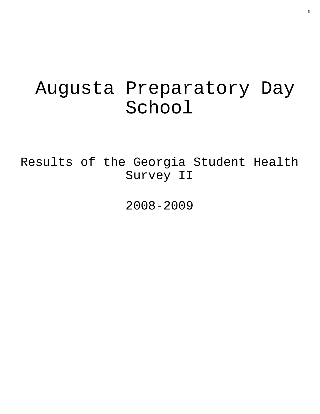# Augusta Preparatory Day School

Results of the Georgia Student Health Survey II

2008-2009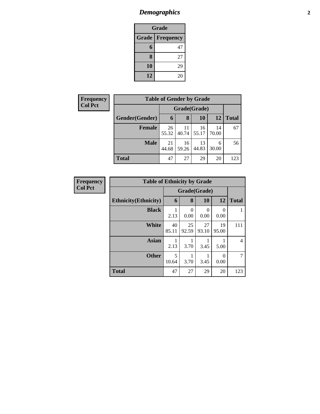### *Demographics* **2**

| Grade                     |    |  |  |  |  |
|---------------------------|----|--|--|--|--|
| Grade<br><b>Frequency</b> |    |  |  |  |  |
| $6\phantom{.}6$           | 47 |  |  |  |  |
| 8                         | 27 |  |  |  |  |
| 10                        | 29 |  |  |  |  |
| 12                        | 20 |  |  |  |  |

| <b>Frequency</b> | <b>Table of Gender by Grade</b> |             |              |             |             |       |  |  |
|------------------|---------------------------------|-------------|--------------|-------------|-------------|-------|--|--|
| <b>Col Pct</b>   |                                 |             | Grade(Grade) |             |             |       |  |  |
|                  | Gender(Gender)                  | 6           | 8            | 10          | 12          | Total |  |  |
|                  | <b>Female</b>                   | 26<br>55.32 | 11<br>40.74  | 16<br>55.17 | 14<br>70.00 | 67    |  |  |
|                  | <b>Male</b>                     | 21<br>44.68 | 16<br>59.26  | 13<br>44.83 | 6<br>30.00  | 56    |  |  |
|                  | <b>Total</b>                    | 47          | 27           | 29          | 20          | 123   |  |  |

| <b>Frequency</b> | <b>Table of Ethnicity by Grade</b> |              |                       |             |             |                |
|------------------|------------------------------------|--------------|-----------------------|-------------|-------------|----------------|
| <b>Col Pct</b>   |                                    | Grade(Grade) |                       |             |             |                |
|                  | <b>Ethnicity</b> (Ethnicity)       | 6            | 8                     | 10          | 12          | <b>Total</b>   |
|                  | <b>Black</b>                       | 2.13         | $\mathcal{L}$<br>0.00 | 0<br>0.00   | ∩<br>0.00   |                |
|                  | White                              | 40<br>85.11  | 25<br>92.59           | 27<br>93.10 | 19<br>95.00 | 111            |
|                  | <b>Asian</b>                       | 2.13         | 3.70                  | 3.45        | 5.00        | $\overline{4}$ |
|                  | <b>Other</b>                       | 5<br>10.64   | 3.70                  | 3.45        | 0<br>0.00   | 7              |
|                  | <b>Total</b>                       | 47           | 27                    | 29          | 20          | 123            |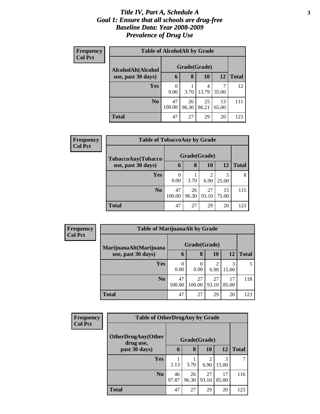#### *Title IV, Part A, Schedule A* **3** *Goal 1: Ensure that all schools are drug-free Baseline Data: Year 2008-2009 Prevalence of Drug Use*

| <b>Frequency</b><br><b>Col Pct</b> | <b>Table of AlcoholAlt by Grade</b> |              |              |             |             |              |  |  |
|------------------------------------|-------------------------------------|--------------|--------------|-------------|-------------|--------------|--|--|
|                                    | AlcoholAlt(Alcohol                  |              | Grade(Grade) |             |             |              |  |  |
|                                    | use, past 30 days)                  | 6            | 8            | 10          | 12          | <b>Total</b> |  |  |
|                                    | <b>Yes</b>                          | 0<br>0.00    | 3.70         | 4<br>13.79  | 35.00       | 12           |  |  |
|                                    | N <sub>0</sub>                      | 47<br>100.00 | 26<br>96.30  | 25<br>86.21 | 13<br>65.00 | 111          |  |  |
|                                    | Total                               | 47           | 27           | 29          | 20          | 123          |  |  |

| <b>Frequency</b> | <b>Table of TobaccoAny by Grade</b> |              |              |             |             |              |  |  |
|------------------|-------------------------------------|--------------|--------------|-------------|-------------|--------------|--|--|
| <b>Col Pct</b>   | TobaccoAny(Tobacco                  |              | Grade(Grade) |             |             |              |  |  |
|                  | use, past 30 days)                  | 6            | 8            | 10          | 12          | <b>Total</b> |  |  |
|                  | <b>Yes</b>                          | 0<br>0.00    | 3.70         | 2<br>6.90   | 5<br>25.00  | 8            |  |  |
|                  | No.                                 | 47<br>100.00 | 26<br>96.30  | 27<br>93.10 | 15<br>75.00 | 115          |  |  |
|                  | <b>Total</b>                        | 47           | 27           | 29          | 20          | 123          |  |  |

| Frequency<br><b>Col Pct</b> | <b>Table of MarijuanaAlt by Grade</b> |              |              |                       |             |              |  |  |
|-----------------------------|---------------------------------------|--------------|--------------|-----------------------|-------------|--------------|--|--|
|                             | MarijuanaAlt(Marijuana                | Grade(Grade) |              |                       |             |              |  |  |
|                             | use, past 30 days)                    | 6            | 8            | 10                    | 12          | <b>Total</b> |  |  |
|                             | <b>Yes</b>                            | 0.00         | 0.00         | $\mathcal{D}$<br>6.90 | 3<br>15.00  | 5            |  |  |
|                             | N <sub>0</sub>                        | 47<br>100.00 | 27<br>100.00 | 27<br>93.10           | 17<br>85.00 | 118          |  |  |
|                             | <b>Total</b>                          | 47           | 27           | 29                    | 20          | 123          |  |  |

| Frequency      | <b>Table of OtherDrugAny by Grade</b>  |             |              |             |             |              |
|----------------|----------------------------------------|-------------|--------------|-------------|-------------|--------------|
| <b>Col Pct</b> | <b>OtherDrugAny(Other</b><br>drug use, |             | Grade(Grade) |             |             |              |
|                | past 30 days)                          | 6           | 8            | 10          | 12          | <b>Total</b> |
|                | <b>Yes</b>                             | 2.13        | 3.70         | っ<br>6.90   | 3<br>15.00  |              |
|                | N <sub>o</sub>                         | 46<br>97.87 | 26<br>96.30  | 27<br>93.10 | 17<br>85.00 | 116          |
|                | <b>Total</b>                           | 47          | 27           | 29          | 20          | 123          |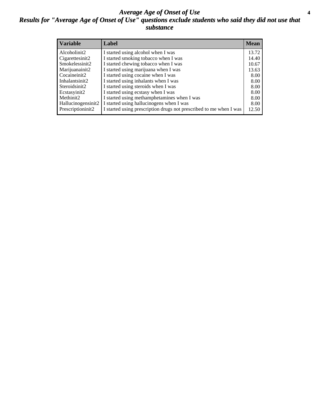#### *Average Age of Onset of Use* **4** *Results for "Average Age of Onset of Use" questions exclude students who said they did not use that substance*

| <b>Variable</b>    | Label                                                              | <b>Mean</b> |
|--------------------|--------------------------------------------------------------------|-------------|
| Alcoholinit2       | I started using alcohol when I was                                 | 13.72       |
| Cigarettesinit2    | I started smoking tobacco when I was                               | 14.40       |
| Smokelessinit2     | I started chewing tobacco when I was                               | 10.67       |
| Marijuanainit2     | I started using marijuana when I was                               | 13.63       |
| Cocaineinit2       | I started using cocaine when I was                                 | 8.00        |
| Inhalantsinit2     | I started using inhalants when I was                               | 8.00        |
| Steroidsinit2      | I started using steroids when I was                                | 8.00        |
| Ecstasyinit2       | I started using ecstasy when I was                                 | 8.00        |
| Methinit2          | I started using methamphetamines when I was                        | 8.00        |
| Hallucinogensinit2 | I started using hallucinogens when I was                           | 8.00        |
| Prescriptioninit2  | I started using prescription drugs not prescribed to me when I was | 12.50       |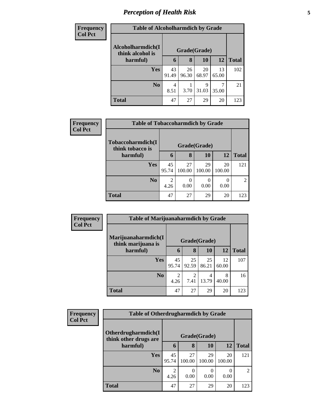### *Perception of Health Risk* **5**

| <b>Frequency</b> | <b>Table of Alcoholharmdich by Grade</b> |              |             |             |             |              |  |
|------------------|------------------------------------------|--------------|-------------|-------------|-------------|--------------|--|
| <b>Col Pct</b>   | Alcoholharmdich(I)<br>think alcohol is   | Grade(Grade) |             |             |             |              |  |
|                  | harmful)                                 | 6            | 8           | 10          | 12          | <b>Total</b> |  |
|                  | Yes                                      | 43<br>91.49  | 26<br>96.30 | 20<br>68.97 | 13<br>65.00 | 102          |  |
|                  | N <sub>0</sub>                           | 4<br>8.51    | 3.70        | 9<br>31.03  | 35.00       | 21           |  |
|                  | <b>Total</b>                             | 47           | 27          | 29          | 20          | 123          |  |

| <b>Frequency</b> | <b>Table of Tobaccoharmdich by Grade</b> |             |              |              |              |                |  |  |
|------------------|------------------------------------------|-------------|--------------|--------------|--------------|----------------|--|--|
| <b>Col Pct</b>   | Tobaccoharmdich(I<br>think tobacco is    |             | Grade(Grade) |              |              |                |  |  |
|                  | harmful)                                 | 6           | 8            | 10           | 12           | <b>Total</b>   |  |  |
|                  | <b>Yes</b>                               | 45<br>95.74 | 27<br>100.00 | 29<br>100.00 | 20<br>100.00 | 121            |  |  |
|                  | N <sub>0</sub>                           | 4.26        | 0.00         | 0.00         | 0.00         | $\overline{2}$ |  |  |
|                  | <b>Total</b>                             | 47          | 27           | 29           | 20           | 123            |  |  |

| Frequency      | <b>Table of Marijuanaharmdich by Grade</b> |             |              |             |             |              |
|----------------|--------------------------------------------|-------------|--------------|-------------|-------------|--------------|
| <b>Col Pct</b> | Marijuanaharmdich(I<br>think marijuana is  |             | Grade(Grade) |             |             |              |
|                | harmful)                                   | 6           | 8            | 10          | <b>12</b>   | <b>Total</b> |
|                | <b>Yes</b>                                 | 45<br>95.74 | 25<br>92.59  | 25<br>86.21 | 12<br>60.00 | 107          |
|                | N <sub>o</sub>                             | 2<br>4.26   | 7.41         | 4<br>13.79  | 8<br>40.00  | 16           |
|                | <b>Total</b>                               | 47          | 27           | 29          | 20          | 123          |

| <b>Frequency</b> | <b>Table of Otherdrugharmdich by Grade</b>   |                        |              |              |              |                |  |
|------------------|----------------------------------------------|------------------------|--------------|--------------|--------------|----------------|--|
| <b>Col Pct</b>   | Otherdrugharmdich(I<br>think other drugs are |                        |              | Grade(Grade) |              |                |  |
|                  | harmful)                                     | 6                      | 8            | 10           | <b>12</b>    | <b>Total</b>   |  |
|                  | <b>Yes</b>                                   | 45<br>95.74            | 27<br>100.00 | 29<br>100.00 | 20<br>100.00 | 121            |  |
|                  | N <sub>0</sub>                               | $\overline{2}$<br>4.26 | 0<br>0.00    | 0<br>0.00    | 0.00         | $\overline{2}$ |  |
|                  | <b>Total</b>                                 | 47                     | 27           | 29           | 20           | 123            |  |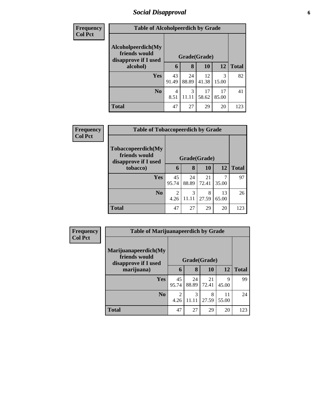### *Social Disapproval* **6**

| <b>Frequency</b> | <b>Table of Alcoholpeerdich by Grade</b>                    |             |             |              |             |              |
|------------------|-------------------------------------------------------------|-------------|-------------|--------------|-------------|--------------|
| <b>Col Pct</b>   |                                                             |             |             |              |             |              |
|                  | Alcoholpeerdich(My<br>friends would<br>disapprove if I used |             |             | Grade(Grade) |             |              |
|                  | alcohol)                                                    | 6           | 8           | <b>10</b>    | 12          | <b>Total</b> |
|                  | Yes                                                         | 43<br>91.49 | 24<br>88.89 | 12<br>41.38  | 3<br>15.00  | 82           |
|                  | N <sub>0</sub>                                              | 4<br>8.51   | 3<br>11.11  | 17<br>58.62  | 17<br>85.00 | 41           |
|                  | <b>Total</b>                                                | 47          | 27          | 29           | 20          | 123          |

| <b>Frequency</b> | <b>Table of Tobaccopeerdich by Grade</b>                    |                        |             |              |             |              |
|------------------|-------------------------------------------------------------|------------------------|-------------|--------------|-------------|--------------|
| <b>Col Pct</b>   | Tobaccopeerdich(My<br>friends would<br>disapprove if I used |                        |             | Grade(Grade) |             |              |
|                  | tobacco)                                                    | 6                      | 8           | 10           | 12          | <b>Total</b> |
|                  | <b>Yes</b>                                                  | 45<br>95.74            | 24<br>88.89 | 21<br>72.41  | 35.00       | 97           |
|                  | No                                                          | $\overline{2}$<br>4.26 | 3<br>11.11  | 8<br>27.59   | 13<br>65.00 | 26           |
|                  | <b>Total</b>                                                | 47                     | 27          | 29           | 20          | 123          |

| Frequency      | <b>Table of Marijuanapeerdich by Grade</b>                    |                        |             |              |             |              |
|----------------|---------------------------------------------------------------|------------------------|-------------|--------------|-------------|--------------|
| <b>Col Pct</b> | Marijuanapeerdich(My<br>friends would<br>disapprove if I used |                        |             | Grade(Grade) |             |              |
|                | marijuana)                                                    | 6                      | 8           | 10           | <b>12</b>   | <b>Total</b> |
|                | <b>Yes</b>                                                    | 45<br>95.74            | 24<br>88.89 | 21<br>72.41  | Q<br>45.00  | 99           |
|                | N <sub>0</sub>                                                | $\mathfrak{D}$<br>4.26 | 3<br>11.11  | 8<br>27.59   | 11<br>55.00 | 24           |
|                | <b>Total</b>                                                  | 47                     | 27          | 29           | 20          | 123          |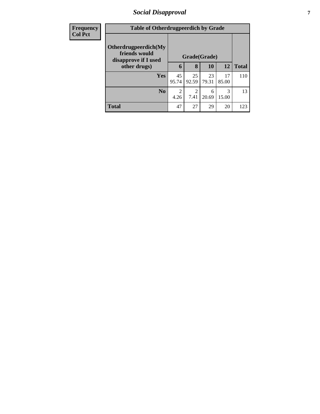### *Social Disapproval* **7**

| <b>Frequency</b> | <b>Table of Otherdrugpeerdich by Grade</b>                    |                        |                        |             |             |              |
|------------------|---------------------------------------------------------------|------------------------|------------------------|-------------|-------------|--------------|
| <b>Col Pct</b>   | Otherdrugpeerdich(My<br>friends would<br>disapprove if I used | Grade(Grade)           |                        |             |             |              |
|                  | other drugs)                                                  | 6                      | 8                      | <b>10</b>   | <b>12</b>   | <b>Total</b> |
|                  | Yes                                                           | 45<br>95.74            | 25<br>92.59            | 23<br>79.31 | 17<br>85.00 | 110          |
|                  | N <sub>0</sub>                                                | $\overline{2}$<br>4.26 | $\overline{2}$<br>7.41 | 6<br>20.69  | 3<br>15.00  | 13           |
|                  | <b>Total</b>                                                  | 47                     | 27                     | 29          | 20          | 123          |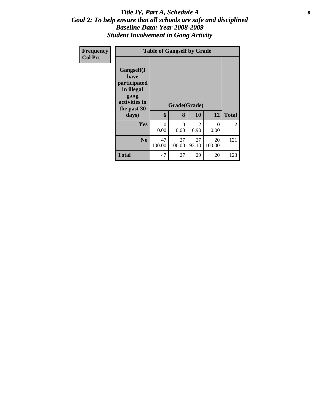#### Title IV, Part A, Schedule A **8** *Goal 2: To help ensure that all schools are safe and disciplined Baseline Data: Year 2008-2009 Student Involvement in Gang Activity*

| Frequency      | <b>Table of Gangself by Grade</b>                                                                 |              |                   |                        |                  |                |  |  |
|----------------|---------------------------------------------------------------------------------------------------|--------------|-------------------|------------------------|------------------|----------------|--|--|
| <b>Col Pct</b> | Gangself(I<br>have<br>participated<br>in illegal<br>gang<br>activities in<br>the past 30<br>days) | 6            | Grade(Grade)<br>8 | 10                     | 12               | <b>Total</b>   |  |  |
|                | <b>Yes</b>                                                                                        | 0<br>0.00    | $\theta$<br>0.00  | $\mathfrak{D}$<br>6.90 | $\theta$<br>0.00 | $\overline{2}$ |  |  |
|                | N <sub>0</sub>                                                                                    | 47<br>100.00 | 27<br>100.00      | 27<br>93.10            | 20<br>100.00     | 121            |  |  |
|                | <b>Total</b>                                                                                      | 47           | 27                | 29                     | 20               | 123            |  |  |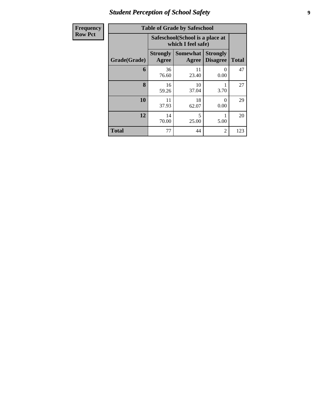### *Student Perception of School Safety* **9**

| <b>Frequency</b> | <b>Table of Grade by Safeschool</b> |                                                        |                          |                                    |              |  |  |
|------------------|-------------------------------------|--------------------------------------------------------|--------------------------|------------------------------------|--------------|--|--|
| <b>Row Pct</b>   |                                     | Safeschool (School is a place at<br>which I feel safe) |                          |                                    |              |  |  |
|                  | Grade(Grade)                        | <b>Strongly</b><br>Agree                               | <b>Somewhat</b><br>Agree | <b>Strongly</b><br><b>Disagree</b> | <b>Total</b> |  |  |
|                  | 6                                   | 36<br>76.60                                            | 11<br>23.40              | $\theta$<br>0.00                   | 47           |  |  |
|                  | 8                                   | 16<br>59.26                                            | 10<br>37.04              | 3.70                               | 27           |  |  |
|                  | 10                                  | 11<br>37.93                                            | 18<br>62.07              | 0<br>0.00                          | 29           |  |  |
|                  | 12                                  | 14<br>70.00                                            | 5<br>25.00               | 5.00                               | 20           |  |  |
|                  | <b>Total</b>                        | 77                                                     | 44                       | $\overline{2}$                     | 123          |  |  |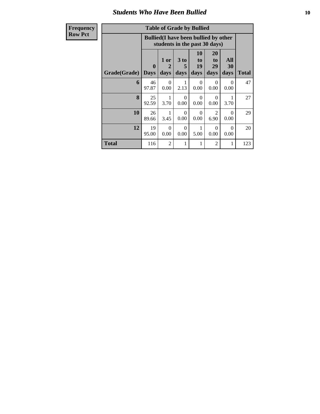#### *Students Who Have Been Bullied* **10**

# $Row$

| <b>Table of Grade by Bullied</b> |
|----------------------------------|
|                                  |

| <b>Frequency</b> | <b>Table of Grade by Bullied</b>                                              |              |                                |                   |                        |                        |                   |              |  |
|------------------|-------------------------------------------------------------------------------|--------------|--------------------------------|-------------------|------------------------|------------------------|-------------------|--------------|--|
| <b>Row Pct</b>   | <b>Bullied</b> (I have been bullied by other<br>students in the past 30 days) |              |                                |                   |                        |                        |                   |              |  |
|                  | <b>Grade</b> (Grade) Days                                                     | $\mathbf{0}$ | 1 or<br>$\mathfrak{D}$<br>days | 3 to<br>5<br>days | 10<br>to<br>19<br>days | 20<br>to<br>29<br>days | All<br>30<br>days | <b>Total</b> |  |
|                  | 6                                                                             | 46<br>97.87  | $\Omega$<br>0.00               | 1<br>2.13         | $\Omega$<br>0.00       | $\Omega$<br>0.00       | $\Omega$<br>0.00  | 47           |  |
|                  | 8                                                                             | 25<br>92.59  | 1<br>3.70                      | $\Omega$<br>0.00  | $\Omega$<br>0.00       | $\Omega$<br>0.00       | 3.70              | 27           |  |
|                  | 10                                                                            | 26<br>89.66  | 1<br>3.45                      | $\Omega$<br>0.00  | $\Omega$<br>0.00       | 2<br>6.90              | $\Omega$<br>0.00  | 29           |  |
|                  | 12                                                                            | 19<br>95.00  | $\Omega$<br>0.00               | $\Omega$<br>0.00  | 5.00                   | $\Omega$<br>0.00       | $\Omega$<br>0.00  | 20           |  |
|                  | Total                                                                         | 116          | $\mathfrak{D}$                 | 1                 | 1                      | $\overline{2}$         | 1                 | 123          |  |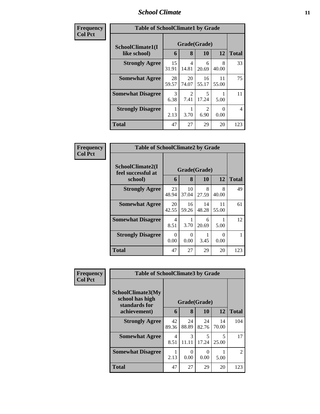#### *School Climate* **11**

| Frequency      | <b>Table of SchoolClimate1 by Grade</b> |             |              |                                     |             |              |  |  |
|----------------|-----------------------------------------|-------------|--------------|-------------------------------------|-------------|--------------|--|--|
| <b>Col Pct</b> | SchoolClimate1(I                        |             | Grade(Grade) |                                     |             |              |  |  |
|                | like school)                            | 6           | 8            | 10                                  | 12          | <b>Total</b> |  |  |
|                | <b>Strongly Agree</b>                   | 15<br>31.91 | 4<br>14.81   | 6<br>20.69                          | 8<br>40.00  | 33           |  |  |
|                | <b>Somewhat Agree</b>                   | 28<br>59.57 | 20<br>74.07  | 16<br>55.17                         | 11<br>55.00 | 75           |  |  |
|                | <b>Somewhat Disagree</b>                | 3<br>6.38   | 2<br>7.41    | 5<br>17.24                          | 5.00        | 11           |  |  |
|                | <b>Strongly Disagree</b>                | 2.13        | 3.70         | $\mathcal{D}_{\mathcal{L}}$<br>6.90 | 0<br>0.00   | 4            |  |  |
|                | <b>Total</b>                            | 47          | 27           | 29                                  | 20          | 123          |  |  |

| Frequency      | <b>Table of SchoolClimate2 by Grade</b>           |             |                   |             |             |              |
|----------------|---------------------------------------------------|-------------|-------------------|-------------|-------------|--------------|
| <b>Col Pct</b> | SchoolClimate2(I<br>feel successful at<br>school) | 6           | Grade(Grade)<br>8 | 10          | 12          | <b>Total</b> |
|                | <b>Strongly Agree</b>                             | 23<br>48.94 | 10<br>37.04       | 8<br>27.59  | 8<br>40.00  | 49           |
|                | <b>Somewhat Agree</b>                             | 20<br>42.55 | 16<br>59.26       | 14<br>48.28 | 11<br>55.00 | 61           |
|                | <b>Somewhat Disagree</b>                          | 4<br>8.51   | 3.70              | 6<br>20.69  | 5.00        | 12           |
|                | <b>Strongly Disagree</b>                          | 0<br>0.00   | 0<br>0.00         | 3.45        | 0.00        |              |
|                | Total                                             | 47          | 27                | 29          | 20          | 123          |

| <b>Frequency</b> | <b>Table of SchoolClimate3 by Grade</b>               |             |                  |                  |             |                |
|------------------|-------------------------------------------------------|-------------|------------------|------------------|-------------|----------------|
| <b>Col Pct</b>   | SchoolClimate3(My<br>school has high<br>standards for |             |                  | Grade(Grade)     |             |                |
|                  | achievement)                                          | 6           | 8                | <b>10</b>        | 12          | <b>Total</b>   |
|                  | <b>Strongly Agree</b>                                 | 42<br>89.36 | 24<br>88.89      | 24<br>82.76      | 14<br>70.00 | 104            |
|                  | <b>Somewhat Agree</b>                                 | 4<br>8.51   | 3<br>11.11       | 5<br>17.24       | 5<br>25.00  | 17             |
|                  | <b>Somewhat Disagree</b>                              | 2.13        | $\Omega$<br>0.00 | $\Omega$<br>0.00 | 5.00        | $\mathfrak{D}$ |
|                  | <b>Total</b>                                          | 47          | 27               | 29               | 20          | 123            |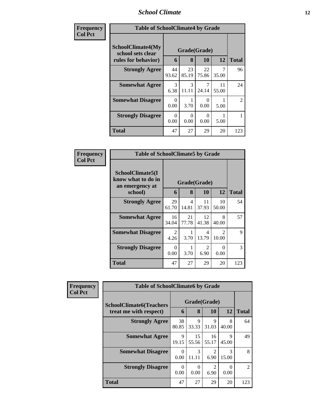### *School Climate* **12**

| Frequency      | <b>Table of SchoolClimate4 by Grade</b>                              |             |                   |                  |             |                |
|----------------|----------------------------------------------------------------------|-------------|-------------------|------------------|-------------|----------------|
| <b>Col Pct</b> | <b>SchoolClimate4(My</b><br>school sets clear<br>rules for behavior) | 6           | Grade(Grade)<br>8 | <b>10</b>        | 12          | <b>Total</b>   |
|                | <b>Strongly Agree</b>                                                | 44<br>93.62 | 23<br>85.19       | 22<br>75.86      | 7<br>35.00  | 96             |
|                | <b>Somewhat Agree</b>                                                | 3<br>6.38   | 3<br>11.11        | 7<br>24.14       | 11<br>55.00 | 24             |
|                | <b>Somewhat Disagree</b>                                             | 0<br>0.00   | 3.70              | $\theta$<br>0.00 | 5.00        | $\overline{2}$ |
|                | <b>Strongly Disagree</b>                                             | 0<br>0.00   | 0<br>0.00         | $\theta$<br>0.00 | 5.00        |                |
|                | <b>Total</b>                                                         | 47          | 27                | 29               | 20          | 123            |

| Frequency      | <b>Table of SchoolClimate5 by Grade</b>                   |                  |              |             |                         |              |  |
|----------------|-----------------------------------------------------------|------------------|--------------|-------------|-------------------------|--------------|--|
| <b>Col Pct</b> | SchoolClimate5(I<br>know what to do in<br>an emergency at |                  | Grade(Grade) |             |                         |              |  |
|                | school)                                                   | 6                | 8            | 10          | 12                      | <b>Total</b> |  |
|                | <b>Strongly Agree</b>                                     | 29<br>61.70      | 4<br>14.81   | 11<br>37.93 | 10<br>50.00             | 54           |  |
|                | <b>Somewhat Agree</b>                                     | 16<br>34.04      | 21<br>77.78  | 12<br>41.38 | 8<br>40.00              | 57           |  |
|                | <b>Somewhat Disagree</b>                                  | 2<br>4.26        | 3.70         | 4<br>13.79  | $\mathfrak{D}$<br>10.00 | 9            |  |
|                | <b>Strongly Disagree</b>                                  | $\Omega$<br>0.00 | 3.70         | 2<br>6.90   | 0<br>0.00               | 3            |  |
|                | Total                                                     | 47               | 27           | 29          | 20                      | 123          |  |

| Frequency      | <b>Table of SchoolClimate6 by Grade</b>                  |                   |             |                                     |            |                             |  |
|----------------|----------------------------------------------------------|-------------------|-------------|-------------------------------------|------------|-----------------------------|--|
| <b>Col Pct</b> | <b>SchoolClimate6(Teachers</b><br>treat me with respect) | Grade(Grade)<br>6 | <b>12</b>   | <b>Total</b>                        |            |                             |  |
|                | <b>Strongly Agree</b>                                    | 38<br>80.85       | 9<br>33.33  | 9<br>31.03                          | 8<br>40.00 | 64                          |  |
|                | <b>Somewhat Agree</b>                                    | 9<br>19.15        | 15<br>55.56 | 16<br>55.17                         | 9<br>45.00 | 49                          |  |
|                | <b>Somewhat Disagree</b>                                 | 0<br>0.00         | 3<br>11.11  | 6.90                                | 3<br>15.00 | 8                           |  |
|                | <b>Strongly Disagree</b>                                 | 0<br>0.00         | 0<br>0.00   | $\mathcal{D}_{\mathcal{A}}$<br>6.90 | 0<br>0.00  | $\mathcal{D}_{\mathcal{L}}$ |  |
|                | <b>Total</b>                                             | 47                | 27          | 29                                  | 20         | 123                         |  |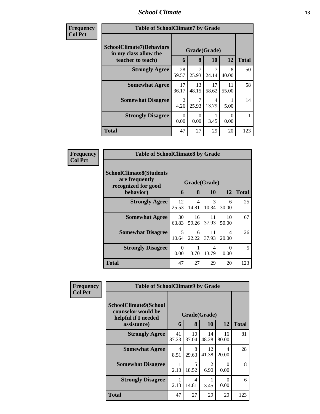#### *School Climate* **13**

| <b>Frequency</b> |
|------------------|
| <b>Col Pct</b>   |

n

| ncy | <b>Table of SchoolClimate7 by Grade</b>                                       |                        |                   |             |             |              |
|-----|-------------------------------------------------------------------------------|------------------------|-------------------|-------------|-------------|--------------|
|     | <b>SchoolClimate7(Behaviors</b><br>in my class allow the<br>teacher to teach) | 6                      | Grade(Grade)<br>8 | 10          | 12          | <b>Total</b> |
|     | <b>Strongly Agree</b>                                                         | 28<br>59.57            | 25.93             | 7<br>24.14  | 8<br>40.00  | 50           |
|     | <b>Somewhat Agree</b>                                                         | 17<br>36.17            | 13<br>48.15       | 17<br>58.62 | 11<br>55.00 | 58           |
|     | <b>Somewhat Disagree</b>                                                      | $\mathfrak{D}$<br>4.26 | 25.93             | 4<br>13.79  | 5.00        | 14           |
|     | <b>Strongly Disagree</b>                                                      | $\Omega$<br>0.00       | 0<br>0.00         | 3.45        | 0.00        |              |
|     | <b>Total</b>                                                                  | 47                     | 27                | 29          | 20          | 123          |

| Frequency      | <b>Table of SchoolClimate8 by Grade</b>                                 |                  |                         |              |                  |              |
|----------------|-------------------------------------------------------------------------|------------------|-------------------------|--------------|------------------|--------------|
| <b>Col Pct</b> | <b>SchoolClimate8(Students</b><br>are frequently<br>recognized for good |                  |                         | Grade(Grade) |                  |              |
|                | behavior)                                                               | 6                | 8                       | 10           | 12               | <b>Total</b> |
|                | <b>Strongly Agree</b>                                                   | 12<br>25.53      | $\overline{4}$<br>14.81 | 3<br>10.34   | 6<br>30.00       | 25           |
|                | <b>Somewhat Agree</b>                                                   | 30<br>63.83      | 16<br>59.26             | 11<br>37.93  | 10<br>50.00      | 67           |
|                | <b>Somewhat Disagree</b>                                                | 5<br>10.64       | 6<br>22.22              | 11<br>37.93  | 4<br>20.00       | 26           |
|                | <b>Strongly Disagree</b>                                                | $\Omega$<br>0.00 | 3.70                    | 4<br>13.79   | $\Omega$<br>0.00 | 5            |
|                | <b>Total</b>                                                            | 47               | 27                      | 29           | 20               | 123          |

| Frequency<br><b>Col Pct</b> | <b>Table of SchoolClimate9 by Grade</b>                            |             |              |                        |             |              |  |
|-----------------------------|--------------------------------------------------------------------|-------------|--------------|------------------------|-------------|--------------|--|
|                             | SchoolClimate9(School<br>counselor would be<br>helpful if I needed |             | Grade(Grade) |                        |             |              |  |
|                             | assistance)                                                        | 6           | 8            | 10                     | 12          | <b>Total</b> |  |
|                             | <b>Strongly Agree</b>                                              | 41<br>87.23 | 10<br>37.04  | 14<br>48.28            | 16<br>80.00 | 81           |  |
|                             | <b>Somewhat Agree</b>                                              | 4<br>8.51   | 8<br>29.63   | 12<br>41.38            | 4<br>20.00  | 28           |  |
|                             | <b>Somewhat Disagree</b>                                           | 2.13        | 5<br>18.52   | $\overline{2}$<br>6.90 | 0<br>0.00   | 8            |  |
|                             | <b>Strongly Disagree</b>                                           | 2.13        | 4<br>14.81   | 3.45                   | 0<br>0.00   | 6            |  |
|                             | <b>Total</b>                                                       | 47          | 27           | 29                     | 20          | 123          |  |

٦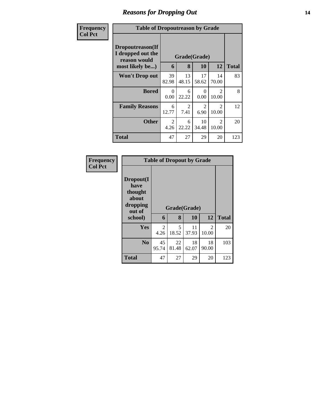### *Reasons for Dropping Out* **14**

| <b>Frequency</b> | <b>Table of Dropoutreason by Grade</b>                                   |                    |                        |                    |                                               |              |
|------------------|--------------------------------------------------------------------------|--------------------|------------------------|--------------------|-----------------------------------------------|--------------|
| <b>Col Pct</b>   | Dropoutreason(If<br>I dropped out the<br>reason would<br>most likely be) | 6                  | 8                      | Grade(Grade)<br>10 | 12                                            | <b>Total</b> |
|                  | Won't Drop out                                                           | 39                 | 13                     | 17                 | 14                                            | 83           |
|                  | <b>Bored</b>                                                             | 82.98<br>0<br>0.00 | 48.15<br>6<br>22.22    | 58.62<br>0<br>0.00 | 70.00<br>$\mathcal{D}_{\mathcal{L}}$<br>10.00 | 8            |
|                  | <b>Family Reasons</b>                                                    | 6<br>12.77         | $\overline{2}$<br>7.41 | 2<br>6.90          | $\mathfrak{D}$<br>10.00                       | 12           |
|                  | <b>Other</b>                                                             | 2<br>4.26          | 6<br>22.22             | 10<br>34.48        | $\mathfrak{D}$<br>10.00                       | 20           |
|                  | Total                                                                    | 47                 | 27                     | 29                 | 20                                            | 123          |

| <b>Frequency</b><br><b>Col Pct</b> |                                                             | <b>Table of Dropout by Grade</b> |              |             |             |              |  |  |
|------------------------------------|-------------------------------------------------------------|----------------------------------|--------------|-------------|-------------|--------------|--|--|
|                                    | Dropout(I<br>have<br>thought<br>about<br>dropping<br>out of |                                  | Grade(Grade) |             |             |              |  |  |
|                                    | school)                                                     | 6                                | 8            | 10          | 12          | <b>Total</b> |  |  |
|                                    | Yes                                                         | 2<br>4.26                        | 5<br>18.52   | 11<br>37.93 | 2<br>10.00  | 20           |  |  |
|                                    | N <sub>0</sub>                                              | 45<br>95.74                      | 22<br>81.48  | 18<br>62.07 | 18<br>90.00 | 103          |  |  |
|                                    | <b>Total</b>                                                | 47                               | 27           | 29          | 20          | 123          |  |  |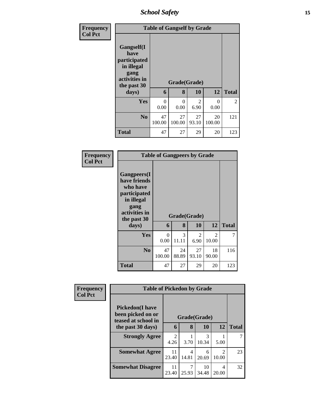*School Safety* **15**

| <b>Frequency</b><br><b>Col Pct</b> |                                                                                                   | <b>Table of Gangself by Grade</b> |                   |             |                  |                |  |  |  |
|------------------------------------|---------------------------------------------------------------------------------------------------|-----------------------------------|-------------------|-------------|------------------|----------------|--|--|--|
|                                    | Gangself(I<br>have<br>participated<br>in illegal<br>gang<br>activities in<br>the past 30<br>days) | 6                                 | Grade(Grade)<br>8 | 10          | 12               | <b>Total</b>   |  |  |  |
|                                    | <b>Yes</b>                                                                                        | 0<br>0.00                         | $\Omega$<br>0.00  | 2<br>6.90   | $\theta$<br>0.00 | $\mathfrak{D}$ |  |  |  |
|                                    | N <sub>o</sub>                                                                                    | 47<br>100.00                      | 27<br>100.00      | 27<br>93.10 | 20<br>100.00     | 121            |  |  |  |
|                                    | <b>Total</b>                                                                                      | 47                                | 27                | 29          | 20               | 123            |  |  |  |

| Frequency<br><b>Col Pct</b> |                                                                                                                       | <b>Table of Gangpeers by Grade</b> |             |              |                         |              |  |  |  |
|-----------------------------|-----------------------------------------------------------------------------------------------------------------------|------------------------------------|-------------|--------------|-------------------------|--------------|--|--|--|
|                             | <b>Gangpeers</b> (I<br>have friends<br>who have<br>participated<br>in illegal<br>gang<br>activities in<br>the past 30 |                                    |             | Grade(Grade) |                         |              |  |  |  |
|                             | days)                                                                                                                 | 6                                  | 8           | 10           | 12                      | <b>Total</b> |  |  |  |
|                             | Yes                                                                                                                   | 0<br>0.00                          | 3<br>11.11  | 2<br>6.90    | $\mathfrak{D}$<br>10.00 | 7            |  |  |  |
|                             | N <sub>0</sub>                                                                                                        | 47<br>100.00                       | 24<br>88.89 | 27<br>93.10  | 18<br>90.00             | 116          |  |  |  |
|                             | <b>Total</b>                                                                                                          | 47                                 | 27          | 29           | 20                      | 123          |  |  |  |

| Frequency<br><b>Col Pct</b> |                                                                     | <b>Table of Pickedon by Grade</b>   |              |             |                                      |              |  |
|-----------------------------|---------------------------------------------------------------------|-------------------------------------|--------------|-------------|--------------------------------------|--------------|--|
|                             | <b>Pickedon</b> (I have<br>been picked on or<br>teased at school in |                                     | Grade(Grade) |             |                                      |              |  |
|                             | the past 30 days)                                                   |                                     | 8            | 10          | 12                                   | <b>Total</b> |  |
|                             | <b>Strongly Agree</b>                                               | $\mathcal{D}_{\mathcal{L}}$<br>4.26 | 3.70         | 3<br>10.34  | 5.00                                 |              |  |
|                             | <b>Somewhat Agree</b>                                               | 11<br>23.40                         | 4<br>14.81   | 6<br>20.69  | $\mathcal{D}_{\mathcal{L}}$<br>10.00 | 23           |  |
|                             | <b>Somewhat Disagree</b>                                            | 11<br>23.40                         | 7<br>25.93   | 10<br>34.48 | 4<br>20.00                           | 32           |  |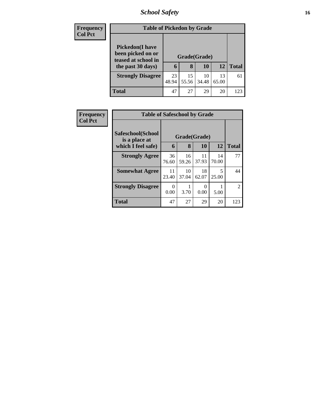## *School Safety* **16**

| <b>Frequency</b> | <b>Table of Pickedon by Grade</b>                                   |              |             |             |             |              |  |
|------------------|---------------------------------------------------------------------|--------------|-------------|-------------|-------------|--------------|--|
| <b>Col Pct</b>   | <b>Pickedon</b> (I have<br>been picked on or<br>teased at school in | Grade(Grade) |             |             |             |              |  |
|                  | the past 30 days)                                                   | 6            | 8           | 10          | 12          | <b>Total</b> |  |
|                  | <b>Strongly Disagree</b>                                            | 23<br>48.94  | 15<br>55.56 | 10<br>34.48 | 13<br>65.00 | 61           |  |
|                  | Total                                                               | 47           | 27          | 29          | 20          | 123          |  |

| <b>Frequency</b> | <b>Table of Safeschool by Grade</b> |                  |              |             |             |                |  |
|------------------|-------------------------------------|------------------|--------------|-------------|-------------|----------------|--|
| <b>Col Pct</b>   | Safeschool(School<br>is a place at  |                  | Grade(Grade) |             |             |                |  |
|                  | which I feel safe)                  | 6                | 8            | 10          | 12          | <b>Total</b>   |  |
|                  | <b>Strongly Agree</b>               | 36<br>76.60      | 16<br>59.26  | 11<br>37.93 | 14<br>70.00 | 77             |  |
|                  | <b>Somewhat Agree</b>               | 11<br>23.40      | 10<br>37.04  | 18<br>62.07 | 5<br>25.00  | 44             |  |
|                  | <b>Strongly Disagree</b>            | $\Omega$<br>0.00 | 3.70         | ∩<br>0.00   | 5.00        | $\overline{2}$ |  |
|                  | <b>Total</b>                        | 47               | 27           | 29          | 20          | 123            |  |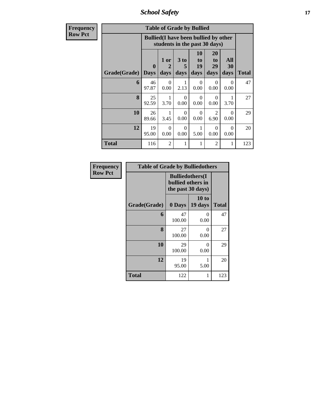*School Safety* **17**

| <b>Frequency</b> | <b>Table of Grade by Bullied</b> |                                                                               |                                |                   |                        |                        |                   |              |  |  |
|------------------|----------------------------------|-------------------------------------------------------------------------------|--------------------------------|-------------------|------------------------|------------------------|-------------------|--------------|--|--|
| <b>Row Pct</b>   |                                  | <b>Bullied</b> (I have been bullied by other<br>students in the past 30 days) |                                |                   |                        |                        |                   |              |  |  |
|                  | Grade(Grade)                     | $\mathbf{0}$<br><b>Days</b>                                                   | $1$ or<br>$\mathbf{2}$<br>days | 3 to<br>5<br>days | 10<br>to<br>19<br>days | 20<br>to<br>29<br>days | All<br>30<br>days | <b>Total</b> |  |  |
|                  | 6                                | 46<br>97.87                                                                   | $\Omega$<br>0.00               | 1<br>2.13         | $\Omega$<br>0.00       | $\Omega$<br>0.00       | $\Omega$<br>0.00  | 47           |  |  |
|                  | 8                                | 25<br>92.59                                                                   | 1<br>3.70                      | $\Omega$<br>0.00  | $\Omega$<br>0.00       | $\Omega$<br>0.00       | 1<br>3.70         | 27           |  |  |
|                  | 10                               | 26<br>89.66                                                                   | 3.45                           | $\Omega$<br>0.00  | $\Omega$<br>0.00       | $\overline{2}$<br>6.90 | 0<br>0.00         | 29           |  |  |
|                  | 12                               | 19<br>95.00                                                                   | $\Omega$<br>0.00               | $\Omega$<br>0.00  | 1<br>5.00              | $\Omega$<br>0.00       | $\Omega$<br>0.00  | 20           |  |  |
|                  | <b>Total</b>                     | 116                                                                           | $\overline{c}$                 | 1                 | 1                      | $\overline{2}$         | 1                 | 123          |  |  |

| Frequency      | <b>Table of Grade by Bulliedothers</b> |                                                                   |                  |              |  |  |
|----------------|----------------------------------------|-------------------------------------------------------------------|------------------|--------------|--|--|
| <b>Row Pct</b> |                                        | <b>Bulliedothers</b> (I<br>bullied others in<br>the past 30 days) |                  |              |  |  |
|                | Grade(Grade)                           | 0 Days                                                            | 10 to<br>19 days | <b>Total</b> |  |  |
|                | 6                                      | 47<br>100.00                                                      | 0<br>0.00        | 47           |  |  |
|                | 8                                      | 27<br>100.00                                                      | 0<br>0.00        | 27           |  |  |
|                | 10                                     | 29<br>100.00                                                      | 0<br>0.00        | 29           |  |  |
|                | 12                                     | 19<br>95.00                                                       | 5.00             | 20           |  |  |
|                | <b>Total</b>                           | 122                                                               | 1                | 123          |  |  |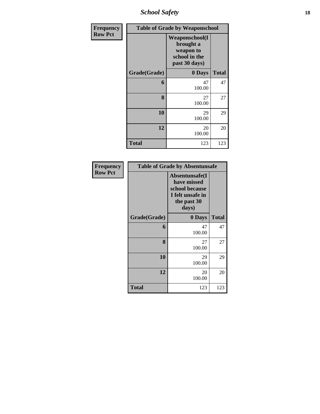*School Safety* **18**

| <b>Frequency</b> | <b>Table of Grade by Weaponschool</b> |                                                                                    |              |  |
|------------------|---------------------------------------|------------------------------------------------------------------------------------|--------------|--|
| <b>Row Pct</b>   |                                       | <b>Weaponschool</b> (I<br>brought a<br>weapon to<br>school in the<br>past 30 days) |              |  |
|                  | Grade(Grade)                          | 0 Days                                                                             | <b>Total</b> |  |
|                  | 6                                     | 47<br>100.00                                                                       | 47           |  |
|                  | 8                                     | 27<br>100.00                                                                       | 27           |  |
|                  | 10                                    | 29<br>100.00                                                                       | 29           |  |
|                  | 12                                    | 20<br>100.00                                                                       | 20           |  |
|                  | <b>Total</b>                          | 123                                                                                | 123          |  |

| Frequency      | <b>Table of Grade by Absentunsafe</b> |                                                                                             |              |  |
|----------------|---------------------------------------|---------------------------------------------------------------------------------------------|--------------|--|
| <b>Row Pct</b> |                                       | Absentunsafe(I<br>have missed<br>school because<br>I felt unsafe in<br>the past 30<br>days) |              |  |
|                | Grade(Grade)                          | 0 Days                                                                                      | <b>Total</b> |  |
|                | 6                                     | 47<br>100.00                                                                                | 47           |  |
|                | 8                                     | 27<br>100.00                                                                                | 27           |  |
|                | 10                                    | 29<br>100.00                                                                                | 29           |  |
|                | 12                                    | 20<br>100.00                                                                                | 20           |  |
|                | <b>Total</b>                          | 123                                                                                         | 123          |  |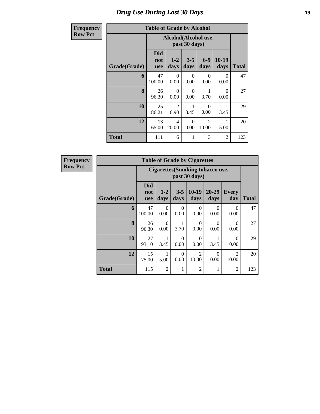### *Drug Use During Last 30 Days* **19**

### **Row Pct**

| <b>Frequency</b> |              | <b>Table of Grade by Alcohol</b> |                                       |                  |                         |                 |              |  |
|------------------|--------------|----------------------------------|---------------------------------------|------------------|-------------------------|-----------------|--------------|--|
| <b>Row Pct</b>   |              |                                  | Alcohol(Alcohol use,<br>past 30 days) |                  |                         |                 |              |  |
|                  | Grade(Grade) | <b>Did</b><br>not<br><b>use</b>  | $1-2$<br>days                         | $3 - 5$<br>days  | $6 - 9$<br>days         | $10-19$<br>days | <b>Total</b> |  |
|                  | 6            | 47<br>100.00                     | $\Omega$<br>0.00                      | $\Omega$<br>0.00 | $\Omega$<br>0.00        | 0<br>0.00       | 47           |  |
|                  | 8            | 26<br>96.30                      | $\Omega$<br>0.00                      | $\Omega$<br>0.00 | 3.70                    | 0<br>0.00       | 27           |  |
|                  | 10           | 25<br>86.21                      | $\overline{2}$<br>6.90                | 3.45             | $\Omega$<br>0.00        | 3.45            | 29           |  |
|                  | 12           | 13<br>65.00                      | 4<br>20.00                            | $\Omega$<br>0.00 | $\mathfrak{D}$<br>10.00 | 5.00            | 20           |  |
|                  | <b>Total</b> | 111                              | 6                                     | 1                | 3                       | $\overline{2}$  | 123          |  |

**Frequency Row Pct**

| <b>Table of Grade by Cigarettes</b> |                                 |                                                   |                  |                         |               |                         |              |  |
|-------------------------------------|---------------------------------|---------------------------------------------------|------------------|-------------------------|---------------|-------------------------|--------------|--|
|                                     |                                 | Cigarettes (Smoking tobacco use,<br>past 30 days) |                  |                         |               |                         |              |  |
| Grade(Grade)                        | <b>Did</b><br>not<br><b>use</b> | $1 - 2$<br>days                                   | $3 - 5$<br>days  | $10-19$<br>days         | 20-29<br>days | <b>Every</b><br>day     | <b>Total</b> |  |
| 6                                   | 47<br>100.00                    | 0<br>0.00                                         | 0<br>0.00        | 0<br>0.00               | 0<br>0.00     | 0<br>0.00               | 47           |  |
| 8                                   | 26<br>96.30                     | $\Omega$<br>0.00                                  | 1<br>3.70        | 0<br>0.00               | 0<br>0.00     | 0<br>0.00               | 27           |  |
| 10                                  | 27<br>93.10                     | 3.45                                              | 0<br>0.00        | $\Omega$<br>0.00        | 1<br>3.45     | $\Omega$<br>0.00        | 29           |  |
| 12                                  | 15<br>75.00                     | 1<br>5.00                                         | $\Omega$<br>0.00 | $\overline{2}$<br>10.00 | 0<br>0.00     | $\mathfrak{D}$<br>10.00 | 20           |  |
| <b>Total</b>                        | 115                             | $\overline{c}$                                    | 1                | $\overline{2}$          | 1             | $\overline{c}$          | 123          |  |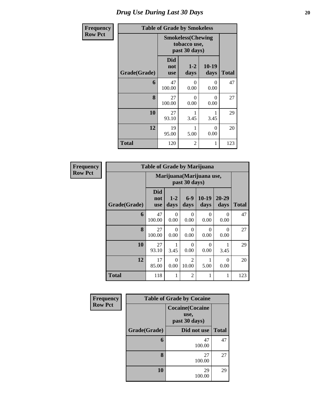### *Drug Use During Last 30 Days* 20

| Frequency      | <b>Table of Grade by Smokeless</b> |                                                           |               |                 |              |  |  |  |
|----------------|------------------------------------|-----------------------------------------------------------|---------------|-----------------|--------------|--|--|--|
| <b>Row Pct</b> |                                    | <b>Smokeless(Chewing</b><br>tobacco use,<br>past 30 days) |               |                 |              |  |  |  |
|                | Grade(Grade)                       | <b>Did</b><br>not<br><b>use</b>                           | $1-2$<br>days | $10-19$<br>days | <b>Total</b> |  |  |  |
|                | 6                                  | 47<br>100.00                                              | 0<br>0.00     | 0<br>0.00       | 47           |  |  |  |
|                | 8                                  | 27<br>100.00                                              | 0<br>0.00     | 0<br>0.00       | 27           |  |  |  |
|                | 10                                 | 27<br>93.10                                               | 3.45          | 3.45            | 29           |  |  |  |
|                | 12                                 | 19<br>95.00                                               | 5.00          | 0<br>0.00       | 20           |  |  |  |
|                | <b>Total</b>                       | 120                                                       | 2             | 1               | 123          |  |  |  |

| <b>Frequency</b> |              | <b>Table of Grade by Marijuana</b> |                  |                         |                           |                   |              |
|------------------|--------------|------------------------------------|------------------|-------------------------|---------------------------|-------------------|--------------|
| <b>Row Pct</b>   |              |                                    |                  | past 30 days)           | Marijuana (Marijuana use, |                   |              |
|                  | Grade(Grade) | <b>Did</b><br>not<br><b>use</b>    | $1 - 2$<br>days  | $6-9$<br>days           | $10-19$<br>days           | $20 - 29$<br>days | <b>Total</b> |
|                  | 6            | 47<br>100.00                       | $\Omega$<br>0.00 | $\theta$<br>0.00        | 0<br>0.00                 | 0<br>0.00         | 47           |
|                  | $\mathbf{8}$ | 27<br>100.00                       | $\Omega$<br>0.00 | $\Omega$<br>0.00        | 0<br>0.00                 | 0<br>0.00         | 27           |
|                  | 10           | 27<br>93.10                        | 3.45             | $\Omega$<br>0.00        | 0<br>0.00                 | 3.45              | 29           |
|                  | 12           | 17<br>85.00                        | $\Omega$<br>0.00 | $\overline{2}$<br>10.00 | 5.00                      | 0<br>0.00         | 20           |
|                  | <b>Total</b> | 118                                | 1                | $\overline{2}$          | 1                         | 1                 | 123          |

| Frequency      |              | <b>Table of Grade by Cocaine</b>                 |              |
|----------------|--------------|--------------------------------------------------|--------------|
| <b>Row Pct</b> |              | <b>Cocaine</b> (Cocaine<br>use,<br>past 30 days) |              |
|                | Grade(Grade) | Did not use                                      | <b>Total</b> |
|                | 6            | 47<br>100.00                                     | 47           |
|                | 8            | 27<br>100.00                                     | 27           |
|                | 10           | 29<br>100.00                                     | 29           |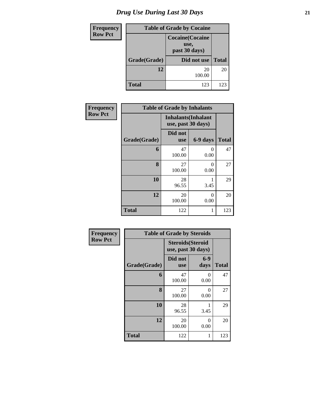| <b>Frequency</b> | <b>Table of Grade by Cocaine</b> |                                                  |              |  |  |  |
|------------------|----------------------------------|--------------------------------------------------|--------------|--|--|--|
| <b>Row Pct</b>   |                                  | <b>Cocaine</b> (Cocaine<br>use,<br>past 30 days) |              |  |  |  |
|                  | Grade(Grade)                     | Did not use                                      | <b>Total</b> |  |  |  |
|                  | 12                               | 20<br>100.00                                     | 20           |  |  |  |
|                  | Total                            | 123                                              | 123          |  |  |  |

| Frequency      |              | <b>Table of Grade by Inhalants</b>               |           |              |
|----------------|--------------|--------------------------------------------------|-----------|--------------|
| <b>Row Pct</b> |              | <b>Inhalants</b> (Inhalant<br>use, past 30 days) |           |              |
|                | Grade(Grade) | Did not<br><b>use</b>                            | 6-9 days  | <b>Total</b> |
|                | 6            | 47<br>100.00                                     | 0<br>0.00 | 47           |
|                | 8            | 27<br>100.00                                     | 0<br>0.00 | 27           |
|                | 10           | 28<br>96.55                                      | 3.45      | 29           |
|                | 12           | 20<br>100.00                                     | 0<br>0.00 | 20           |
|                | <b>Total</b> | 122                                              | 1         | 123          |

| Frequency      | <b>Table of Grade by Steroids</b> |                                                |                           |              |  |  |
|----------------|-----------------------------------|------------------------------------------------|---------------------------|--------------|--|--|
| <b>Row Pct</b> |                                   | <b>Steroids</b> (Steroid<br>use, past 30 days) |                           |              |  |  |
|                | Grade(Grade)                      | Did not<br><b>use</b>                          | $6-9$<br>days             | <b>Total</b> |  |  |
|                | 6                                 | 47<br>100.00                                   | $\mathbf{\Omega}$<br>0.00 | 47           |  |  |
|                | 8                                 | 27<br>100.00                                   | 0<br>0.00                 | 27           |  |  |
|                | 10                                | 28<br>96.55                                    | 3.45                      | 29           |  |  |
|                | 12                                | 20<br>100.00                                   | 0<br>0.00                 | 20           |  |  |
|                | <b>Total</b>                      | 122                                            |                           | 123          |  |  |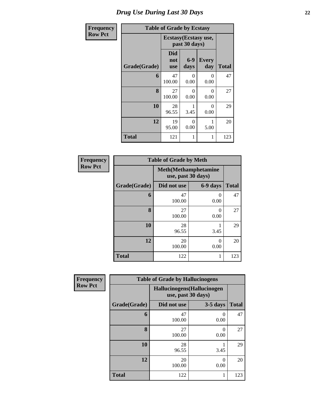| Frequency      |              | <b>Table of Grade by Ecstasy</b> |                                       |                     |              |  |  |  |
|----------------|--------------|----------------------------------|---------------------------------------|---------------------|--------------|--|--|--|
| <b>Row Pct</b> |              |                                  | Ecstasy(Ecstasy use,<br>past 30 days) |                     |              |  |  |  |
|                | Grade(Grade) | <b>Did</b><br>not<br><b>use</b>  | $6-9$<br>days                         | <b>Every</b><br>day | <b>Total</b> |  |  |  |
|                | 6            | 47<br>100.00                     | 0<br>0.00                             | $\Omega$<br>0.00    | 47           |  |  |  |
|                | 8            | 27<br>100.00                     | 0<br>0.00                             | $\Omega$<br>0.00    | 27           |  |  |  |
|                | 10           | 28<br>96.55                      | 3.45                                  | $\Omega$<br>0.00    | 29           |  |  |  |
|                | 12           | 19<br>95.00                      | 0<br>0.00                             | 1<br>5.00           | 20           |  |  |  |
|                | <b>Total</b> | 121                              |                                       | 1                   | 123          |  |  |  |

| <b>Frequency</b> | <b>Table of Grade by Meth</b> |              |                                                    |              |  |  |
|------------------|-------------------------------|--------------|----------------------------------------------------|--------------|--|--|
| <b>Row Pct</b>   |                               |              | <b>Meth</b> (Methamphetamine<br>use, past 30 days) |              |  |  |
|                  | Grade(Grade)                  | Did not use  | 6-9 days                                           | <b>Total</b> |  |  |
|                  | 6                             | 47<br>100.00 | 0<br>0.00                                          | 47           |  |  |
|                  | 8                             | 27<br>100.00 | $\Omega$<br>0.00                                   | 27           |  |  |
|                  | 10                            | 28<br>96.55  | 3.45                                               | 29           |  |  |
|                  | 12                            | 20<br>100.00 | $\Omega$<br>0.00                                   | 20           |  |  |
|                  | <b>Total</b>                  | 122          | 1                                                  | 123          |  |  |

| Frequency      |              | <b>Table of Grade by Hallucinogens</b> |                                                   |              |  |  |  |  |
|----------------|--------------|----------------------------------------|---------------------------------------------------|--------------|--|--|--|--|
| <b>Row Pct</b> |              |                                        | Hallucinogens (Hallucinogen<br>use, past 30 days) |              |  |  |  |  |
|                | Grade(Grade) | Did not use                            | $3-5$ days                                        | <b>Total</b> |  |  |  |  |
|                | 6            | 47<br>100.00                           | 0.00                                              | 47           |  |  |  |  |
|                | 8            | 27<br>100.00                           | $\Omega$<br>0.00                                  | 27           |  |  |  |  |
|                | 10           | 28<br>96.55                            | 3.45                                              | 29           |  |  |  |  |
|                | 12           | 20<br>100.00                           | 0<br>0.00                                         | 20           |  |  |  |  |
|                | <b>Total</b> | 122                                    |                                                   | 123          |  |  |  |  |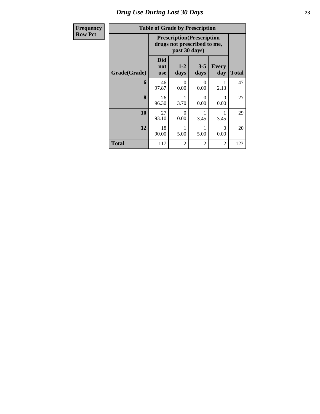### *Drug Use During Last 30 Days* **23**

| <b>Frequency</b> |              | <b>Table of Grade by Prescription</b>                            |               |                  |                     |              |
|------------------|--------------|------------------------------------------------------------------|---------------|------------------|---------------------|--------------|
| <b>Row Pct</b>   |              | <b>Prescription</b> (Prescription<br>drugs not prescribed to me, |               |                  |                     |              |
|                  | Grade(Grade) | <b>Did</b><br>not<br><b>use</b>                                  | $1-2$<br>days | $3 - 5$<br>days  | <b>Every</b><br>day | <b>Total</b> |
|                  | 6            | 46<br>97.87                                                      | 0<br>0.00     | $\Omega$<br>0.00 | 2.13                | 47           |
|                  | 8            | 26<br>96.30                                                      | 3.70          | $\Omega$<br>0.00 | $\Omega$<br>0.00    | 27           |
|                  | 10           | 27<br>93.10                                                      | 0<br>0.00     | 3.45             | 3.45                | 29           |
|                  | 12           | 18<br>90.00                                                      | 5.00          | 5.00             | $\Omega$<br>0.00    | 20           |
|                  | <b>Total</b> | 117                                                              | 2             | 2                | $\overline{2}$      | 123          |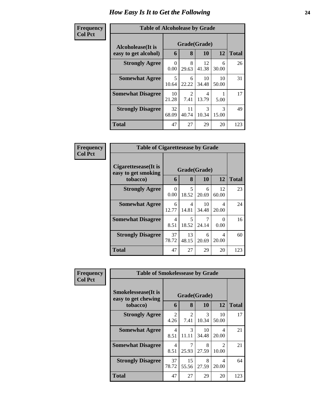#### **Frequen Col Pct**

| icy | <b>Table of Alcoholease by Grade</b>      |                  |                               |             |             |              |  |  |  |
|-----|-------------------------------------------|------------------|-------------------------------|-------------|-------------|--------------|--|--|--|
|     | Alcoholease(It is<br>easy to get alcohol) | 6                | Grade(Grade)<br>12<br>8<br>10 |             |             |              |  |  |  |
|     |                                           |                  |                               |             |             | <b>Total</b> |  |  |  |
|     | <b>Strongly Agree</b>                     | $\Omega$<br>0.00 | 8<br>29.63                    | 12<br>41.38 | 6<br>30.00  | 26           |  |  |  |
|     | <b>Somewhat Agree</b>                     | 5<br>10.64       | 6<br>22.22                    | 10<br>34.48 | 10<br>50.00 | 31           |  |  |  |
|     | <b>Somewhat Disagree</b>                  | 10<br>21.28      | 2<br>7.41                     | 4<br>13.79  | 5.00        | 17           |  |  |  |
|     | <b>Strongly Disagree</b>                  | 32<br>68.09      | 11<br>40.74                   | 3<br>10.34  | 3<br>15.00  | 49           |  |  |  |
|     | <b>Total</b>                              | 47               | 27                            | 29          | 20          | 123          |  |  |  |

| Frequency      | <b>Table of Cigarettesease by Grade</b>                 |                  |                                   |             |                           |              |
|----------------|---------------------------------------------------------|------------------|-----------------------------------|-------------|---------------------------|--------------|
| <b>Col Pct</b> | Cigarettesease(It is<br>easy to get smoking<br>tobacco) | 6                | Grade(Grade)<br>8                 | 10          | 12                        | <b>Total</b> |
|                | <b>Strongly Agree</b>                                   | $\Omega$<br>0.00 | 5<br>18.52                        | 6<br>20.69  | 12<br>60.00               | 23           |
|                | <b>Somewhat Agree</b>                                   | 6<br>12.77       | 4<br>14.81                        | 10<br>34.48 | 4<br>20.00                | 24           |
|                | <b>Somewhat Disagree</b>                                | 4<br>8.51        | $\overline{\phantom{0}}$<br>18.52 | 7<br>24.14  | $\mathbf{\Omega}$<br>0.00 | 16           |
|                | <b>Strongly Disagree</b>                                | 37<br>78.72      | 13<br>48.15                       | 6<br>20.69  | 4<br>20.00                | 60           |
|                | Total                                                   | 47               | 27                                | 29          | 20                        | 123          |

| <b>Frequency</b> | <b>Table of Smokelessease by Grade</b>                         |                                  |                        |                        |                                      |              |
|------------------|----------------------------------------------------------------|----------------------------------|------------------------|------------------------|--------------------------------------|--------------|
| <b>Col Pct</b>   | <b>Smokelessease</b> (It is<br>easy to get chewing<br>tobacco) | 6                                | Grade(Grade)<br>8      | <b>10</b>              | 12                                   | <b>Total</b> |
|                  | <b>Strongly Agree</b>                                          | $\overline{2}$<br>4.26           | $\mathfrak{D}$<br>7.41 | $\mathcal{R}$<br>10.34 | 10<br>50.00                          | 17           |
|                  | <b>Somewhat Agree</b>                                          | 4<br>8.51                        | $\mathcal{R}$<br>11.11 | 10<br>34.48            | 4<br>20.00                           | 21           |
|                  | <b>Somewhat Disagree</b>                                       | $\overline{\mathcal{A}}$<br>8.51 | 25.93                  | 8<br>27.59             | $\mathcal{D}_{\mathcal{A}}$<br>10.00 | 21           |
|                  | <b>Strongly Disagree</b>                                       | 37<br>78.72                      | 15<br>55.56            | 8<br>27.59             | 4<br>20.00                           | 64           |
|                  | <b>Total</b>                                                   | 47                               | 27                     | 29                     | 20                                   | 123          |

٦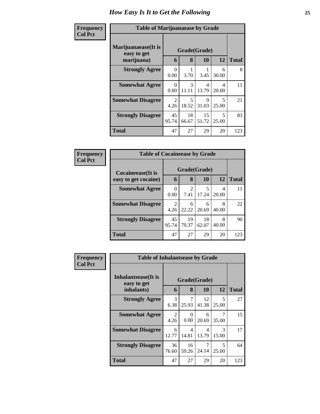| Frequency<br><b>Col Pct</b> | <b>Table of Marijuanaease by Grade</b>           |                                     |             |                           |                                   |              |
|-----------------------------|--------------------------------------------------|-------------------------------------|-------------|---------------------------|-----------------------------------|--------------|
|                             | Marijuanaease(It is<br>easy to get<br>marijuana) | 6                                   | 8           | Grade(Grade)<br><b>10</b> | 12                                | <b>Total</b> |
|                             | <b>Strongly Agree</b>                            | 0<br>0.00                           | 3.70        | 3.45                      | 6<br>30.00                        | 8            |
|                             | <b>Somewhat Agree</b>                            | ∩<br>0.00                           | 3<br>11.11  | 4<br>13.79                | 4<br>20.00                        | 11           |
|                             | <b>Somewhat Disagree</b>                         | $\mathcal{D}_{\mathcal{L}}$<br>4.26 | 5<br>18.52  | 9<br>31.03                | $\overline{\phantom{1}}$<br>25.00 | 21           |
|                             | <b>Strongly Disagree</b>                         | 45<br>95.74                         | 18<br>66.67 | 15<br>51.72               | $\overline{\phantom{1}}$<br>25.00 | 83           |
|                             | Total                                            | 47                                  | 27          | 29                        | 20                                | 123          |

| Frequency      | <b>Table of Cocaineease by Grade</b>              |             |                        |             |            |       |
|----------------|---------------------------------------------------|-------------|------------------------|-------------|------------|-------|
| <b>Col Pct</b> | <b>Cocaineease</b> (It is<br>easy to get cocaine) | 6           | Grade(Grade)<br>8      | 10          | 12         | Total |
|                | <b>Somewhat Agree</b>                             | 0<br>0.00   | $\mathfrak{D}$<br>7.41 | 5<br>17.24  | 4<br>20.00 | 11    |
|                | <b>Somewhat Disagree</b>                          | 2<br>4.26   | 6<br>22.22             | 6<br>20.69  | 8<br>40.00 | 22    |
|                | <b>Strongly Disagree</b>                          | 45<br>95.74 | 19<br>70.37            | 18<br>62.07 | 8<br>40.00 | 90    |
|                | <b>Total</b>                                      | 47          | 27                     | 29          | 20         | 123   |

| <b>Frequency</b> | <b>Table of Inhalantsease by Grade</b>           |                        |                   |             |                        |              |
|------------------|--------------------------------------------------|------------------------|-------------------|-------------|------------------------|--------------|
| <b>Col Pct</b>   | Inhalantsease(It is<br>easy to get<br>inhalants) | 6                      | Grade(Grade)<br>8 | <b>10</b>   | 12                     | <b>Total</b> |
|                  | <b>Strongly Agree</b>                            | 3<br>6.38              | 7<br>25.93        | 12<br>41.38 | 5<br>25.00             | 27           |
|                  | <b>Somewhat Agree</b>                            | $\mathfrak{D}$<br>4.26 | 0<br>0.00         | 6<br>20.69  | 7<br>35.00             | 15           |
|                  | <b>Somewhat Disagree</b>                         | 6<br>12.77             | 4<br>14.81        | 4<br>13.79  | $\mathcal{R}$<br>15.00 | 17           |
|                  | <b>Strongly Disagree</b>                         | 36<br>76.60            | 16<br>59.26       | 7<br>24.14  | 5<br>25.00             | 64           |
|                  | <b>Total</b>                                     | 47                     | 27                | 29          | 20                     | 123          |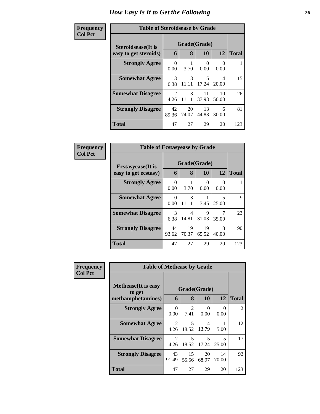| <b>Frequency</b> | <b>Table of Steroidsease by Grade</b> |                        |                        |                  |             |              |
|------------------|---------------------------------------|------------------------|------------------------|------------------|-------------|--------------|
| <b>Col Pct</b>   | <b>Steroidsease</b> (It is            |                        | Grade(Grade)           |                  |             |              |
|                  | easy to get steroids)                 | 6                      | 8                      | 10               | 12          | <b>Total</b> |
|                  | <b>Strongly Agree</b>                 | 0<br>0.00              | 3.70                   | $\Omega$<br>0.00 | 0.00        |              |
|                  | <b>Somewhat Agree</b>                 | 3<br>6.38              | $\mathcal{F}$<br>11.11 | 5<br>17.24       | 4<br>20.00  | 15           |
|                  | <b>Somewhat Disagree</b>              | $\mathfrak{D}$<br>4.26 | 3<br>11.11             | 11<br>37.93      | 10<br>50.00 | 26           |
|                  | <b>Strongly Disagree</b>              | 42<br>89.36            | 20<br>74.07            | 13<br>44.83      | 6<br>30.00  | 81           |
|                  | <b>Total</b>                          | 47                     | 27                     | 29               | 20          | 123          |

| Frequency      | <b>Table of Ecstasyease by Grade</b>              |                  |                        |                    |                  |              |
|----------------|---------------------------------------------------|------------------|------------------------|--------------------|------------------|--------------|
| <b>Col Pct</b> | <b>Ecstasyease</b> (It is<br>easy to get ecstasy) | 6                | 8                      | Grade(Grade)<br>10 | 12               | <b>Total</b> |
|                | <b>Strongly Agree</b>                             | $\Omega$<br>0.00 | 3.70                   | 0<br>0.00          | $\Omega$<br>0.00 |              |
|                | <b>Somewhat Agree</b>                             | 0<br>0.00        | $\mathcal{R}$<br>11.11 | 3.45               | 5<br>25.00       | 9            |
|                | <b>Somewhat Disagree</b>                          | 3<br>6.38        | 4<br>14.81             | 9<br>31.03         | 35.00            | 23           |
|                | <b>Strongly Disagree</b>                          | 44<br>93.62      | 19<br>70.37            | 19<br>65.52        | 8<br>40.00       | 90           |
|                | Total                                             | 47               | 27                     | 29                 | 20               | 123          |

| Frequency      | <b>Table of Methease by Grade</b>                          |                  |                        |                           |                  |              |
|----------------|------------------------------------------------------------|------------------|------------------------|---------------------------|------------------|--------------|
| <b>Col Pct</b> | <b>Methease</b> (It is easy<br>to get<br>methamphetamines) | 6                | 8                      | Grade(Grade)<br><b>10</b> | <b>12</b>        | <b>Total</b> |
|                | <b>Strongly Agree</b>                                      | $\Omega$<br>0.00 | $\mathfrak{D}$<br>7.41 | $\Omega$<br>0.00          | $\Omega$<br>0.00 | 2            |
|                | <b>Somewhat Agree</b>                                      | 2<br>4.26        | 5<br>18.52             | 4<br>13.79                | 5.00             | 12           |
|                | <b>Somewhat Disagree</b>                                   | 2<br>4.26        | 5<br>18.52             | 5<br>17.24                | 5<br>25.00       | 17           |
|                | <b>Strongly Disagree</b>                                   | 43<br>91.49      | 15<br>55.56            | 20<br>68.97               | 14<br>70.00      | 92           |
|                | <b>Total</b>                                               | 47               | 27                     | 29                        | 20               | 123          |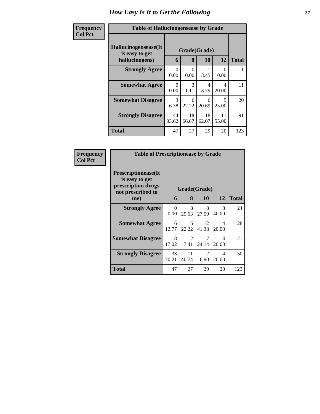| Frequency      | <b>Table of Hallucinogensease by Grade</b>                |                  |                        |             |             |              |
|----------------|-----------------------------------------------------------|------------------|------------------------|-------------|-------------|--------------|
| <b>Col Pct</b> | Hallucinogensease(It)<br>is easy to get<br>hallucinogens) | 6                | Grade(Grade)<br>8      | <b>10</b>   | 12          | <b>Total</b> |
|                | <b>Strongly Agree</b>                                     | $\Omega$<br>0.00 | 0<br>0.00              | 3.45        | 0<br>0.00   |              |
|                | <b>Somewhat Agree</b>                                     | $\Omega$<br>0.00 | $\mathcal{R}$<br>11.11 | 4<br>13.79  | 4<br>20.00  | 11           |
|                | <b>Somewhat Disagree</b>                                  | 3<br>6.38        | 6<br>22.22             | 6<br>20.69  | 5<br>25.00  | 20           |
|                | <b>Strongly Disagree</b>                                  | 44<br>93.62      | 18<br>66.67            | 18<br>62.07 | 11<br>55.00 | 91           |
|                | <b>Total</b>                                              | 47               | 27                     | 29          | 20          | 123          |

| Frequency      | <b>Table of Prescriptionease by Grade</b>                                                |                  |              |             |            |              |
|----------------|------------------------------------------------------------------------------------------|------------------|--------------|-------------|------------|--------------|
| <b>Col Pct</b> | <b>Prescriptionease</b> (It<br>is easy to get<br>prescription drugs<br>not prescribed to |                  | Grade(Grade) |             |            |              |
|                | me)                                                                                      | 6                | 8            | <b>10</b>   | 12         | <b>Total</b> |
|                | <b>Strongly Agree</b>                                                                    | $\Omega$<br>0.00 | 8<br>29.63   | 8<br>27.59  | 8<br>40.00 | 24           |
|                | <b>Somewhat Agree</b>                                                                    | 6<br>12.77       | 6<br>22.22   | 12<br>41.38 | 4<br>20.00 | 28           |
|                | <b>Somewhat Disagree</b>                                                                 | 8<br>17.02       | 2<br>7.41    | 7<br>24.14  | 4<br>20.00 | 21           |
|                | <b>Strongly Disagree</b>                                                                 | 33<br>70.21      | 11<br>40.74  | 2<br>6.90   | 4<br>20.00 | 50           |
|                | Total                                                                                    | 47               | 27           | 29          | 20         | 123          |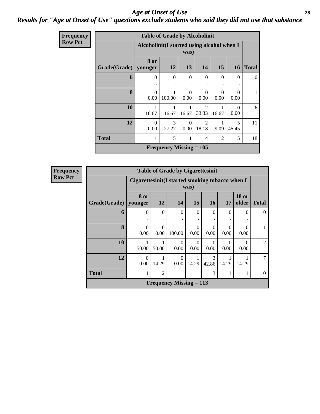#### *Age at Onset of Use* **28** *Results for "Age at Onset of Use" questions exclude students who said they did not use that substance*

| Frequency      |              | <b>Table of Grade by Alcoholinit</b> |                                                     |                  |                         |                  |                          |              |  |
|----------------|--------------|--------------------------------------|-----------------------------------------------------|------------------|-------------------------|------------------|--------------------------|--------------|--|
| <b>Row Pct</b> |              |                                      | Alcoholinit (I started using alcohol when I<br>was) |                  |                         |                  |                          |              |  |
|                | Grade(Grade) | 8 or<br>younger                      | 12                                                  | 13               | 14                      | 15               | <b>16</b>                | <b>Total</b> |  |
|                | 6            | $\theta$                             | $\Omega$                                            | $\Omega$         | $\Omega$                | $\Omega$         | 0                        | $\Omega$     |  |
|                | 8            | $\Omega$<br>0.00                     | 100.00                                              | $\Omega$<br>0.00 | $\Omega$<br>0.00        | $\Omega$<br>0.00 | $\Omega$<br>0.00         |              |  |
|                | 10           | 16.67                                | 1<br>16.67                                          | 1<br>16.67       | $\overline{2}$<br>33.33 | 16.67            | $\left( \right)$<br>0.00 | 6            |  |
|                | 12           | $\Omega$<br>0.00                     | 3<br>27.27                                          | $\Omega$<br>0.00 | $\overline{2}$<br>18.18 | 9.09             | 5<br>45.45               | 11           |  |
|                | <b>Total</b> | 1                                    | 5                                                   | 1                | $\overline{4}$          | $\overline{2}$   | 5                        | 18           |  |
|                |              |                                      | <b>Frequency Missing = 105</b>                      |                  |                         |                  |                          |              |  |

**Frequency Row Pct**

| <b>Table of Grade by Cigarettesinit</b> |                  |                                                                            |                                |                  |                  |                  |                  |                |  |
|-----------------------------------------|------------------|----------------------------------------------------------------------------|--------------------------------|------------------|------------------|------------------|------------------|----------------|--|
|                                         |                  | Cigarettesinit(I started smoking tobacco when I<br>was)                    |                                |                  |                  |                  |                  |                |  |
| Grade(Grade)                            | 8 or<br>younger  | <b>18 or</b><br>12<br>15<br><b>16</b><br>14<br>17<br>older<br><b>Total</b> |                                |                  |                  |                  |                  |                |  |
| 6                                       | $\Omega$         | $\Omega$                                                                   | $\Omega$                       | $\Omega$         | $\Omega$         | $\Omega$         | $\Omega$         | 0              |  |
| 8                                       | $\Omega$<br>0.00 | $\Omega$<br>0.00                                                           | 100.00                         | $\Omega$<br>0.00 | $\Omega$<br>0.00 | $\Omega$<br>0.00 | $\Omega$<br>0.00 |                |  |
| 10                                      | 50.00            | 50.00                                                                      | 0<br>0.00                      | $\Omega$<br>0.00 | 0<br>0.00        | $\Omega$<br>0.00 | $\Omega$<br>0.00 | $\overline{2}$ |  |
| 12                                      | $\Omega$<br>0.00 | 14.29                                                                      | $\Omega$<br>0.00               | 14.29            | 3<br>42.86       | 14.29            | 14.29            | $\mathcal{I}$  |  |
| <b>Total</b>                            | 1                | $\overline{2}$                                                             |                                |                  | 3                |                  | 1                | 10             |  |
|                                         |                  |                                                                            | <b>Frequency Missing = 113</b> |                  |                  |                  |                  |                |  |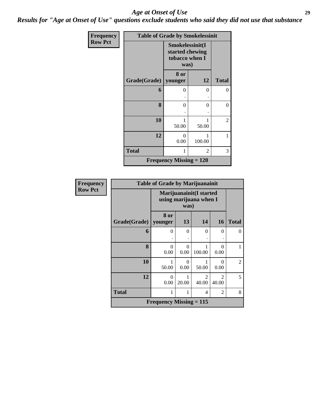*Results for "Age at Onset of Use" questions exclude students who said they did not use that substance*

| Frequency      | <b>Table of Grade by Smokelessinit</b> |                                                              |            |                |  |  |  |
|----------------|----------------------------------------|--------------------------------------------------------------|------------|----------------|--|--|--|
| <b>Row Pct</b> |                                        | Smokelessinit(I<br>started chewing<br>tobacco when I<br>was) |            |                |  |  |  |
|                | Grade(Grade)                           | 8 or<br>younger                                              | 12         | <b>Total</b>   |  |  |  |
|                | 6                                      | 0                                                            | 0          | $\overline{0}$ |  |  |  |
|                | 8                                      | 0                                                            | $\theta$   | $\overline{0}$ |  |  |  |
|                | 10                                     | 50.00                                                        | 1<br>50.00 | $\overline{2}$ |  |  |  |
|                | 12                                     | $\Omega$<br>0.00                                             | 100.00     | 1              |  |  |  |
|                | <b>Total</b>                           | 1                                                            | 2          | 3              |  |  |  |
|                |                                        | <b>Frequency Missing = <math>120</math></b>                  |            |                |  |  |  |

| Frequency      | <b>Table of Grade by Marijuanainit</b> |                                                           |                  |                         |                         |                |  |  |  |
|----------------|----------------------------------------|-----------------------------------------------------------|------------------|-------------------------|-------------------------|----------------|--|--|--|
| <b>Row Pct</b> |                                        | Marijuanainit(I started<br>using marijuana when I<br>was) |                  |                         |                         |                |  |  |  |
|                | Grade(Grade)                           | 8 or<br>younger                                           | 13               | 14                      | <b>16</b>               | <b>Total</b>   |  |  |  |
|                | 6                                      | $\theta$                                                  | $\Omega$         | $\theta$                | $\Omega$                | $\Omega$       |  |  |  |
|                | 8                                      | 0<br>0.00                                                 | $\Omega$<br>0.00 | 100.00                  | 0<br>0.00               |                |  |  |  |
|                | 10                                     | 1<br>50.00                                                | 0<br>0.00        | 50.00                   | $\Omega$<br>0.00        | $\overline{2}$ |  |  |  |
|                | 12                                     | 0<br>0.00                                                 | 20.00            | $\mathfrak{D}$<br>40.00 | $\mathfrak{D}$<br>40.00 | 5              |  |  |  |
|                | <b>Total</b>                           | 1                                                         |                  | 4                       | $\overline{2}$          | 8              |  |  |  |
|                |                                        | <b>Frequency Missing = 115</b>                            |                  |                         |                         |                |  |  |  |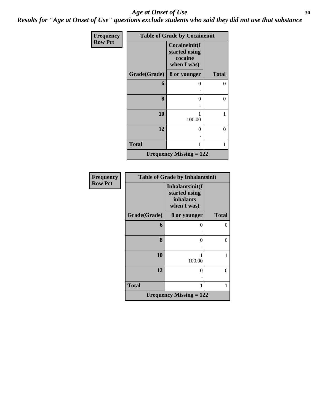*Results for "Age at Onset of Use" questions exclude students who said they did not use that substance*

| Frequency      |              | <b>Table of Grade by Cocaineinit</b>                     |              |
|----------------|--------------|----------------------------------------------------------|--------------|
| <b>Row Pct</b> |              | Cocaineinit(I<br>started using<br>cocaine<br>when I was) |              |
|                | Grade(Grade) | 8 or younger                                             | <b>Total</b> |
|                | 6            | 0                                                        | 0            |
|                |              |                                                          |              |
|                | 8            | 0                                                        | 0            |
|                |              |                                                          |              |
|                | 10           | 1<br>100.00                                              | 1            |
|                | 12           | 0                                                        | 0            |
|                |              |                                                          |              |
|                | <b>Total</b> | 1                                                        |              |
|                |              | <b>Frequency Missing = 122</b>                           |              |

| <b>Frequency</b> | <b>Table of Grade by Inhalantsinit</b> |                                                                     |                |  |  |
|------------------|----------------------------------------|---------------------------------------------------------------------|----------------|--|--|
| <b>Row Pct</b>   |                                        | Inhalantsinit(I<br>started using<br><i>inhalants</i><br>when I was) |                |  |  |
|                  | Grade(Grade)                           | 8 or younger                                                        | <b>Total</b>   |  |  |
|                  | 6                                      | $\mathbf{\Omega}$                                                   | 0              |  |  |
|                  | 8                                      | 0                                                                   | $\overline{0}$ |  |  |
|                  | 10                                     | 100.00                                                              | 1              |  |  |
|                  | 12                                     | 0                                                                   | 0              |  |  |
|                  | <b>Total</b>                           |                                                                     | 1              |  |  |
|                  |                                        | <b>Frequency Missing = 122</b>                                      |                |  |  |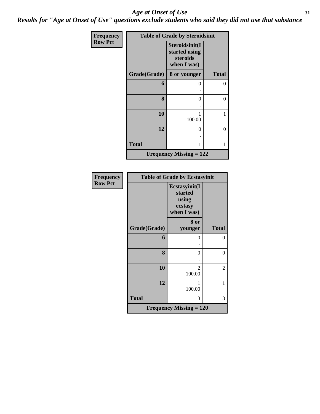*Results for "Age at Onset of Use" questions exclude students who said they did not use that substance*

| Frequency      |              | <b>Table of Grade by Steroidsinit</b>                      |              |
|----------------|--------------|------------------------------------------------------------|--------------|
| <b>Row Pct</b> |              | Steroidsinit(I<br>started using<br>steroids<br>when I was) |              |
|                | Grade(Grade) | 8 or younger                                               | <b>Total</b> |
|                | 6            | 0                                                          | 0            |
|                |              |                                                            |              |
|                | 8            | 0                                                          | 0            |
|                |              |                                                            |              |
|                | 10           | 1<br>100.00                                                | 1            |
|                | 12           | 0                                                          | 0            |
|                | <b>Total</b> | 1                                                          | 1            |
|                |              | <b>Frequency Missing = 122</b>                             |              |

| Frequency      |              | <b>Table of Grade by Ecstasyinit</b>                        |                |
|----------------|--------------|-------------------------------------------------------------|----------------|
| <b>Row Pct</b> |              | Ecstasyinit(I<br>started<br>using<br>ecstasy<br>when I was) |                |
|                |              | 8 or                                                        |                |
|                | Grade(Grade) | younger                                                     | <b>Total</b>   |
|                | 6            | $\theta$                                                    | $\theta$       |
|                |              |                                                             |                |
|                | 8            | $\theta$                                                    | 0              |
|                |              |                                                             |                |
|                | 10           | 2<br>100.00                                                 | $\overline{c}$ |
|                | 12           | 1<br>100.00                                                 | 1              |
|                | <b>Total</b> | 3                                                           | 3              |
|                |              | <b>Frequency Missing = 120</b>                              |                |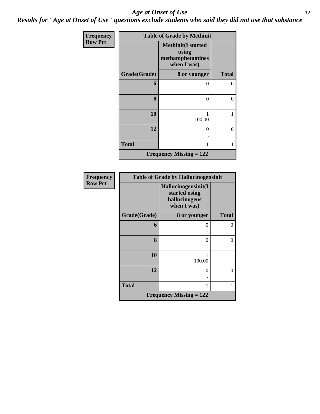*Results for "Age at Onset of Use" questions exclude students who said they did not use that substance*

| Frequency      |              | <b>Table of Grade by Methinit</b>                                     |              |
|----------------|--------------|-----------------------------------------------------------------------|--------------|
| <b>Row Pct</b> |              | <b>Methinit(I started</b><br>using<br>methamphetamines<br>when I was) |              |
|                | Grade(Grade) | 8 or younger                                                          | <b>Total</b> |
|                | 6            | 0                                                                     | 0            |
|                | 8            | 0                                                                     | $\theta$     |
|                | 10           | 1<br>100.00                                                           | 1            |
|                | 12           | $\theta$                                                              | $\theta$     |
|                | <b>Total</b> | 1                                                                     | 1            |
|                |              | <b>Frequency Missing = 122</b>                                        |              |

| Frequency      | <b>Table of Grade by Hallucinogensinit</b> |                                                                      |                   |  |  |  |
|----------------|--------------------------------------------|----------------------------------------------------------------------|-------------------|--|--|--|
| <b>Row Pct</b> |                                            | Hallucinogensinit(I<br>started using<br>hallucinogens<br>when I was) |                   |  |  |  |
|                | Grade(Grade)                               | 8 or younger                                                         | <b>Total</b>      |  |  |  |
|                | 6                                          | 0                                                                    |                   |  |  |  |
|                | 8                                          | 0                                                                    | $\mathbf{\Omega}$ |  |  |  |
|                | 10                                         | 100.00                                                               |                   |  |  |  |
|                | 12                                         | 0                                                                    | $\mathbf{\Omega}$ |  |  |  |
|                | <b>Total</b>                               | 1                                                                    |                   |  |  |  |
|                |                                            | <b>Frequency Missing = 122</b>                                       |                   |  |  |  |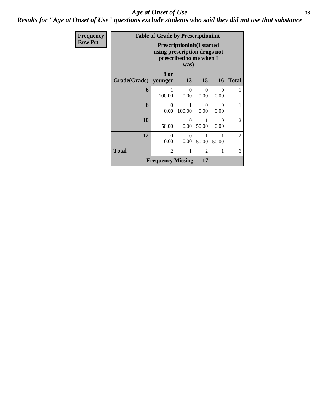*Results for "Age at Onset of Use" questions exclude students who said they did not use that substance*

| Frequency      |              | <b>Table of Grade by Prescriptioninit</b>                                                     |                  |                  |                  |                |
|----------------|--------------|-----------------------------------------------------------------------------------------------|------------------|------------------|------------------|----------------|
| <b>Row Pct</b> |              | <b>Prescriptioninit (I started</b><br>using prescription drugs not<br>prescribed to me when I |                  |                  |                  |                |
|                | Grade(Grade) | 8 or<br>younger                                                                               | 13               | 15               | 16               | <b>Total</b>   |
|                | 6            | 100.00                                                                                        | $\theta$<br>0.00 | $\Omega$<br>0.00 | 0<br>0.00        |                |
|                | 8            | 0<br>0.00                                                                                     | 1<br>100.00      | 0<br>0.00        | $\Omega$<br>0.00 | 1              |
|                | 10           | 1<br>50.00                                                                                    | $\Omega$<br>0.00 | 50.00            | $\Omega$<br>0.00 | $\overline{2}$ |
|                | 12           | 0<br>0.00                                                                                     | $\Omega$<br>0.00 | 50.00            | 50.00            | $\overline{2}$ |
|                | <b>Total</b> | $\overline{2}$                                                                                | 1                | 2                | 1                | 6              |
|                |              | Frequency Missing $= 117$                                                                     |                  |                  |                  |                |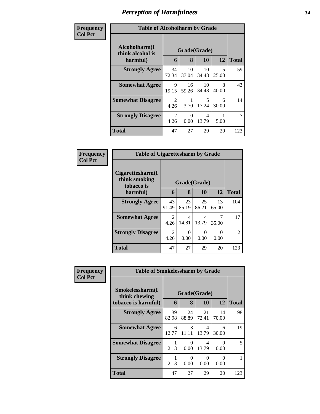### *Perception of Harmfulness* **34**

| Frequency      | <b>Table of Alcoholharm by Grade</b>          |                                     |                   |             |            |              |
|----------------|-----------------------------------------------|-------------------------------------|-------------------|-------------|------------|--------------|
| <b>Col Pct</b> | Alcoholharm(I<br>think alcohol is<br>harmful) | 6                                   | Grade(Grade)<br>8 | 10          | 12         | <b>Total</b> |
|                | <b>Strongly Agree</b>                         | 34<br>72.34                         | 10<br>37.04       | 10<br>34.48 | 5<br>25.00 | 59           |
|                | <b>Somewhat Agree</b>                         | 9<br>19.15                          | 16<br>59.26       | 10<br>34.48 | 8<br>40.00 | 43           |
|                | <b>Somewhat Disagree</b>                      | $\mathcal{D}_{\mathcal{A}}$<br>4.26 | 3.70              | 5<br>17.24  | 6<br>30.00 | 14           |
|                | <b>Strongly Disagree</b>                      | $\mathcal{D}_{\mathcal{L}}$<br>4.26 | 0<br>0.00         | 4<br>13.79  | 5.00       |              |
|                | Total                                         | 47                                  | 27                | 29          | 20         | 123          |

| Frequency<br>Col Pct |
|----------------------|
|                      |

| <b>Table of Cigarettesharm by Grade</b>         |              |             |             |             |               |  |  |  |
|-------------------------------------------------|--------------|-------------|-------------|-------------|---------------|--|--|--|
| Cigarettesharm(I<br>think smoking<br>tobacco is | Grade(Grade) |             |             |             |               |  |  |  |
| harmful)                                        | 6            | 8           | 10          | 12          | <b>Total</b>  |  |  |  |
| <b>Strongly Agree</b>                           | 43<br>91.49  | 23<br>85.19 | 25<br>86.21 | 13<br>65.00 | 104           |  |  |  |
| <b>Somewhat Agree</b>                           | 2<br>4.26    | 4<br>14.81  | 4<br>13.79  | 35.00       | 17            |  |  |  |
| <b>Strongly Disagree</b>                        | 2<br>4.26    | 0<br>0.00   | 0<br>0.00   | 0.00        | $\mathcal{L}$ |  |  |  |
| <b>Total</b>                                    | 47           | 27          | 29          | 20          | 123           |  |  |  |

| <b>Frequency</b> | <b>Table of Smokelessharm by Grade</b> |              |                        |             |             |              |
|------------------|----------------------------------------|--------------|------------------------|-------------|-------------|--------------|
| <b>Col Pct</b>   | Smokelessharm(I<br>think chewing       | Grade(Grade) |                        |             |             |              |
|                  | tobacco is harmful)                    | 6            | 8                      | 10          | 12          | <b>Total</b> |
|                  | <b>Strongly Agree</b>                  | 39<br>82.98  | 24<br>88.89            | 21<br>72.41 | 14<br>70.00 | 98           |
|                  | <b>Somewhat Agree</b>                  | 6<br>12.77   | $\mathcal{F}$<br>11.11 | 4<br>13.79  | 6<br>30.00  | 19           |
|                  | <b>Somewhat Disagree</b>               | 1<br>2.13    | $\Omega$<br>0.00       | 4<br>13.79  | 0<br>0.00   | 5            |
|                  | <b>Strongly Disagree</b>               | 1<br>2.13    | $\Omega$<br>0.00       | ∩<br>0.00   | 0<br>0.00   |              |
|                  | <b>Total</b>                           | 47           | 27                     | 29          | 20          | 123          |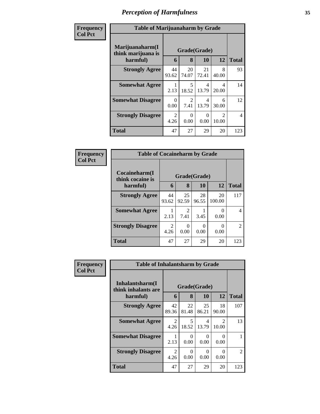### *Perception of Harmfulness* **35**

| Frequency      | <b>Table of Marijuanaharm by Grade</b>            |                        |                        |             |                                      |                |  |
|----------------|---------------------------------------------------|------------------------|------------------------|-------------|--------------------------------------|----------------|--|
| <b>Col Pct</b> | Marijuanaharm(I<br>think marijuana is<br>harmful) | 6                      | Grade(Grade)<br>8      | 10          | 12                                   | <b>Total</b>   |  |
|                | <b>Strongly Agree</b>                             | 44<br>93.62            | 20<br>74.07            | 21<br>72.41 | 8<br>40.00                           | 93             |  |
|                | <b>Somewhat Agree</b>                             | 2.13                   | 5<br>18.52             | 4<br>13.79  | 4<br>20.00                           | 14             |  |
|                | <b>Somewhat Disagree</b>                          | $\Omega$<br>0.00       | $\mathfrak{D}$<br>7.41 | 4<br>13.79  | 6<br>30.00                           | 12             |  |
|                | <b>Strongly Disagree</b>                          | $\mathfrak{D}$<br>4.26 | 0<br>0.00              | 0<br>0.00   | $\mathcal{D}_{\mathcal{L}}$<br>10.00 | $\overline{4}$ |  |
|                | <b>Total</b>                                      | 47                     | 27                     | 29          | 20                                   | 123            |  |

| Frequency      | <b>Table of Cocaineharm by Grade</b> |              |                                     |             |              |                |  |
|----------------|--------------------------------------|--------------|-------------------------------------|-------------|--------------|----------------|--|
| <b>Col Pct</b> | Cocaineharm(I<br>think cocaine is    | Grade(Grade) |                                     |             |              |                |  |
|                | harmful)                             | 6            | 8                                   | 10          | 12           | <b>Total</b>   |  |
|                | <b>Strongly Agree</b>                | 44<br>93.62  | 25<br>92.59                         | 28<br>96.55 | 20<br>100.00 | 117            |  |
|                | <b>Somewhat Agree</b>                | 2.13         | $\mathcal{D}_{\mathcal{A}}$<br>7.41 | 3.45        | 0<br>0.00    | 4              |  |
|                | <b>Strongly Disagree</b>             | 2<br>4.26    | 0.00                                | 0<br>0.00   | ∩<br>0.00    | $\overline{2}$ |  |
|                | <b>Total</b>                         | 47           | 27                                  | 29          | 20           | 123            |  |

| <b>Frequency</b> | <b>Table of Inhalantsharm by Grade</b>  |                        |             |             |                        |              |
|------------------|-----------------------------------------|------------------------|-------------|-------------|------------------------|--------------|
| <b>Col Pct</b>   | Inhalantsharm(I)<br>think inhalants are | Grade(Grade)           |             |             |                        |              |
|                  | harmful)                                | 6                      | 8           | 10          | 12                     | <b>Total</b> |
|                  | <b>Strongly Agree</b>                   | 42<br>89.36            | 22<br>81.48 | 25<br>86.21 | 18<br>90.00            | 107          |
|                  | <b>Somewhat Agree</b>                   | $\overline{2}$<br>4.26 | 5<br>18.52  | 4<br>13.79  | $\mathcal{D}$<br>10.00 | 13           |
|                  | <b>Somewhat Disagree</b>                | 2.13                   | 0<br>0.00   | 0<br>0.00   | 0<br>0.00              |              |
|                  | <b>Strongly Disagree</b>                | $\overline{2}$<br>4.26 | 0<br>0.00   | 0<br>0.00   | 0<br>0.00              | 2            |
|                  | <b>Total</b>                            | 47                     | 27          | 29          | 20                     | 123          |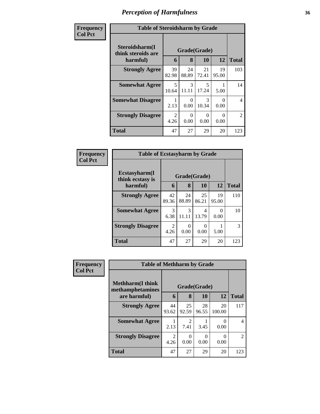### *Perception of Harmfulness* **36**

| Frequency      | <b>Table of Steroidsharm by Grade</b>            |                                   |                        |                        |             |                |  |
|----------------|--------------------------------------------------|-----------------------------------|------------------------|------------------------|-------------|----------------|--|
| <b>Col Pct</b> | Steroidsharm(I<br>think steroids are<br>harmful) | 6                                 | Grade(Grade)<br>8      | 10                     | 12          | <b>Total</b>   |  |
|                | <b>Strongly Agree</b>                            | 39<br>82.98                       | 24<br>88.89            | 21<br>72.41            | 19<br>95.00 | 103            |  |
|                | <b>Somewhat Agree</b>                            | $\overline{\phantom{0}}$<br>10.64 | $\mathcal{R}$<br>11.11 | 5<br>17.24             | 5.00        | 14             |  |
|                | <b>Somewhat Disagree</b>                         | 2.13                              | 0<br>0.00              | $\mathcal{R}$<br>10.34 | 0<br>0.00   | $\overline{4}$ |  |
|                | <b>Strongly Disagree</b>                         | $\mathfrak{D}$<br>4.26            | 0<br>0.00              | 0<br>0.00              | 0<br>0.00   | $\mathfrak{D}$ |  |
|                | Total                                            | 47                                | 27                     | 29                     | 20          | 123            |  |

| Frequency      | <b>Table of Ecstasyharm by Grade</b> |                        |              |             |             |              |
|----------------|--------------------------------------|------------------------|--------------|-------------|-------------|--------------|
| <b>Col Pct</b> | Ecstasyharm(I<br>think ecstasy is    |                        | Grade(Grade) |             |             |              |
|                | harmful)                             | 6                      | 8            | 10          | 12          | <b>Total</b> |
|                | <b>Strongly Agree</b>                | 42<br>89.36            | 24<br>88.89  | 25<br>86.21 | 19<br>95.00 | 110          |
|                | <b>Somewhat Agree</b>                | 3<br>6.38              | 3<br>11.11   | 4<br>13.79  | 0<br>0.00   | 10           |
|                | <b>Strongly Disagree</b>             | $\overline{2}$<br>4.26 | 0<br>0.00    | 0<br>0.00   | 5.00        | 3            |
|                | <b>Total</b>                         | 47                     | 27           | 29          | 20          | 123          |

| <b>Frequency</b> | <b>Table of Methharm by Grade</b>            |                        |                                     |             |              |                |
|------------------|----------------------------------------------|------------------------|-------------------------------------|-------------|--------------|----------------|
| <b>Col Pct</b>   | <b>Methharm</b> (I think<br>methamphetamines | Grade(Grade)           |                                     |             |              |                |
|                  | are harmful)                                 | 6                      | 8                                   | <b>10</b>   | 12           | <b>Total</b>   |
|                  | <b>Strongly Agree</b>                        | 44<br>93.62            | 25<br>92.59                         | 28<br>96.55 | 20<br>100.00 | 117            |
|                  | <b>Somewhat Agree</b>                        | 2.13                   | $\mathcal{D}_{\mathcal{L}}$<br>7.41 | 3.45        | 0.00         | $\overline{4}$ |
|                  | <b>Strongly Disagree</b>                     | $\mathfrak{D}$<br>4.26 | $\theta$<br>0.00                    | 0.00        | 0.00         | $\overline{2}$ |
|                  | <b>Total</b>                                 | 47                     | 27                                  | 29          | 20           | 123            |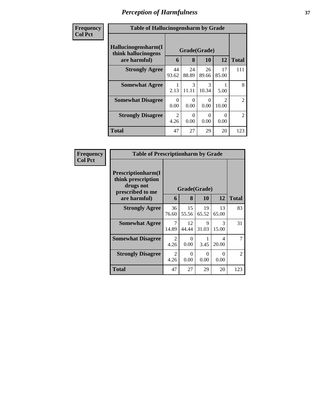# *Perception of Harmfulness* **37**

| Frequency      | <b>Table of Hallucinogensharm by Grade</b>                 |                        |                        |                        |                        |                |  |  |
|----------------|------------------------------------------------------------|------------------------|------------------------|------------------------|------------------------|----------------|--|--|
| <b>Col Pct</b> | Hallucinogensharm(I<br>think hallucinogens<br>are harmful) | Grade(Grade)<br>6      | 12                     | <b>Total</b>           |                        |                |  |  |
|                | <b>Strongly Agree</b>                                      | 44<br>93.62            | 24<br>88.89            | 26<br>89.66            | 17<br>85.00            | 111            |  |  |
|                | <b>Somewhat Agree</b>                                      | 2.13                   | $\mathcal{R}$<br>11.11 | $\mathcal{R}$<br>10.34 | 5.00                   | 8              |  |  |
|                | <b>Somewhat Disagree</b>                                   | $\Omega$<br>0.00       | ∩<br>0.00              | 0.00                   | $\mathcal{D}$<br>10.00 | $\overline{2}$ |  |  |
|                | <b>Strongly Disagree</b>                                   | $\overline{2}$<br>4.26 | ∩<br>0.00              | $\mathcal{O}$<br>0.00  | 0.00                   | $\overline{2}$ |  |  |
|                | <b>Total</b>                                               | 47                     | 27                     | 29                     | 20                     | 123            |  |  |

| Frequency      | <b>Table of Prescriptionharm by Grade</b>                                         |                        |              |             |             |                |
|----------------|-----------------------------------------------------------------------------------|------------------------|--------------|-------------|-------------|----------------|
| <b>Col Pct</b> | <b>Prescriptionharm(I)</b><br>think prescription<br>drugs not<br>prescribed to me |                        | Grade(Grade) |             |             |                |
|                | are harmful)                                                                      | 6                      | 8            | <b>10</b>   | 12          | <b>Total</b>   |
|                | <b>Strongly Agree</b>                                                             | 36<br>76.60            | 15<br>55.56  | 19<br>65.52 | 13<br>65.00 | 83             |
|                | <b>Somewhat Agree</b>                                                             | 7<br>14.89             | 12<br>44.44  | 9<br>31.03  | 3<br>15.00  | 31             |
|                | <b>Somewhat Disagree</b>                                                          | $\mathfrak{D}$<br>4.26 | 0<br>0.00    | 3.45        | 4<br>20.00  | 7              |
|                | <b>Strongly Disagree</b>                                                          | $\mathfrak{D}$<br>4.26 | 0<br>0.00    | 0<br>0.00   | 0<br>0.00   | $\overline{2}$ |
|                | Total                                                                             | 47                     | 27           | 29          | 20          | 123            |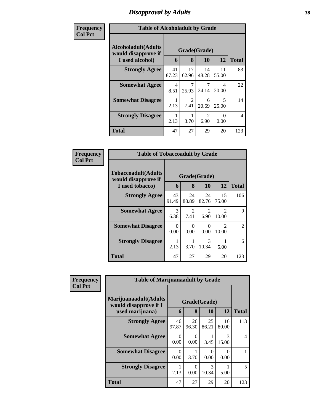# *Disapproval by Adults* **38**

| <b>Frequency</b> | <b>Table of Alcoholadult by Grade</b>              |                                  |                        |                        |             |                |
|------------------|----------------------------------------------------|----------------------------------|------------------------|------------------------|-------------|----------------|
| <b>Col Pct</b>   | <b>Alcoholadult</b> (Adults<br>would disapprove if | Grade(Grade)                     |                        |                        |             |                |
|                  | I used alcohol)                                    | 6                                | 8                      | 10                     | 12          | <b>Total</b>   |
|                  | <b>Strongly Agree</b>                              | 41<br>87.23                      | 17<br>62.96            | 14<br>48.28            | 11<br>55.00 | 83             |
|                  | <b>Somewhat Agree</b>                              | $\overline{\mathcal{A}}$<br>8.51 | 25.93                  | 7<br>24.14             | 4<br>20.00  | 22             |
|                  | <b>Somewhat Disagree</b>                           | 1<br>2.13                        | $\mathfrak{D}$<br>7.41 | 6<br>20.69             | 5<br>25.00  | 14             |
|                  | <b>Strongly Disagree</b>                           | 1<br>2.13                        | 3.70                   | $\mathfrak{D}$<br>6.90 | ∩<br>0.00   | $\overline{4}$ |
|                  | <b>Total</b>                                       | 47                               | 27                     | 29                     | 20          | 123            |

| Frequency<br><b>Col Pct</b> | <b>Table of Tobaccoadult by Grade</b>                                |             |                                                                                                                                                                         |                           |                                                                                                                                                                          |                |  |
|-----------------------------|----------------------------------------------------------------------|-------------|-------------------------------------------------------------------------------------------------------------------------------------------------------------------------|---------------------------|--------------------------------------------------------------------------------------------------------------------------------------------------------------------------|----------------|--|
|                             | <b>Tobaccoadult(Adults</b><br>would disapprove if<br>I used tobacco) | 6           | 8                                                                                                                                                                       | Grade(Grade)<br><b>10</b> | 12                                                                                                                                                                       | <b>Total</b>   |  |
|                             | <b>Strongly Agree</b>                                                | 43<br>91.49 | 24<br>88.89                                                                                                                                                             | 24<br>82.76               | 15<br>75.00                                                                                                                                                              | 106            |  |
|                             | <b>Somewhat Agree</b>                                                | 3<br>6.38   | $\mathcal{D}_{\mathcal{A}}^{\mathcal{A}}(\mathcal{A})=\mathcal{D}_{\mathcal{A}}^{\mathcal{A}}(\mathcal{A})\mathcal{D}_{\mathcal{A}}^{\mathcal{A}}(\mathcal{A})$<br>7.41 | $\mathfrak{D}$<br>6.90    | $\mathcal{D}_{\mathcal{A}}^{\mathcal{A}}(\mathcal{A})=\mathcal{D}_{\mathcal{A}}^{\mathcal{A}}(\mathcal{A})\mathcal{D}_{\mathcal{A}}^{\mathcal{A}}(\mathcal{A})$<br>10.00 | 9              |  |
|                             | <b>Somewhat Disagree</b>                                             | 0<br>0.00   | ∩<br>0.00                                                                                                                                                               | ∩<br>0.00                 | $\mathcal{D}_{\mathcal{A}}^{\mathcal{A}}(\mathcal{A})=\mathcal{D}_{\mathcal{A}}^{\mathcal{A}}(\mathcal{A})\mathcal{D}_{\mathcal{A}}^{\mathcal{A}}(\mathcal{A})$<br>10.00 | $\overline{2}$ |  |
|                             | <b>Strongly Disagree</b>                                             | 2.13        | 3.70                                                                                                                                                                    | 3<br>10.34                | 5.00                                                                                                                                                                     | 6              |  |
|                             | <b>Total</b>                                                         | 47          | 27                                                                                                                                                                      | 29                        | 20                                                                                                                                                                       | 123            |  |

| <b>Frequency</b> | <b>Table of Marijuanaadult by Grade</b>                        |                  |                  |                  |             |                          |
|------------------|----------------------------------------------------------------|------------------|------------------|------------------|-------------|--------------------------|
| <b>Col Pct</b>   | Marijuanaadult(Adults<br>Grade(Grade)<br>would disapprove if I |                  |                  |                  |             |                          |
|                  | used marijuana)                                                | 6                | 8                | 10               | <b>12</b>   | <b>Total</b>             |
|                  | <b>Strongly Agree</b>                                          | 46<br>97.87      | 26<br>96.30      | 25<br>86.21      | 16<br>80.00 | 113                      |
|                  | <b>Somewhat Agree</b>                                          | $\Omega$<br>0.00 | $\Omega$<br>0.00 | 3.45             | 3<br>15.00  | $\overline{\mathcal{A}}$ |
|                  | <b>Somewhat Disagree</b>                                       | 0<br>0.00        | 3.70             | $\Omega$<br>0.00 | 0<br>0.00   |                          |
|                  | <b>Strongly Disagree</b>                                       | 2.13             | $\Omega$<br>0.00 | 3<br>10.34       | 5.00        | 5                        |
|                  | <b>Total</b>                                                   | 47               | 27               | 29               | 20          | 123                      |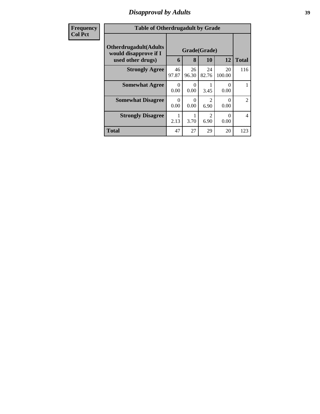## *Disapproval by Adults* **39**

| <b>Frequency</b> | <b>Table of Otherdrugadult by Grade</b>                                |             |                  |                        |              |                          |  |  |
|------------------|------------------------------------------------------------------------|-------------|------------------|------------------------|--------------|--------------------------|--|--|
| <b>Col Pct</b>   | <b>Otherdrugadult</b> (Adults<br>Grade(Grade)<br>would disapprove if I |             |                  |                        |              |                          |  |  |
|                  | used other drugs)                                                      | 6           | 8                | 10                     | 12           | <b>Total</b>             |  |  |
|                  | <b>Strongly Agree</b>                                                  | 46<br>97.87 | 26<br>96.30      | 24<br>82.76            | 20<br>100.00 | 116                      |  |  |
|                  | <b>Somewhat Agree</b>                                                  | 0<br>0.00   | $\Omega$<br>0.00 | 3.45                   | 0<br>0.00    |                          |  |  |
|                  | <b>Somewhat Disagree</b>                                               | 0<br>0.00   | $\Omega$<br>0.00 | $\mathfrak{D}$<br>6.90 | 0<br>0.00    | $\mathfrak{D}$           |  |  |
|                  | <b>Strongly Disagree</b>                                               | 2.13        | 3.70             | $\overline{2}$<br>6.90 | 0<br>0.00    | $\overline{\mathcal{A}}$ |  |  |
|                  | <b>Total</b>                                                           | 47          | 27               | 29                     | 20           | 123                      |  |  |
|                  |                                                                        |             |                  |                        |              |                          |  |  |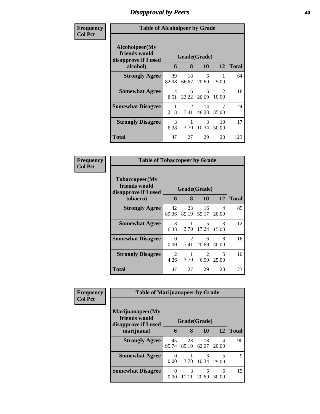## *Disapproval by Peers* **40**

| Frequency      | <b>Table of Alcoholpeer by Grade</b>                    |              |             |             |             |              |
|----------------|---------------------------------------------------------|--------------|-------------|-------------|-------------|--------------|
| <b>Col Pct</b> | Alcoholpeer(My<br>friends would<br>disapprove if I used | Grade(Grade) |             |             |             |              |
|                | alcohol)                                                | 6            | 8           | 10          | 12          | <b>Total</b> |
|                | <b>Strongly Agree</b>                                   | 39<br>82.98  | 18<br>66.67 | 6<br>20.69  | 5.00        | 64           |
|                | <b>Somewhat Agree</b>                                   | 4<br>8.51    | 6<br>22.22  | 6<br>20.69  | 2<br>10.00  | 18           |
|                | <b>Somewhat Disagree</b>                                | 2.13         | 2<br>7.41   | 14<br>48.28 | 7<br>35.00  | 24           |
|                | <b>Strongly Disagree</b>                                | 3<br>6.38    | 3.70        | 3<br>10.34  | 10<br>50.00 | 17           |
|                | Total                                                   | 47           | 27          | 29          | 20          | 123          |

| Frequency      | <b>Table of Tobaccopeer by Grade</b>                    |              |             |                                   |                        |              |
|----------------|---------------------------------------------------------|--------------|-------------|-----------------------------------|------------------------|--------------|
| <b>Col</b> Pct | Tobaccopeer(My<br>friends would<br>disapprove if I used | Grade(Grade) |             |                                   |                        |              |
|                | tobacco)                                                | 6            | 8           | 10                                | 12                     | <b>Total</b> |
|                | <b>Strongly Agree</b>                                   | 42<br>89.36  | 23<br>85.19 | 16<br>55.17                       | 4<br>20.00             | 85           |
|                | <b>Somewhat Agree</b>                                   | 3<br>6.38    | 3.70        | $\overline{\mathcal{L}}$<br>17.24 | $\mathcal{R}$<br>15.00 | 12           |
|                | <b>Somewhat Disagree</b>                                | 0<br>0.00    | 2<br>7.41   | 6<br>20.69                        | 8<br>40.00             | 16           |
|                | <b>Strongly Disagree</b>                                | 2<br>4.26    | 3.70        | $\mathfrak{D}$<br>6.90            | 5<br>25.00             | 10           |
|                | <b>Total</b>                                            | 47           | 27          | 29                                | 20                     | 123          |

| Frequency      |                                                           | <b>Table of Marijuanapeer by Grade</b> |              |             |            |              |  |  |
|----------------|-----------------------------------------------------------|----------------------------------------|--------------|-------------|------------|--------------|--|--|
| <b>Col Pct</b> | Marijuanapeer(My<br>friends would<br>disapprove if I used |                                        | Grade(Grade) |             |            |              |  |  |
|                | marijuana)                                                | 6                                      | 8            | 10          | 12         | <b>Total</b> |  |  |
|                | <b>Strongly Agree</b>                                     | 45<br>95.74                            | 23<br>85.19  | 18<br>62.07 | 4<br>20.00 | 90           |  |  |
|                | <b>Somewhat Agree</b>                                     | $\Omega$<br>0.00                       | 3.70         | 3<br>10.34  | 25.00      | 9            |  |  |
|                | <b>Somewhat Disagree</b>                                  | 0<br>0.00                              | 3<br>11.11   | 6<br>20.69  | 6<br>30.00 | 15           |  |  |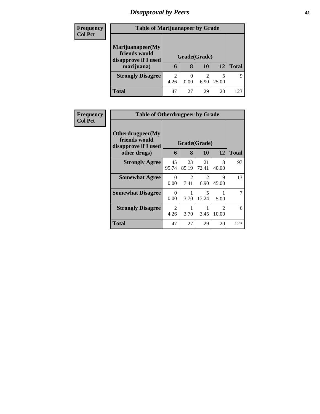# *Disapproval by Peers* **41**

| <b>Frequency</b> | <b>Table of Marijuanapeer by Grade</b>                                  |           |                   |           |       |              |
|------------------|-------------------------------------------------------------------------|-----------|-------------------|-----------|-------|--------------|
| <b>Col Pct</b>   | Marijuanapeer(My<br>friends would<br>disapprove if I used<br>marijuana) | 6         | Grade(Grade)<br>8 | 10        | 12    | <b>Total</b> |
|                  |                                                                         |           |                   |           |       |              |
|                  | <b>Strongly Disagree</b>                                                | 2<br>4.26 | 0.00              | 2<br>6.90 | 25.00 | q            |
|                  | <b>Total</b>                                                            | 47        | 27                | 29        | 20    | 123          |

| Frequency      | <b>Table of Otherdrugpeer by Grade</b>                                    |                  |                        |                        |                        |              |
|----------------|---------------------------------------------------------------------------|------------------|------------------------|------------------------|------------------------|--------------|
| <b>Col Pct</b> | Otherdrugpeer(My<br>friends would<br>disapprove if I used<br>other drugs) | 6                | Grade(Grade)<br>8      | <b>10</b>              | 12                     | <b>Total</b> |
|                | <b>Strongly Agree</b>                                                     | 45<br>95.74      | 23<br>85.19            | 21<br>72.41            | 8<br>40.00             | 97           |
|                | <b>Somewhat Agree</b>                                                     | 0<br>0.00        | $\mathfrak{D}$<br>7.41 | $\overline{2}$<br>6.90 | 9<br>45.00             | 13           |
|                | <b>Somewhat Disagree</b>                                                  | $\Omega$<br>0.00 | 3.70                   | 5<br>17.24             | 5.00                   | 7            |
|                | <b>Strongly Disagree</b>                                                  | 2<br>4.26        | 3.70                   | 3.45                   | $\mathcal{D}$<br>10.00 | 6            |
|                | Total                                                                     | 47               | 27                     | 29                     | 20                     | 123          |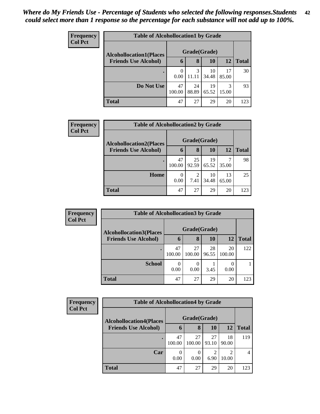| <b>Frequency</b> | <b>Table of Alcohollocation1 by Grade</b> |                  |             |             |             |              |  |  |
|------------------|-------------------------------------------|------------------|-------------|-------------|-------------|--------------|--|--|
| <b>Col Pct</b>   | <b>Alcohollocation1(Places</b>            | Grade(Grade)     |             |             |             |              |  |  |
|                  | <b>Friends Use Alcohol)</b>               | 6                | 8           | 10          | 12          | <b>Total</b> |  |  |
|                  |                                           | $\Omega$<br>0.00 | 3<br>11.11  | 10<br>34.48 | 17<br>85.00 | 30           |  |  |
|                  | Do Not Use                                | 47<br>100.00     | 24<br>88.89 | 19<br>65.52 | 3<br>15.00  | 93           |  |  |
|                  | <b>Total</b>                              | 47               | 27          | 29          | 20          | 123          |  |  |

| <b>Frequency</b> |                                | <b>Table of Alcohollocation2 by Grade</b> |                        |              |             |              |  |  |  |  |
|------------------|--------------------------------|-------------------------------------------|------------------------|--------------|-------------|--------------|--|--|--|--|
| <b>Col Pct</b>   | <b>Alcohollocation2(Places</b> |                                           |                        | Grade(Grade) |             |              |  |  |  |  |
|                  | <b>Friends Use Alcohol)</b>    | 6                                         | 8                      | <b>10</b>    | 12          | <b>Total</b> |  |  |  |  |
|                  |                                | 47<br>100.00                              | 25<br>92.59            | 19<br>65.52  | 35.00       | 98           |  |  |  |  |
|                  | Home                           | 0.00                                      | $\overline{c}$<br>7.41 | 10<br>34.48  | 13<br>65.00 | 25           |  |  |  |  |
|                  | <b>Total</b>                   | 47                                        | 27                     | 29           | 20          | 123          |  |  |  |  |

| <b>Frequency</b> | <b>Table of Alcohollocation3 by Grade</b> |              |                          |             |              |              |
|------------------|-------------------------------------------|--------------|--------------------------|-------------|--------------|--------------|
| <b>Col Pct</b>   | <b>Alcohollocation3(Places</b>            | Grade(Grade) |                          |             |              |              |
|                  | <b>Friends Use Alcohol)</b>               | 6            | 8                        | <b>10</b>   | 12           | <b>Total</b> |
|                  |                                           | 47<br>100.00 | 27<br>100.00             | 28<br>96.55 | 20<br>100.00 | 122          |
|                  | <b>School</b>                             | 0<br>0.00    | $\left( \right)$<br>0.00 | 3.45        | 0.00         |              |
|                  | <b>Total</b>                              | 47           | 27                       | 29          | 20           | 123          |

| <b>Frequency</b> |                                | <b>Table of Alcohollocation4 by Grade</b> |              |             |             |                |  |  |  |  |
|------------------|--------------------------------|-------------------------------------------|--------------|-------------|-------------|----------------|--|--|--|--|
| <b>Col Pct</b>   | <b>Alcohollocation4(Places</b> | Grade(Grade)                              |              |             |             |                |  |  |  |  |
|                  | <b>Friends Use Alcohol)</b>    | 6                                         | 8            | <b>10</b>   | 12          | <b>Total</b>   |  |  |  |  |
|                  |                                | 47<br>100.00                              | 27<br>100.00 | 27<br>93.10 | 18<br>90.00 | 119            |  |  |  |  |
|                  | Car                            | 0.00                                      | 0<br>0.00    | ာ<br>6.90   | 10.00       | $\overline{4}$ |  |  |  |  |
|                  | <b>Total</b>                   | 47                                        | 27           | 29          | 20          | 123            |  |  |  |  |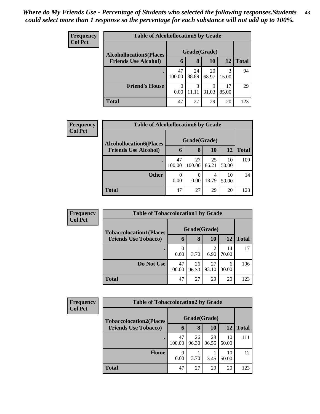| <b>Frequency</b> | <b>Table of Alcohollocation5 by Grade</b> |                  |             |             |             |              |  |  |
|------------------|-------------------------------------------|------------------|-------------|-------------|-------------|--------------|--|--|
| <b>Col Pct</b>   | <b>Alcohollocation5</b> (Places           | Grade(Grade)     |             |             |             |              |  |  |
|                  | <b>Friends Use Alcohol)</b>               | 6                | 8           | 10          | 12          | <b>Total</b> |  |  |
|                  |                                           | 47<br>100.00     | 24<br>88.89 | 20<br>68.97 | 3<br>15.00  | 94           |  |  |
|                  | <b>Friend's House</b>                     | $\theta$<br>0.00 | 3<br>11.11  | 9<br>31.03  | 17<br>85.00 | 29           |  |  |
|                  | <b>Total</b>                              | 47               | 27          | 29          | 20          | 123          |  |  |

| <b>Frequency</b> | <b>Table of Alcohollocation6 by Grade</b> |              |              |             |             |              |
|------------------|-------------------------------------------|--------------|--------------|-------------|-------------|--------------|
| <b>Col Pct</b>   | <b>Alcohollocation6(Places</b>            | Grade(Grade) |              |             |             |              |
|                  | <b>Friends Use Alcohol)</b>               | 6            | 8            | 10          | 12          | <b>Total</b> |
|                  |                                           | 47<br>100.00 | 27<br>100.00 | 25<br>86.21 | 10<br>50.00 | 109          |
|                  | <b>Other</b>                              | 0.00         | 0<br>0.00    | 4<br>13.79  | 10<br>50.00 | 14           |
|                  | <b>Total</b>                              | 47           | 27           | 29          | 20          | 123          |

| <b>Frequency</b> | <b>Table of Tobaccolocation1 by Grade</b> |              |             |                        |             |              |
|------------------|-------------------------------------------|--------------|-------------|------------------------|-------------|--------------|
| <b>Col Pct</b>   | <b>Tobaccolocation1(Places</b>            | Grade(Grade) |             |                        |             |              |
|                  | <b>Friends Use Tobacco)</b>               | 6            | 8           | <b>10</b>              | 12          | <b>Total</b> |
|                  |                                           | 0<br>0.00    | 3.70        | $\overline{c}$<br>6.90 | 14<br>70.00 | 17           |
|                  | Do Not Use                                | 47<br>100.00 | 26<br>96.30 | 27<br>93.10            | 6<br>30.00  | 106          |
|                  | <b>Total</b>                              | 47           | 27          | 29                     | 20          | 123          |

| <b>Frequency</b> | <b>Table of Tobaccolocation2 by Grade</b> |              |             |             |             |              |  |  |
|------------------|-------------------------------------------|--------------|-------------|-------------|-------------|--------------|--|--|
| <b>Col Pct</b>   | <b>Tobaccolocation2(Places</b>            | Grade(Grade) |             |             |             |              |  |  |
|                  | <b>Friends Use Tobacco)</b>               | $\mathbf b$  | 8           | 10          | 12          | <b>Total</b> |  |  |
|                  |                                           | 47<br>100.00 | 26<br>96.30 | 28<br>96.55 | 10<br>50.00 | 111          |  |  |
|                  | Home                                      | 0<br>0.00    | 3.70        | 3.45        | 10<br>50.00 | 12           |  |  |
|                  | <b>Total</b>                              | 47           | 27          | 29          | 20          | 123          |  |  |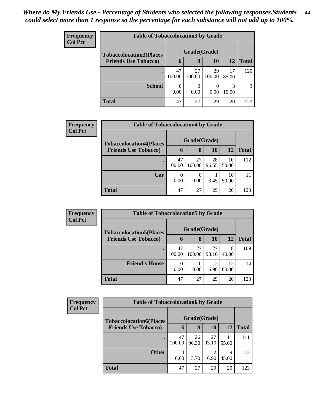| <b>Frequency</b> | <b>Table of Tobaccolocation 3 by Grade</b> |              |              |              |             |              |
|------------------|--------------------------------------------|--------------|--------------|--------------|-------------|--------------|
| <b>Col Pct</b>   | <b>Tobaccolocation3(Places</b>             | Grade(Grade) |              |              |             |              |
|                  | <b>Friends Use Tobacco)</b>                | O            | 8            | 10           | 12          | <b>Total</b> |
|                  |                                            | 47<br>100.00 | 27<br>100.00 | 29<br>100.00 | 17<br>85.00 | 120          |
|                  | <b>School</b>                              | 0<br>0.00    | 0.00         | 0.00         | 3<br>15.00  | 3            |
|                  | Total                                      | 47           | 27           | 29           | 20          | 123          |

| <b>Frequency</b> | <b>Table of Tobaccolocation4 by Grade</b>                     |              |                   |             |             |              |  |  |  |
|------------------|---------------------------------------------------------------|--------------|-------------------|-------------|-------------|--------------|--|--|--|
| <b>Col Pct</b>   | <b>Tobaccolocation4(Places</b><br><b>Friends Use Tobacco)</b> | 6            | Grade(Grade)<br>8 | 10          | <b>12</b>   | <b>Total</b> |  |  |  |
|                  |                                                               |              |                   |             |             |              |  |  |  |
|                  |                                                               | 47<br>100.00 | 27<br>100.00      | 28<br>96.55 | 10<br>50.00 | 112          |  |  |  |
|                  | Car                                                           | 0<br>0.00    | 0.00              | 3.45        | 10<br>50.00 | 11           |  |  |  |
|                  | <b>Total</b>                                                  | 47           | 27                | 29          | 20          | 123          |  |  |  |

| <b>Frequency</b> | <b>Table of Tobaccolocation5 by Grade</b> |              |              |             |             |              |
|------------------|-------------------------------------------|--------------|--------------|-------------|-------------|--------------|
| <b>Col Pct</b>   | <b>Tobaccolocation5(Places</b>            | Grade(Grade) |              |             |             |              |
|                  | <b>Friends Use Tobacco)</b>               | 6            | 8            | 10          | 12          | <b>Total</b> |
|                  |                                           | 47<br>100.00 | 27<br>100.00 | 27<br>93.10 | 8<br>40.00  | 109          |
|                  | <b>Friend's House</b>                     | 0<br>0.00    | 0.00         | 6.90        | 12<br>60.00 | 14           |
|                  | <b>Total</b>                              | 47           | 27           | 29          | 20          | 123          |

| <b>Frequency</b> | <b>Table of Tobaccolocation6 by Grade</b> |              |             |                        |             |              |  |
|------------------|-------------------------------------------|--------------|-------------|------------------------|-------------|--------------|--|
| <b>Col Pct</b>   | <b>Tobaccolocation6(Places</b>            | Grade(Grade) |             |                        |             |              |  |
|                  | <b>Friends Use Tobacco)</b>               | $\mathbf b$  | 8           | 10                     | 12          | <b>Total</b> |  |
|                  |                                           | 47<br>100.00 | 26<br>96.30 | 27<br>93.10            | 11<br>55.00 | 111          |  |
|                  | <b>Other</b>                              | 0<br>0.00    | 3.70        | $\overline{c}$<br>6.90 | 9<br>45.00  | 12           |  |
|                  | <b>Total</b>                              | 47           | 27          | 29                     | 20          | 123          |  |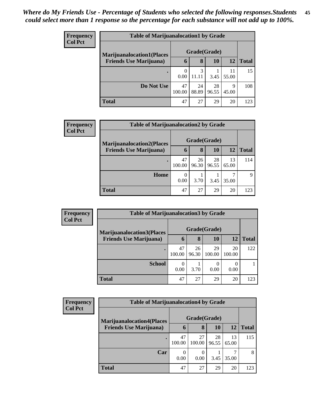| <b>Frequency</b> | <b>Table of Marijuanalocation1 by Grade</b> |              |             |             |             |              |  |  |
|------------------|---------------------------------------------|--------------|-------------|-------------|-------------|--------------|--|--|
| <b>Col Pct</b>   | <b>Marijuanalocation1(Places</b>            | Grade(Grade) |             |             |             |              |  |  |
|                  | <b>Friends Use Marijuana</b> )              | 6            | 8           | 10          | 12          | <b>Total</b> |  |  |
|                  |                                             | 0.00         | 3<br>11.11  | 3.45        | 11<br>55.00 | 15           |  |  |
|                  | Do Not Use                                  | 47<br>100.00 | 24<br>88.89 | 28<br>96.55 | 9<br>45.00  | 108          |  |  |
|                  | <b>Total</b>                                | 47           | 27          | 29          | 20          | 123          |  |  |

| <b>Frequency</b> | <b>Table of Marijuanalocation2 by Grade</b> |                          |              |             |             |              |  |  |  |
|------------------|---------------------------------------------|--------------------------|--------------|-------------|-------------|--------------|--|--|--|
| <b>Col Pct</b>   | <b>Marijuanalocation2(Places</b>            |                          | Grade(Grade) |             |             |              |  |  |  |
|                  | <b>Friends Use Marijuana</b> )              | 6                        | 8            | 10          | 12          | <b>Total</b> |  |  |  |
|                  | ٠                                           | 47<br>100.00             | 26<br>96.30  | 28<br>96.55 | 13<br>65.00 | 114          |  |  |  |
|                  | Home                                        | $\left( \right)$<br>0.00 | 3.70         | 3.45        | 35.00       | $\mathbf Q$  |  |  |  |
|                  | <b>Total</b>                                | 47                       | 27           | 29          | 20          | 123          |  |  |  |

| <b>Frequency</b> | <b>Table of Marijuanalocation3 by Grade</b> |              |             |              |                          |              |  |
|------------------|---------------------------------------------|--------------|-------------|--------------|--------------------------|--------------|--|
| <b>Col Pct</b>   | <b>Marijuanalocation3(Places</b>            | Grade(Grade) |             |              |                          |              |  |
|                  | <b>Friends Use Marijuana</b> )              | 6            | 8           | 10           | 12                       | <b>Total</b> |  |
|                  |                                             | 47<br>100.00 | 26<br>96.30 | 29<br>100.00 | 20<br>100.00             | 122          |  |
|                  | <b>School</b>                               | 0<br>0.00    | 3.70        | 0<br>0.00    | $\left( \right)$<br>0.00 |              |  |
|                  | Total                                       | 47           | 27          | 29           | 20                       | 123          |  |

| Frequency      | <b>Table of Marijuanalocation4 by Grade</b> |              |              |             |             |              |  |  |
|----------------|---------------------------------------------|--------------|--------------|-------------|-------------|--------------|--|--|
| <b>Col Pct</b> | <b>Marijuanalocation4(Places</b>            | Grade(Grade) |              |             |             |              |  |  |
|                | <b>Friends Use Marijuana</b> )              | $\mathbf b$  | 8            | 10          | 12          | <b>Total</b> |  |  |
|                |                                             | 47<br>100.00 | 27<br>100.00 | 28<br>96.55 | 13<br>65.00 | 115          |  |  |
|                | Car                                         | 0<br>0.00    | 0.00         | 3.45        | 35.00       | 8            |  |  |
|                | <b>Total</b>                                | 47           | 27           | 29          | 20          | 123          |  |  |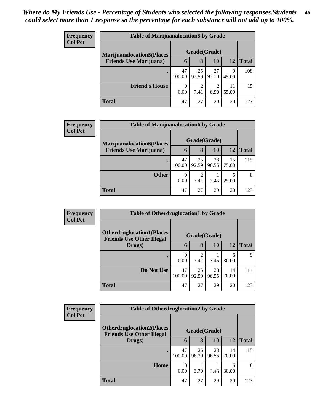| <b>Frequency</b> | <b>Table of Marijuanalocation5 by Grade</b> |                  |                        |             |             |              |  |  |
|------------------|---------------------------------------------|------------------|------------------------|-------------|-------------|--------------|--|--|
| <b>Col Pct</b>   | <b>Marijuanalocation5</b> (Places           | Grade(Grade)     |                        |             |             |              |  |  |
|                  | <b>Friends Use Marijuana</b> )              | 6                | 8                      | 10          | 12          | <b>Total</b> |  |  |
|                  |                                             | 47<br>100.00     | 25<br>92.59            | 27<br>93.10 | 9<br>45.00  | 108          |  |  |
|                  | <b>Friend's House</b>                       | $\Omega$<br>0.00 | $\mathfrak{D}$<br>7.41 | 2<br>6.90   | 11<br>55.00 | 15           |  |  |
|                  | <b>Total</b>                                | 47               | 27                     | 29          | 20          | 123          |  |  |

| <b>Frequency</b> | <b>Table of Marijuanalocation6 by Grade</b> |              |              |             |             |              |  |  |  |
|------------------|---------------------------------------------|--------------|--------------|-------------|-------------|--------------|--|--|--|
| <b>Col Pct</b>   | <b>Marijuanalocation6(Places</b>            |              | Grade(Grade) |             |             |              |  |  |  |
|                  | <b>Friends Use Marijuana</b> )              | 6            | 8            | <b>10</b>   | 12          | <b>Total</b> |  |  |  |
|                  |                                             | 47<br>100.00 | 25<br>92.59  | 28<br>96.55 | 15<br>75.00 | 115          |  |  |  |
|                  | <b>Other</b>                                | 0.00         | 7.41         | 3.45        | 25.00       | 8            |  |  |  |
|                  | <b>Total</b>                                | 47           | 27           | 29          | 20          | 123          |  |  |  |

| <b>Frequency</b> | <b>Table of Otherdruglocation1 by Grade</b>                          |              |             |             |             |              |  |
|------------------|----------------------------------------------------------------------|--------------|-------------|-------------|-------------|--------------|--|
| <b>Col Pct</b>   | <b>Otherdruglocation1(Places</b><br><b>Friends Use Other Illegal</b> | Grade(Grade) |             |             |             |              |  |
|                  | Drugs)                                                               | $\mathbf b$  | 8           | 10          | 12          | <b>Total</b> |  |
|                  |                                                                      | 0.00         | ◠<br>7.41   | 3.45        | 6<br>30.00  | 9            |  |
|                  | Do Not Use                                                           | 47<br>100.00 | 25<br>92.59 | 28<br>96.55 | 14<br>70.00 | 114          |  |
|                  | <b>Total</b>                                                         | 47           | 27          | 29          | 20          | 123          |  |

| uency | <b>Table of Otherdruglocation2 by Grade</b>                           |              |             |             |             |              |  |  |  |  |
|-------|-----------------------------------------------------------------------|--------------|-------------|-------------|-------------|--------------|--|--|--|--|
| Pct   | <b>Otherdruglocation2(Places)</b><br><b>Friends Use Other Illegal</b> | Grade(Grade) |             |             |             |              |  |  |  |  |
|       | Drugs)                                                                | 6            | 8           | 10          | 12          | <b>Total</b> |  |  |  |  |
|       |                                                                       | 47<br>100.00 | 26<br>96.30 | 28<br>96.55 | 14<br>70.00 | 115          |  |  |  |  |
|       | Home                                                                  | 0<br>0.00    | 3.70        | 3.45        | 6<br>30.00  | 8            |  |  |  |  |
|       | <b>Total</b>                                                          | 47           | 27          | 29          | 20          | 123          |  |  |  |  |

**Freq**  $Col$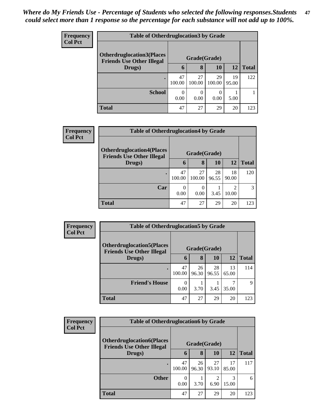| <b>Frequency</b> | <b>Table of Otherdruglocation 3 by Grade</b>                         |              |                  |              |             |              |  |  |  |
|------------------|----------------------------------------------------------------------|--------------|------------------|--------------|-------------|--------------|--|--|--|
| <b>Col Pct</b>   | <b>Otherdruglocation3(Places</b><br><b>Friends Use Other Illegal</b> | Grade(Grade) |                  |              |             |              |  |  |  |
|                  | Drugs)                                                               | $\mathbf b$  | 8                | <b>10</b>    | <b>12</b>   | <b>Total</b> |  |  |  |
|                  |                                                                      | 47<br>100.00 | 27<br>100.00     | 29<br>100.00 | 19<br>95.00 | 122          |  |  |  |
|                  | <b>School</b>                                                        | 0<br>0.00    | $\theta$<br>0.00 | 0.00         | 5.00        |              |  |  |  |
|                  | <b>Total</b>                                                         | 47           | 27               | 29           | 20          | 123          |  |  |  |

| <b>Frequency</b> |                                                                      | <b>Table of Otherdruglocation4 by Grade</b> |                          |             |             |              |  |  |  |
|------------------|----------------------------------------------------------------------|---------------------------------------------|--------------------------|-------------|-------------|--------------|--|--|--|
| <b>Col Pct</b>   | <b>Otherdruglocation4(Places</b><br><b>Friends Use Other Illegal</b> | Grade(Grade)                                |                          |             |             |              |  |  |  |
|                  | Drugs)                                                               | $\mathbf b$                                 | 8                        | 10          | 12          | <b>Total</b> |  |  |  |
|                  |                                                                      | 47<br>100.00                                | 27<br>100.00             | 28<br>96.55 | 18<br>90.00 | 120          |  |  |  |
|                  | Car                                                                  | $\Omega$<br>0.00                            | $\left( \right)$<br>0.00 | 3.45        | ി<br>10.00  | 3            |  |  |  |
|                  | <b>Total</b>                                                         | 47                                          | 27                       | 29          | 20          | 123          |  |  |  |

| Frequency<br><b>Col Pct</b> | <b>Table of Otherdruglocation5 by Grade</b>                           |                  |             |             |             |              |
|-----------------------------|-----------------------------------------------------------------------|------------------|-------------|-------------|-------------|--------------|
|                             | <b>Otherdruglocation5</b> (Places<br><b>Friends Use Other Illegal</b> | Grade(Grade)     |             |             |             |              |
|                             | Drugs)                                                                | 6                | 8           | 10          | 12          | <b>Total</b> |
|                             |                                                                       | 47<br>100.00     | 26<br>96.30 | 28<br>96.55 | 13<br>65.00 | 114          |
|                             | <b>Friend's House</b>                                                 | $\Omega$<br>0.00 | 3.70        | 3.45        | 35.00       | 9            |
|                             | <b>Total</b>                                                          | 47               | 27          | 29          | 20          | 123          |

| <b>Frequency</b> | <b>Table of Otherdruglocation6 by Grade</b>                           |                  |             |             |             |              |  |
|------------------|-----------------------------------------------------------------------|------------------|-------------|-------------|-------------|--------------|--|
| <b>Col Pct</b>   | <b>Otherdruglocation6(Places)</b><br><b>Friends Use Other Illegal</b> | Grade(Grade)     |             |             |             |              |  |
|                  | Drugs)                                                                | $\mathbf b$      | 8           | 10          | 12          | <b>Total</b> |  |
|                  |                                                                       | 47<br>100.00     | 26<br>96.30 | 27<br>93.10 | 17<br>85.00 | 117          |  |
|                  | <b>Other</b>                                                          | $\theta$<br>0.00 | 3.70        | 6.90        | 3<br>15.00  | 6            |  |
|                  | <b>Total</b>                                                          | 47               | 27          | 29          | 20          | 123          |  |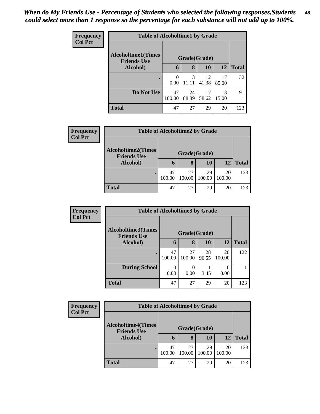| <b>Frequency</b> | <b>Table of Alcoholtime1 by Grade</b>           |              |             |              |             |              |  |  |  |
|------------------|-------------------------------------------------|--------------|-------------|--------------|-------------|--------------|--|--|--|
| <b>Col Pct</b>   | <b>Alcoholtime1(Times</b><br><b>Friends Use</b> |              |             | Grade(Grade) |             |              |  |  |  |
|                  | Alcohol)                                        | 6            | 8           | 10           | 12          | <b>Total</b> |  |  |  |
|                  | ٠                                               | 0<br>0.00    | 3<br>11.11  | 12<br>41.38  | 17<br>85.00 | 32           |  |  |  |
|                  | Do Not Use                                      | 47<br>100.00 | 24<br>88.89 | 17<br>58.62  | 3<br>15.00  | 91           |  |  |  |
|                  | <b>Total</b>                                    | 47           | 27          | 29           | 20          | 123          |  |  |  |

| <b>Frequency</b><br><b>Col Pct</b> | <b>Table of Alcoholtime2 by Grade</b>                       |              |              |              |              |              |  |  |
|------------------------------------|-------------------------------------------------------------|--------------|--------------|--------------|--------------|--------------|--|--|
|                                    | <b>Alcoholtime2(Times</b><br><b>Friends Use</b><br>Alcohol) |              |              |              |              |              |  |  |
|                                    |                                                             | 6            | 8            | 10           | 12           | <b>Total</b> |  |  |
|                                    |                                                             | 47<br>100.00 | 27<br>100.00 | 29<br>100.00 | 20<br>100.00 | 123          |  |  |
|                                    | <b>Total</b>                                                | 47           | 27           | 29           | 20           | 123          |  |  |

| <b>Frequency</b> | <b>Table of Alcoholtime3 by Grade</b>           |              |              |             |              |              |
|------------------|-------------------------------------------------|--------------|--------------|-------------|--------------|--------------|
| <b>Col Pct</b>   | <b>Alcoholtime3(Times</b><br><b>Friends Use</b> | Grade(Grade) |              |             |              |              |
|                  | Alcohol)                                        | 6            | 8            | <b>10</b>   | <b>12</b>    | <b>Total</b> |
|                  |                                                 | 47<br>100.00 | 27<br>100.00 | 28<br>96.55 | 20<br>100.00 | 122          |
|                  | <b>During School</b>                            | 0.00         | 0.00         | 3.45        | 0.00         |              |
|                  | <b>Total</b>                                    | 47           | 27           | 29          | 20           | 123          |

| <b>Frequency</b> |                                                 | <b>Table of Alcoholtime4 by Grade</b> |              |              |              |              |  |  |  |
|------------------|-------------------------------------------------|---------------------------------------|--------------|--------------|--------------|--------------|--|--|--|
| <b>Col Pct</b>   | <b>Alcoholtime4(Times</b><br><b>Friends Use</b> |                                       | Grade(Grade) |              |              |              |  |  |  |
|                  | Alcohol)                                        | 6                                     | 8            | 10           | 12           | <b>Total</b> |  |  |  |
|                  |                                                 | 47<br>100.00                          | 27<br>100.00 | 29<br>100.00 | 20<br>100.00 | 123          |  |  |  |
|                  | <b>Total</b>                                    | 47                                    | 27           | 29           | 20           | 123          |  |  |  |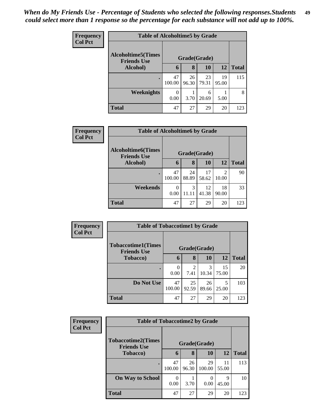| <b>Frequency</b><br><b>Col Pct</b> | <b>Table of Alcoholtime5 by Grade</b>           |              |             |             |             |              |
|------------------------------------|-------------------------------------------------|--------------|-------------|-------------|-------------|--------------|
|                                    | <b>Alcoholtime5(Times</b><br><b>Friends Use</b> | Grade(Grade) |             |             |             |              |
|                                    | Alcohol)                                        | 6            | 8           | 10          | 12          | <b>Total</b> |
|                                    | $\bullet$                                       | 47<br>100.00 | 26<br>96.30 | 23<br>79.31 | 19<br>95.00 | 115          |
|                                    | Weeknights                                      | 0<br>0.00    | 3.70        | 6<br>20.69  | 5.00        | 8            |
|                                    | <b>Total</b>                                    | 47           | 27          | 29          | 20          | 123          |

| Frequency      | <b>Table of Alcoholtime6 by Grade</b>           |                  |             |             |             |              |
|----------------|-------------------------------------------------|------------------|-------------|-------------|-------------|--------------|
| <b>Col Pct</b> | <b>Alcoholtime6(Times</b><br><b>Friends Use</b> | Grade(Grade)     |             |             |             |              |
|                | Alcohol)                                        | 6                | 8           | 10          | 12          | <b>Total</b> |
|                |                                                 | 47<br>100.00     | 24<br>88.89 | 17<br>58.62 | 2<br>10.00  | 90           |
|                | Weekends                                        | $\theta$<br>0.00 | 3<br>11.11  | 12<br>41.38 | 18<br>90.00 | 33           |
|                | <b>Total</b>                                    | 47               | 27          | 29          | 20          | 123          |

| Frequency      |                                                 | <b>Table of Tobaccotime1 by Grade</b> |                        |             |             |              |  |  |  |
|----------------|-------------------------------------------------|---------------------------------------|------------------------|-------------|-------------|--------------|--|--|--|
| <b>Col Pct</b> | <b>Tobaccotime1(Times</b><br><b>Friends Use</b> | Grade(Grade)                          |                        |             |             |              |  |  |  |
|                | <b>Tobacco</b> )                                | 6                                     | 8                      | 10          | 12          | <b>Total</b> |  |  |  |
|                |                                                 | $\theta$<br>0.00                      | $\mathfrak{D}$<br>7.41 | 3<br>10.34  | 15<br>75.00 | 20           |  |  |  |
|                | Do Not Use                                      | 47<br>100.00                          | 25<br>92.59            | 26<br>89.66 | 5<br>25.00  | 103          |  |  |  |
|                | <b>Total</b>                                    | 47                                    | 27                     | 29          | 20          | 123          |  |  |  |

| <b>Frequency</b> |                                                 | <b>Table of Tobaccotime2 by Grade</b> |             |              |             |              |  |  |  |
|------------------|-------------------------------------------------|---------------------------------------|-------------|--------------|-------------|--------------|--|--|--|
| <b>Col Pct</b>   | <b>Tobaccotime2(Times</b><br><b>Friends Use</b> | Grade(Grade)                          |             |              |             |              |  |  |  |
|                  | <b>Tobacco</b> )                                | 6                                     | 8           | 10           | 12          | <b>Total</b> |  |  |  |
|                  | $\bullet$                                       | 47<br>100.00                          | 26<br>96.30 | 29<br>100.00 | 11<br>55.00 | 113          |  |  |  |
|                  | <b>On Way to School</b>                         | 0<br>0.00                             | 3.70        | 0.00         | 9<br>45.00  | 10           |  |  |  |
|                  | <b>Total</b>                                    | 47                                    | 27          | 29           | 20          | 123          |  |  |  |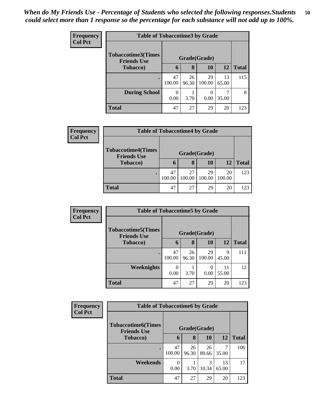| <b>Frequency</b> | <b>Table of Tobaccotime3 by Grade</b>           |              |             |              |             |              |  |  |
|------------------|-------------------------------------------------|--------------|-------------|--------------|-------------|--------------|--|--|
| <b>Col Pct</b>   | <b>Tobaccotime3(Times</b><br><b>Friends Use</b> | Grade(Grade) |             |              |             |              |  |  |
|                  | <b>Tobacco</b> )                                | 6            | 8           | 10           | 12          | <b>Total</b> |  |  |
|                  | $\bullet$                                       | 47<br>100.00 | 26<br>96.30 | 29<br>100.00 | 13<br>65.00 | 115          |  |  |
|                  | <b>During School</b>                            | 0<br>0.00    | 3.70        | 0<br>0.00    | 35.00       | 8            |  |  |
|                  | <b>Total</b>                                    | 47           | 27          | 29           | 20          | 123          |  |  |

| <b>Frequency</b><br><b>Col Pct</b> | <b>Table of Tobaccotime4 by Grade</b>                       |              |              |              |              |              |  |  |
|------------------------------------|-------------------------------------------------------------|--------------|--------------|--------------|--------------|--------------|--|--|
|                                    | <b>Tobaccotime4(Times</b><br><b>Friends Use</b><br>Tobacco) |              |              |              |              |              |  |  |
|                                    |                                                             | $\mathbf b$  | 8            | 10           | 12           | <b>Total</b> |  |  |
|                                    |                                                             | 47<br>100.00 | 27<br>100.00 | 29<br>100.00 | 20<br>100.00 | 123          |  |  |
|                                    | <b>Total</b>                                                | 47           | 27           | 29           | 20           | 123          |  |  |

| <b>Frequency</b> | <b>Table of Tobaccotime5 by Grade</b>           |                  |             |              |             |              |
|------------------|-------------------------------------------------|------------------|-------------|--------------|-------------|--------------|
| <b>Col Pct</b>   | <b>Tobaccotime5(Times</b><br><b>Friends Use</b> | Grade(Grade)     |             |              |             |              |
|                  | Tobacco)                                        | 6                | 8           | <b>10</b>    | <b>12</b>   | <b>Total</b> |
|                  |                                                 | 47<br>100.00     | 26<br>96.30 | 29<br>100.00 | 9<br>45.00  | 111          |
|                  | Weeknights                                      | $\Omega$<br>0.00 | 3.70        | 0.00         | 11<br>55.00 | 12           |
|                  | <b>Total</b>                                    | 47               | 27          | 29           | 20          | 123          |

| <b>Frequency</b> |                                                 | <b>Table of Tobaccotime6 by Grade</b> |             |             |             |              |  |  |  |
|------------------|-------------------------------------------------|---------------------------------------|-------------|-------------|-------------|--------------|--|--|--|
| <b>Col Pct</b>   | <b>Tobaccotime6(Times</b><br><b>Friends Use</b> | Grade(Grade)                          |             |             |             |              |  |  |  |
|                  | <b>Tobacco</b> )                                | 6                                     | 8           | <b>10</b>   | 12          | <b>Total</b> |  |  |  |
|                  |                                                 | 47<br>100.00                          | 26<br>96.30 | 26<br>89.66 | 35.00       | 106          |  |  |  |
|                  | Weekends                                        | $\Omega$<br>0.00                      | 3.70        | 3<br>10.34  | 13<br>65.00 | 17           |  |  |  |
|                  | <b>Total</b>                                    | 47                                    | 27          | 29          | 20          | 123          |  |  |  |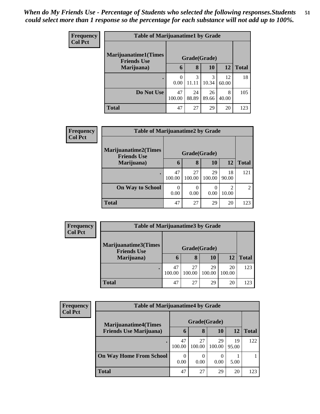| <b>Frequency</b> | <b>Table of Marijuanatime1 by Grade</b>            |              |             |             |             |              |  |  |
|------------------|----------------------------------------------------|--------------|-------------|-------------|-------------|--------------|--|--|
| <b>Col Pct</b>   | <b>Marijuanatime1</b> (Times<br><b>Friends Use</b> | Grade(Grade) |             |             |             |              |  |  |
|                  | Marijuana)                                         | 6            | 8           | <b>10</b>   | <b>12</b>   | <b>Total</b> |  |  |
|                  | ٠                                                  | 0<br>0.00    | 3<br>11.11  | 3<br>10.34  | 12<br>60.00 | 18           |  |  |
|                  | Do Not Use                                         | 47<br>100.00 | 24<br>88.89 | 26<br>89.66 | 8<br>40.00  | 105          |  |  |
|                  | <b>Total</b>                                       | 47           | 27          | 29          | 20          | 123          |  |  |

| <b>Frequency</b> | <b>Table of Marijuanatime2 by Grade</b>           |                  |              |                  |             |                |  |
|------------------|---------------------------------------------------|------------------|--------------|------------------|-------------|----------------|--|
| <b>Col Pct</b>   | <b>Marijuanatime2(Times</b><br><b>Friends Use</b> | Grade(Grade)     |              |                  |             |                |  |
|                  | Marijuana)                                        | $\mathbf b$      | 8            | 10               | 12          | <b>Total</b>   |  |
|                  |                                                   | 47<br>100.00     | 27<br>100.00 | 29<br>100.00     | 18<br>90.00 | 121            |  |
|                  | <b>On Way to School</b>                           | $\Omega$<br>0.00 | 0<br>0.00    | $\Omega$<br>0.00 | 2<br>10.00  | $\mathfrak{D}$ |  |
|                  | <b>Total</b>                                      | 47               | 27           | 29               | 20          | 123            |  |

| Frequency      |                                            | <b>Table of Marijuanatime3 by Grade</b> |              |              |              |              |  |  |  |
|----------------|--------------------------------------------|-----------------------------------------|--------------|--------------|--------------|--------------|--|--|--|
| <b>Col Pct</b> | Marijuanatime3(Times<br><b>Friends Use</b> |                                         |              |              |              |              |  |  |  |
|                | Marijuana)                                 | O                                       | 8            | 10           | 12           | <b>Total</b> |  |  |  |
|                |                                            | 47<br>100.00                            | 27<br>100.00 | 29<br>100.00 | 20<br>100.00 | 123          |  |  |  |
|                | <b>Total</b>                               | 47                                      | 27           | 29           | 20           | 123          |  |  |  |

| Frequency      |                                | <b>Table of Marijuanatime4 by Grade</b> |              |                  |             |              |  |  |  |  |
|----------------|--------------------------------|-----------------------------------------|--------------|------------------|-------------|--------------|--|--|--|--|
| <b>Col Pct</b> | <b>Marijuanatime4</b> (Times   |                                         | Grade(Grade) |                  |             |              |  |  |  |  |
|                | <b>Friends Use Marijuana</b> ) | $\mathbf b$                             | 8            | 10               | 12          | <b>Total</b> |  |  |  |  |
|                |                                | 47<br>100.00                            | 27<br>100.00 | 29<br>100.00     | 19<br>95.00 | 122          |  |  |  |  |
|                | <b>On Way Home From School</b> | $\Omega$<br>0.00                        | 0.00         | $\theta$<br>0.00 | 5.00        |              |  |  |  |  |
|                | Total                          | 47                                      | 27           | 29               | 20          | 123          |  |  |  |  |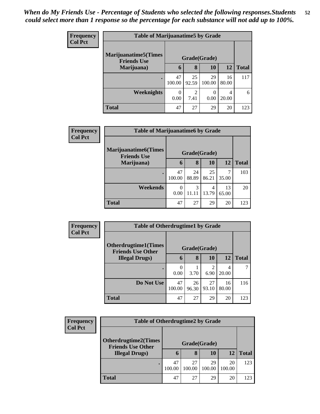| <b>Frequency</b> | <b>Table of Marijuanatime5 by Grade</b>            |              |             |              |             |              |
|------------------|----------------------------------------------------|--------------|-------------|--------------|-------------|--------------|
| <b>Col Pct</b>   | <b>Marijuanatime5</b> (Times<br><b>Friends Use</b> | Grade(Grade) |             |              |             |              |
|                  | Marijuana)                                         | $\mathbf b$  | 8           | <b>10</b>    | <b>12</b>   | <b>Total</b> |
|                  |                                                    | 47<br>100.00 | 25<br>92.59 | 29<br>100.00 | 16<br>80.00 | 117          |
|                  | Weeknights                                         | 0<br>0.00    | 2<br>7.41   | 0.00         | 4<br>20.00  | 6            |
|                  | <b>Total</b>                                       | 47           | 27          | 29           | 20          | 123          |

| Frequency      | <b>Table of Marijuanatime6 by Grade</b>           |              |             |             |             |              |  |
|----------------|---------------------------------------------------|--------------|-------------|-------------|-------------|--------------|--|
| <b>Col Pct</b> | <b>Marijuanatime6(Times</b><br><b>Friends Use</b> | Grade(Grade) |             |             |             |              |  |
|                | Marijuana)                                        | 6            | 8           | 10          | 12          | <b>Total</b> |  |
|                |                                                   | 47<br>100.00 | 24<br>88.89 | 25<br>86.21 | 7<br>35.00  | 103          |  |
|                | Weekends                                          | 0<br>0.00    | 3<br>11.11  | 4<br>13.79  | 13<br>65.00 | 20           |  |
|                | <b>Total</b>                                      | 47           | 27          | 29          | 20          | 123          |  |

| <b>Frequency</b> | <b>Table of Otherdrugtime1 by Grade</b>                 |              |              |             |             |              |
|------------------|---------------------------------------------------------|--------------|--------------|-------------|-------------|--------------|
| <b>Col Pct</b>   | <b>Otherdrugtime1(Times</b><br><b>Friends Use Other</b> |              | Grade(Grade) |             |             |              |
|                  | <b>Illegal Drugs)</b>                                   | 6            | 8            | <b>10</b>   | 12          | <b>Total</b> |
|                  |                                                         | 0<br>0.00    | 3.70         | 2<br>6.90   | 4<br>20.00  |              |
|                  | Do Not Use                                              | 47<br>100.00 | 26<br>96.30  | 27<br>93.10 | 16<br>80.00 | 116          |
|                  | <b>Total</b>                                            | 47           | 27           | 29          | 20          | 123          |

| Frequency      | <b>Table of Otherdrugtime2 by Grade</b>                 |              |              |              |              |              |
|----------------|---------------------------------------------------------|--------------|--------------|--------------|--------------|--------------|
| <b>Col Pct</b> | <b>Otherdrugtime2(Times</b><br><b>Friends Use Other</b> |              |              |              |              |              |
|                | <b>Illegal Drugs)</b>                                   | 6            | 8            | 10           | 12           | <b>Total</b> |
|                |                                                         | 47<br>100.00 | 27<br>100.00 | 29<br>100.00 | 20<br>100.00 | 123          |
|                | <b>Total</b>                                            | 47           | 27           | 29           | 20           | 123          |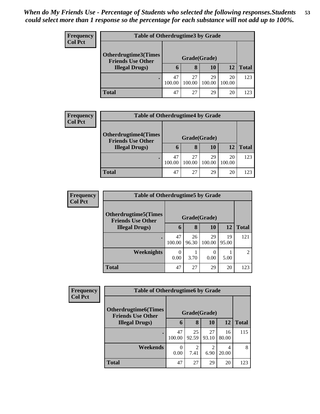| <b>Frequency</b> | <b>Table of Otherdrugtime3 by Grade</b>            |              |              |              |              |              |  |
|------------------|----------------------------------------------------|--------------|--------------|--------------|--------------|--------------|--|
| <b>Col Pct</b>   | Otherdrugtime3(Times                               |              |              |              |              |              |  |
|                  | <b>Friends Use Other</b><br><b>Illegal Drugs</b> ) | $\mathbf b$  | 8            | 10           | 12           | <b>Total</b> |  |
|                  |                                                    | 47<br>100.00 | 27<br>100.00 | 29<br>100.00 | 20<br>100.00 | 123          |  |
|                  | Total                                              | 47           | 27           | 29           | 20           | 123          |  |

| <b>Frequency</b> |                                                         | <b>Table of Otherdrugtime4 by Grade</b> |              |              |              |              |  |  |
|------------------|---------------------------------------------------------|-----------------------------------------|--------------|--------------|--------------|--------------|--|--|
| <b>Col Pct</b>   | <b>Otherdrugtime4(Times</b><br><b>Friends Use Other</b> |                                         |              |              |              |              |  |  |
|                  | <b>Illegal Drugs)</b>                                   | 6                                       | 8            | 10           | 12           | <b>Total</b> |  |  |
|                  |                                                         | 47<br>100.00                            | 27<br>100.00 | 29<br>100.00 | 20<br>100.00 | 123          |  |  |
|                  | <b>Total</b>                                            | 47                                      | 27           | 29           | 20           | 123          |  |  |

| <b>Frequency</b> | <b>Table of Otherdrugtime5 by Grade</b>                  |              |             |              |             |               |
|------------------|----------------------------------------------------------|--------------|-------------|--------------|-------------|---------------|
| <b>Col Pct</b>   | <b>Otherdrugtime5</b> (Times<br><b>Friends Use Other</b> | Grade(Grade) |             |              |             |               |
|                  | <b>Illegal Drugs</b> )                                   | 6            | 8           | 10           | 12          | <b>Total</b>  |
|                  |                                                          | 47<br>100.00 | 26<br>96.30 | 29<br>100.00 | 19<br>95.00 | 121           |
|                  | Weeknights                                               | 0.00         | 3.70        | 0.00         | 5.00        | $\mathcal{D}$ |
|                  | <b>Total</b>                                             | 47           | 27          | 29           | 20          | 123           |

| Frequency      | <b>Table of Otherdrugtime6 by Grade</b>                  |                  |             |                        |             |              |  |
|----------------|----------------------------------------------------------|------------------|-------------|------------------------|-------------|--------------|--|
| <b>Col Pct</b> | <b>Otherdrugtime6</b> (Times<br><b>Friends Use Other</b> | Grade(Grade)     |             |                        |             |              |  |
|                | <b>Illegal Drugs</b> )                                   | 6                | 8           | 10                     | 12          | <b>Total</b> |  |
|                |                                                          | 47<br>100.00     | 25<br>92.59 | 27<br>93.10            | 16<br>80.00 | 115          |  |
|                | Weekends                                                 | $\theta$<br>0.00 | 2<br>7.41   | $\mathfrak{D}$<br>6.90 | 20.00       | 8            |  |
|                | <b>Total</b>                                             | 47               | 27          | 29                     | 20          | 123          |  |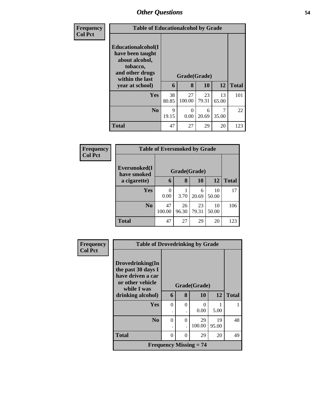| Frequency      | <b>Table of Educationalcohol by Grade</b>                                                                                     |             |                   |             |             |              |  |
|----------------|-------------------------------------------------------------------------------------------------------------------------------|-------------|-------------------|-------------|-------------|--------------|--|
| <b>Col Pct</b> | Educationalcohol(I<br>have been taught<br>about alcohol,<br>tobacco,<br>and other drugs<br>within the last<br>year at school) | 6           | Grade(Grade)<br>8 | 10          | 12          | <b>Total</b> |  |
|                | <b>Yes</b>                                                                                                                    | 38<br>80.85 | 27<br>100.00      | 23<br>79.31 | 13<br>65.00 | 101          |  |
|                | N <sub>o</sub>                                                                                                                | 9<br>19.15  | 0<br>0.00         | 6<br>20.69  | 35.00       | 22           |  |
|                | <b>Total</b>                                                                                                                  | 47          | 27                | 29          | 20          | 123          |  |

| Frequency      | <b>Table of Eversmoked by Grade</b> |              |             |              |             |              |  |
|----------------|-------------------------------------|--------------|-------------|--------------|-------------|--------------|--|
| <b>Col Pct</b> | Eversmoked(I                        |              |             | Grade(Grade) |             |              |  |
|                | have smoked<br>a cigarette)         | 6            | 8           | 10           | 12          | <b>Total</b> |  |
|                | <b>Yes</b>                          | 0<br>0.00    | 3.70        | 6<br>20.69   | 10<br>50.00 | 17           |  |
|                | N <sub>0</sub>                      | 47<br>100.00 | 26<br>96.30 | 23<br>79.31  | 10<br>50.00 | 106          |  |
|                | <b>Total</b>                        | 47           | 27          | 29           | 20          | 123          |  |

| Frequency      |                                                                                                | <b>Table of Drovedrinking by Grade</b> |          |                          |       |              |  |
|----------------|------------------------------------------------------------------------------------------------|----------------------------------------|----------|--------------------------|-------|--------------|--|
| <b>Col Pct</b> | Drovedrinking(In<br>the past 30 days I<br>have driven a car<br>or other vehicle<br>while I was |                                        |          | Grade(Grade)             |       |              |  |
|                | drinking alcohol)                                                                              | 6                                      | 8        | 10                       | 12    | <b>Total</b> |  |
|                | <b>Yes</b>                                                                                     | $\theta$                               | $\Omega$ | 0                        |       |              |  |
|                |                                                                                                |                                        |          | 0.00                     | 5.00  |              |  |
|                | N <sub>0</sub>                                                                                 | $\theta$                               | $\Omega$ | 29                       | 19    | 48           |  |
|                |                                                                                                | ٠                                      |          | 100.00                   | 95.00 |              |  |
|                | <b>Total</b>                                                                                   | $\Omega$                               | $\Omega$ | 29                       | 20    | 49           |  |
|                |                                                                                                |                                        |          | Frequency Missing $= 74$ |       |              |  |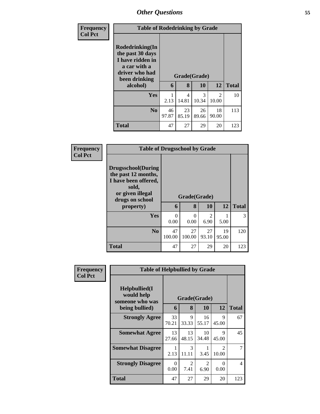| <b>Frequency</b> |                                                                                                            | <b>Table of Rodedrinking by Grade</b> |             |              |                        |              |  |
|------------------|------------------------------------------------------------------------------------------------------------|---------------------------------------|-------------|--------------|------------------------|--------------|--|
| <b>Col Pct</b>   | Rodedrinking(In<br>the past 30 days<br>I have ridden in<br>a car with a<br>driver who had<br>been drinking |                                       |             | Grade(Grade) |                        |              |  |
|                  | alcohol)                                                                                                   | 6                                     | 8           | 10           | 12                     | <b>Total</b> |  |
|                  | <b>Yes</b>                                                                                                 | 1<br>2.13                             | 4<br>14.81  | 3<br>10.34   | $\mathcal{D}$<br>10.00 | 10           |  |
|                  | N <sub>0</sub>                                                                                             | 46<br>97.87                           | 23<br>85.19 | 26<br>89.66  | 18<br>90.00            | 113          |  |
|                  | <b>Total</b>                                                                                               | 47                                    | 27          | 29           | 20                     | 123          |  |

| <b>Frequency</b> | <b>Table of Drugsschool by Grade</b>                                                                                                   |                  |                   |                        |             |              |
|------------------|----------------------------------------------------------------------------------------------------------------------------------------|------------------|-------------------|------------------------|-------------|--------------|
| <b>Col Pct</b>   | <b>Drugsschool</b> (During<br>the past 12 months,<br>I have been offered,<br>sold,<br>or given illegal<br>drugs on school<br>property) | 6                | Grade(Grade)<br>8 | 10                     | 12          | <b>Total</b> |
|                  | Yes                                                                                                                                    | $\Omega$<br>0.00 | 0<br>0.00         | $\mathfrak{D}$<br>6.90 | 5.00        | 3            |
|                  | N <sub>0</sub>                                                                                                                         | 47<br>100.00     | 27<br>100.00      | 27<br>93.10            | 19<br>95.00 | 120          |
|                  | <b>Total</b>                                                                                                                           | 47               | 27                | 29                     | 20          | 123          |

| <b>Frequency</b> |                                                                   | <b>Table of Helpbullied by Grade</b> |                        |                        |                                      |              |  |
|------------------|-------------------------------------------------------------------|--------------------------------------|------------------------|------------------------|--------------------------------------|--------------|--|
| <b>Col Pct</b>   | Helpbullied(I)<br>would help<br>someone who was<br>being bullied) | 6                                    | Grade(Grade)<br>8      | 10                     | 12                                   | <b>Total</b> |  |
|                  | <b>Strongly Agree</b>                                             | 33<br>70.21                          | 9<br>33.33             | 16<br>55.17            | 9<br>45.00                           | 67           |  |
|                  | <b>Somewhat Agree</b>                                             | 13<br>27.66                          | 13<br>48.15            | 10<br>34.48            | 9<br>45.00                           | 45           |  |
|                  | <b>Somewhat Disagree</b>                                          | 1<br>2.13                            | $\mathcal{E}$<br>11.11 | 1<br>3.45              | $\mathcal{D}_{\mathcal{L}}$<br>10.00 | 7            |  |
|                  | <b>Strongly Disagree</b>                                          | $\Omega$<br>0.00                     | $\mathfrak{D}$<br>7.41 | $\overline{2}$<br>6.90 | 0<br>0.00                            | 4            |  |
|                  | <b>Total</b>                                                      | 47                                   | 27                     | 29                     | 20                                   | 123          |  |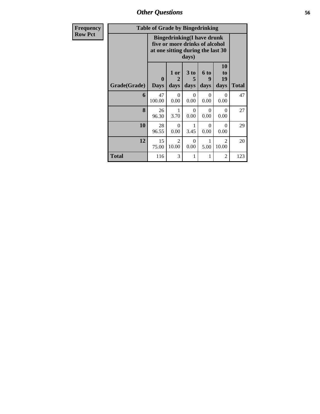*Other Questions* **56**

| Frequency      |              | <b>Table of Grade by Bingedrinking</b>                                                                   |                              |                   |                   |                         |              |
|----------------|--------------|----------------------------------------------------------------------------------------------------------|------------------------------|-------------------|-------------------|-------------------------|--------------|
| <b>Row Pct</b> |              | <b>Bingedrinking(I have drunk</b><br>five or more drinks of alcohol<br>at one sitting during the last 30 |                              |                   |                   |                         |              |
|                | Grade(Grade) | $\bf{0}$<br><b>Days</b>                                                                                  | 1 or<br>$\mathbf{2}$<br>days | 3 to<br>5<br>days | 6 to<br>9<br>days | 10<br>to<br>19<br>days  | <b>Total</b> |
|                | 6            | 47<br>100.00                                                                                             | $\Omega$<br>0.00             | $\Omega$<br>0.00  | $\Omega$<br>0.00  | $\Omega$<br>0.00        | 47           |
|                | 8            | 26<br>96.30                                                                                              | 1<br>3.70                    | $\Omega$<br>0.00  | $\Omega$<br>0.00  | $\Omega$<br>0.00        | 27           |
|                | 10           | 28<br>96.55                                                                                              | $\Omega$<br>0.00             | 1<br>3.45         | $\Omega$<br>0.00  | $\Omega$<br>0.00        | 29           |
|                | 12           | 15<br>75.00                                                                                              | $\mathfrak{D}$<br>10.00      | $\Omega$<br>0.00  | 5.00              | $\mathfrak{D}$<br>10.00 | 20           |
|                | Total        | 116                                                                                                      | 3                            | 1                 | 1                 | $\overline{c}$          | 123          |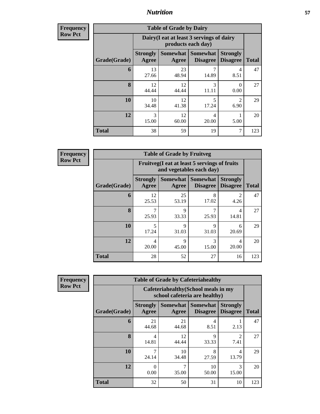**Frequency Row Pct**

| <b>Table of Grade by Dairy</b> |                          |                                                                 |                                    |                                     |              |  |  |
|--------------------------------|--------------------------|-----------------------------------------------------------------|------------------------------------|-------------------------------------|--------------|--|--|
|                                |                          | Dairy (I eat at least 3 servings of dairy<br>products each day) |                                    |                                     |              |  |  |
| Grade(Grade)                   | <b>Strongly</b><br>Agree | <b>Somewhat</b><br>Agree                                        | <b>Somewhat</b><br><b>Disagree</b> | <b>Strongly</b><br><b>Disagree</b>  | <b>Total</b> |  |  |
| 6                              | 13<br>27.66              | 23<br>48.94                                                     | 7<br>14.89                         | 4<br>8.51                           | 47           |  |  |
| 8                              | 12<br>44.44              | 12<br>44.44                                                     | 3<br>11.11                         | 0<br>0.00                           | 27           |  |  |
| <b>10</b>                      | 10<br>34.48              | 12<br>41.38                                                     | 5<br>17.24                         | $\mathcal{D}_{\mathcal{A}}$<br>6.90 | 29           |  |  |
| 12                             | 3<br>15.00               | 12<br>60.00                                                     | 4<br>20.00                         | 5.00                                | 20           |  |  |
| <b>Total</b>                   | 38                       | 59                                                              | 19                                 | 7                                   | 123          |  |  |

**Frequency Row Pct**

| <b>Table of Grade by Fruitveg</b> |                          |                                                                          |                      |                                    |              |  |  |  |
|-----------------------------------|--------------------------|--------------------------------------------------------------------------|----------------------|------------------------------------|--------------|--|--|--|
|                                   |                          | Fruitveg(I eat at least 5 servings of fruits<br>and vegetables each day) |                      |                                    |              |  |  |  |
| Grade(Grade)                      | <b>Strongly</b><br>Agree | Somewhat<br>Agree                                                        | Somewhat<br>Disagree | <b>Strongly</b><br><b>Disagree</b> | <b>Total</b> |  |  |  |
| 6                                 | 12<br>25.53              | 25<br>53.19                                                              | 8<br>17.02           | 2<br>4.26                          | 47           |  |  |  |
| 8                                 | 25.93                    | 9<br>33.33                                                               | 25.93                | $\overline{4}$<br>14.81            | 27           |  |  |  |
| 10                                | 5<br>17.24               | 9<br>31.03                                                               | 9<br>31.03           | 6<br>20.69                         | 29           |  |  |  |
| 12                                | $\overline{4}$<br>20.00  | Q<br>45.00                                                               | 3<br>15.00           | 4<br>20.00                         | 20           |  |  |  |
| <b>Total</b>                      | 28                       | 52                                                                       | 27                   | 16                                 | 123          |  |  |  |

**Frequency Row Pct**

| <b>Table of Grade by Cafeteriahealthy</b> |                          |                                                                       |                                    |                                     |              |  |  |  |
|-------------------------------------------|--------------------------|-----------------------------------------------------------------------|------------------------------------|-------------------------------------|--------------|--|--|--|
|                                           |                          | Cafeteriahealthy (School meals in my<br>school cafeteria are healthy) |                                    |                                     |              |  |  |  |
| Grade(Grade)                              | <b>Strongly</b><br>Agree | <b>Somewhat</b><br>Agree                                              | <b>Somewhat</b><br><b>Disagree</b> | <b>Strongly</b><br><b>Disagree</b>  | <b>Total</b> |  |  |  |
| 6                                         | 21<br>44.68              | 21<br>44.68                                                           | 4<br>8.51                          | 2.13                                | 47           |  |  |  |
| 8                                         | 4<br>14.81               | 12<br>44.44                                                           | 9<br>33.33                         | $\mathcal{D}_{\mathcal{A}}$<br>7.41 | 27           |  |  |  |
| 10                                        | 24.14                    | 10<br>34.48                                                           | 8<br>27.59                         | 4<br>13.79                          | 29           |  |  |  |
| 12                                        | $\mathbf{0}$<br>0.00     | 35.00                                                                 | 10<br>50.00                        | 3<br>15.00                          | 20           |  |  |  |
| <b>Total</b>                              | 32                       | 50                                                                    | 31                                 | 10                                  | 123          |  |  |  |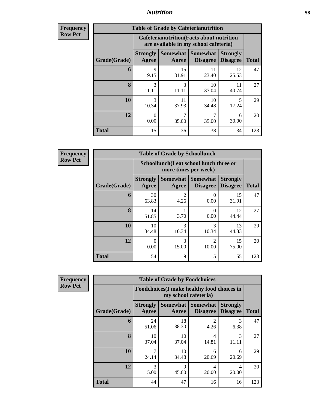| <b>Frequency</b> |              | <b>Table of Grade by Cafeterianutrition</b> |                                                                                           |                                        |                                    |  |  |  |  |  |
|------------------|--------------|---------------------------------------------|-------------------------------------------------------------------------------------------|----------------------------------------|------------------------------------|--|--|--|--|--|
| <b>Row Pct</b>   |              |                                             | <b>Cafeterianutrition</b> (Facts about nutrition<br>are available in my school cafeteria) |                                        |                                    |  |  |  |  |  |
|                  | Grade(Grade) | <b>Strongly</b><br>Agree                    | Agree                                                                                     | Somewhat   Somewhat<br><b>Disagree</b> | <b>Strongly</b><br><b>Disagree</b> |  |  |  |  |  |
|                  | 6            | 9<br>19.15                                  | 15<br>31.91                                                                               | 11<br>23.40                            | 12<br>25.53                        |  |  |  |  |  |
|                  | 8            | 3<br>11.11                                  | 3<br>11.11                                                                                | 10<br>37.04                            | 40.74                              |  |  |  |  |  |
|                  | 10           | 3<br>10.34                                  | 11<br>37.93                                                                               | 10<br>34.48                            | 5<br>17.24                         |  |  |  |  |  |
|                  | 12           | 0.00                                        | 7<br>35.00                                                                                | 35.00                                  | 6<br>30.00                         |  |  |  |  |  |

**Frequency Row Pct**

| <b>Table of Grade by Schoollunch</b> |                          |                                                                 |                             |                                    |              |  |  |  |
|--------------------------------------|--------------------------|-----------------------------------------------------------------|-----------------------------|------------------------------------|--------------|--|--|--|
|                                      |                          | Schoollunch(I eat school lunch three or<br>more times per week) |                             |                                    |              |  |  |  |
| Grade(Grade)                         | <b>Strongly</b><br>Agree | Somewhat  <br>Agree                                             | Somewhat<br><b>Disagree</b> | <b>Strongly</b><br><b>Disagree</b> | <b>Total</b> |  |  |  |
| 6                                    | 30<br>63.83              | $\mathcal{D}$<br>4.26                                           | 0.00                        | 15<br>31.91                        | 47           |  |  |  |
| 8                                    | 14<br>51.85              | 3.70                                                            | 0<br>0.00                   | 12<br>44.44                        | 27           |  |  |  |
| 10                                   | 10<br>34.48              | 3<br>10.34                                                      | 3<br>10.34                  | 13<br>44.83                        | 29           |  |  |  |
| 12                                   | 0<br>0.00                | 3<br>15.00                                                      | $\overline{c}$<br>10.00     | 15<br>75.00                        | 20           |  |  |  |
| <b>Total</b>                         | 54                       | 9                                                               | 5                           | 55                                 | 123          |  |  |  |

**Total** 15 36 38 34 123

| <b>Frequency</b> |  |
|------------------|--|
| <b>Row Pct</b>   |  |

| <b>Table of Grade by Foodchoices</b> |                          |                                                                     |                             |                                    |              |  |  |  |
|--------------------------------------|--------------------------|---------------------------------------------------------------------|-----------------------------|------------------------------------|--------------|--|--|--|
|                                      |                          | Foodchoices (I make healthy food choices in<br>my school cafeteria) |                             |                                    |              |  |  |  |
| Grade(Grade)                         | <b>Strongly</b><br>Agree | Somewhat<br>Agree                                                   | Somewhat<br><b>Disagree</b> | <b>Strongly</b><br><b>Disagree</b> | <b>Total</b> |  |  |  |
| 6                                    | 24<br>51.06              | 18<br>38.30                                                         | 2<br>4.26                   | 3<br>6.38                          | 47           |  |  |  |
| 8                                    | 10<br>37.04              | 10<br>37.04                                                         | 4<br>14.81                  | 3<br>11.11                         | 27           |  |  |  |
| 10                                   | 7<br>24.14               | 10<br>34.48                                                         | 6<br>20.69                  | 6<br>20.69                         | 29           |  |  |  |
| 12                                   | 3<br>15.00               | 9<br>45.00                                                          | 4<br>20.00                  | 4<br>20.00                         | 20           |  |  |  |
| Total                                | 44                       | 47                                                                  | 16                          | 16                                 | 123          |  |  |  |

**Total**

47

27

29

20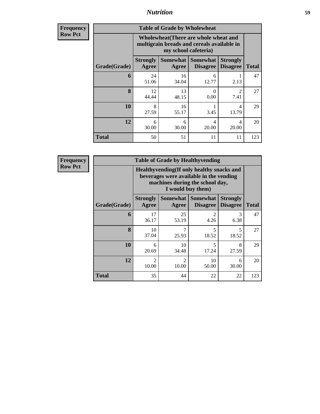**Frequency Row Pct**

| <b>Table of Grade by Wholewheat</b> |                                                      |                                                                                                             |                                        |                                    |              |  |  |  |  |
|-------------------------------------|------------------------------------------------------|-------------------------------------------------------------------------------------------------------------|----------------------------------------|------------------------------------|--------------|--|--|--|--|
|                                     |                                                      | Wholewheat (There are whole wheat and<br>multigrain breads and cereals available in<br>my school cafeteria) |                                        |                                    |              |  |  |  |  |
| Grade(Grade)                        | <b>Strongly</b><br>Agree                             | Agree                                                                                                       | Somewhat   Somewhat<br><b>Disagree</b> | <b>Strongly</b><br><b>Disagree</b> | <b>Total</b> |  |  |  |  |
| 6                                   | 24<br>51.06                                          | 16<br>34.04                                                                                                 | 6<br>12.77                             | 2.13                               | 47           |  |  |  |  |
| 8                                   | 12<br>44.44                                          | 13<br>48.15                                                                                                 | 0<br>0.00                              | $\mathcal{D}$<br>7.41              | 27           |  |  |  |  |
| 10                                  | 8<br>27.59                                           | 16<br>55.17                                                                                                 | 3.45                                   | 4<br>13.79                         | 29           |  |  |  |  |
| 12                                  | 4<br>6<br>4<br>6<br>30.00<br>30.00<br>20.00<br>20.00 |                                                                                                             |                                        |                                    |              |  |  |  |  |
| <b>Total</b>                        | 50                                                   | 51                                                                                                          | 11                                     | 11                                 | 123          |  |  |  |  |

**Frequency Row Pct**

| <b>Table of Grade by Healthyvending</b> |                                                                                                           |                                                                                                                                               |                        |            |     |  |  |  |  |  |
|-----------------------------------------|-----------------------------------------------------------------------------------------------------------|-----------------------------------------------------------------------------------------------------------------------------------------------|------------------------|------------|-----|--|--|--|--|--|
|                                         |                                                                                                           | Healthyvending (If only healthy snacks and<br>beverages were available in the vending<br>machines during the school day,<br>I would buy them) |                        |            |     |  |  |  |  |  |
| Grade(Grade)                            | <b>Strongly</b><br>Agree                                                                                  | Somewhat  <br><b>Somewhat</b><br><b>Strongly</b><br><b>Disagree</b><br><b>Disagree</b><br><b>Total</b><br>Agree                               |                        |            |     |  |  |  |  |  |
| 6                                       | 17<br>36.17                                                                                               | 25<br>53.19                                                                                                                                   | $\mathfrak{D}$<br>4.26 | 3<br>6.38  | 47  |  |  |  |  |  |
| 8                                       | 10<br>37.04                                                                                               | 7<br>25.93                                                                                                                                    | 5<br>18.52             | 5<br>18.52 | 27  |  |  |  |  |  |
| 10                                      | 6<br>20.69                                                                                                | 10<br>34.48                                                                                                                                   | 5<br>17.24             | 8<br>27.59 | 29  |  |  |  |  |  |
| 12                                      | $\mathcal{D}_{\mathcal{L}}$<br>$\mathcal{D}_{\mathcal{L}}$<br>10<br>6<br>10.00<br>10.00<br>30.00<br>50.00 |                                                                                                                                               |                        |            |     |  |  |  |  |  |
| <b>Total</b>                            | 35                                                                                                        | 44                                                                                                                                            | 22                     | 22         | 123 |  |  |  |  |  |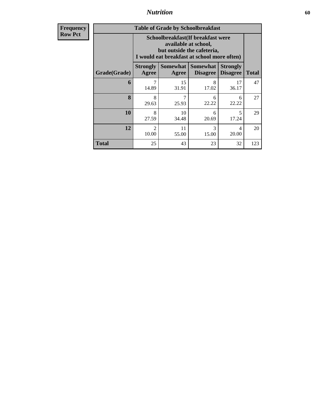**Frequency Row Pct**

| <b>Table of Grade by Schoolbreakfast</b> |                                                                                                                                         |                                                                                                     |            |                                   |     |  |  |  |  |
|------------------------------------------|-----------------------------------------------------------------------------------------------------------------------------------------|-----------------------------------------------------------------------------------------------------|------------|-----------------------------------|-----|--|--|--|--|
|                                          | Schoolbreakfast (If breakfast were<br>available at school,<br>but outside the cafeteria,<br>I would eat breakfast at school more often) |                                                                                                     |            |                                   |     |  |  |  |  |
| Grade(Grade)                             | <b>Strongly</b><br>Agree                                                                                                                | Somewhat Somewhat<br><b>Strongly</b><br><b>Disagree</b><br><b>Total</b><br><b>Disagree</b><br>Agree |            |                                   |     |  |  |  |  |
| 6                                        | 7<br>14.89                                                                                                                              | 15<br>31.91                                                                                         | 8<br>17.02 | 17<br>36.17                       | 47  |  |  |  |  |
| 8                                        | 8<br>29.63                                                                                                                              | 25.93                                                                                               | 6<br>22.22 | 6<br>22.22                        | 27  |  |  |  |  |
| 10                                       | 8<br>27.59                                                                                                                              | 10<br>34.48                                                                                         | 6<br>20.69 | $\overline{\phantom{0}}$<br>17.24 | 29  |  |  |  |  |
| 12                                       | 11<br>3<br>$\mathcal{D}_{\mathcal{L}}$<br>4<br>10.00<br>20.00<br>55.00<br>15.00                                                         |                                                                                                     |            |                                   |     |  |  |  |  |
| Total                                    | 25                                                                                                                                      | 43                                                                                                  | 23         | 32                                | 123 |  |  |  |  |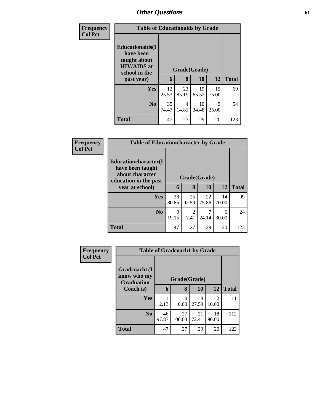| <b>Frequency</b> | <b>Table of Educationaids by Grade</b>                                                      |             |              |             |             |              |  |
|------------------|---------------------------------------------------------------------------------------------|-------------|--------------|-------------|-------------|--------------|--|
| <b>Col Pct</b>   | <b>Educationaids</b> (I<br>have been<br>taught about<br><b>HIV/AIDS</b> at<br>school in the |             | Grade(Grade) |             |             |              |  |
|                  | past year)                                                                                  | 6           | 8            | <b>10</b>   | 12          | <b>Total</b> |  |
|                  | Yes                                                                                         | 12<br>25.53 | 23<br>85.19  | 19<br>65.52 | 15<br>75.00 | 69           |  |
|                  | N <sub>0</sub>                                                                              | 35<br>74.47 | 4<br>14.81   | 10<br>34.48 | 5<br>25.00  | 54           |  |
|                  | <b>Total</b>                                                                                | 47          | 27           | 29          | 20          | 123          |  |

| Frequency      | <b>Table of Educationcharacter by Grade</b>                                                  |              |                        |             |             |              |  |
|----------------|----------------------------------------------------------------------------------------------|--------------|------------------------|-------------|-------------|--------------|--|
| <b>Col Pct</b> | <b>Educationcharacter</b> (I<br>have been taught<br>about character<br>education in the past | Grade(Grade) |                        |             |             |              |  |
|                | year at school)                                                                              | 6            | 8                      | 10          | <b>12</b>   | <b>Total</b> |  |
|                | <b>Yes</b>                                                                                   | 38<br>80.85  | 25<br>92.59            | 22<br>75.86 | 14<br>70.00 | 99           |  |
|                | N <sub>o</sub>                                                                               | 9<br>19.15   | $\mathfrak{D}$<br>7.41 | 24.14       | 6<br>30.00  | 24           |  |
|                | <b>Total</b>                                                                                 | 47           | 27                     | 29          | 20          | 123          |  |

| <b>Frequency</b> |                                                  | <b>Table of Gradcoach1 by Grade</b> |              |             |                         |              |  |  |
|------------------|--------------------------------------------------|-------------------------------------|--------------|-------------|-------------------------|--------------|--|--|
| <b>Col Pct</b>   | Gradcoach1(I<br>know who my<br><b>Graduation</b> |                                     | Grade(Grade) |             |                         |              |  |  |
|                  | Coach is)                                        | 6                                   | 8            | 10          | 12                      | <b>Total</b> |  |  |
|                  | Yes                                              | 2.13                                | 0<br>0.00    | 8<br>27.59  | $\mathfrak{D}$<br>10.00 | 11           |  |  |
|                  | N <sub>0</sub>                                   | 46<br>97.87                         | 27<br>100.00 | 21<br>72.41 | 18<br>90.00             | 112          |  |  |
|                  | <b>Total</b>                                     | 47                                  | 27           | 29          | 20                      | 123          |  |  |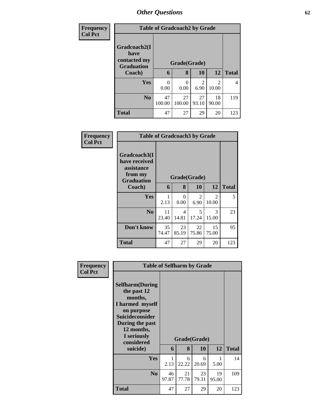| <b>Frequency</b> |                                                           | <b>Table of Gradcoach2 by Grade</b>          |              |             |                         |              |  |  |  |
|------------------|-----------------------------------------------------------|----------------------------------------------|--------------|-------------|-------------------------|--------------|--|--|--|
| <b>Col Pct</b>   | Gradcoach2(I<br>have<br>contacted my<br><b>Graduation</b> | Grade(Grade)<br>10<br>12<br>6<br>8<br>Coach) |              |             |                         |              |  |  |  |
|                  |                                                           |                                              |              |             |                         | <b>Total</b> |  |  |  |
|                  | <b>Yes</b>                                                | 0<br>0.00                                    | 0<br>0.00    | 2<br>6.90   | $\mathfrak{D}$<br>10.00 | 4            |  |  |  |
|                  | N <sub>0</sub>                                            | 47<br>100.00                                 | 27<br>100.00 | 27<br>93.10 | 18<br>90.00             | 119          |  |  |  |
|                  | <b>Total</b>                                              | 47                                           | 27           | 29          | 20                      | 123          |  |  |  |

| Frequency      |                                                                             | <b>Table of Gradcoach3 by Grade</b> |             |             |                         |              |  |  |
|----------------|-----------------------------------------------------------------------------|-------------------------------------|-------------|-------------|-------------------------|--------------|--|--|
| <b>Col Pct</b> | Gradcoach3(I<br>have received<br>assistance<br>from my<br><b>Graduation</b> | Grade(Grade)                        |             |             |                         |              |  |  |
|                | Coach)                                                                      | 6                                   | 8           | <b>10</b>   | 12                      | <b>Total</b> |  |  |
|                | Yes                                                                         | 2.13                                | 0<br>0.00   | 2<br>6.90   | $\overline{2}$<br>10.00 | 5            |  |  |
|                | N <sub>0</sub>                                                              | 11<br>23.40                         | 4<br>14.81  | 5<br>17.24  | 3<br>15.00              | 23           |  |  |
|                | Don't know                                                                  | 35<br>74.47                         | 23<br>85.19 | 22<br>75.86 | 15<br>75.00             | 95           |  |  |
|                | <b>Total</b>                                                                | 47                                  | 27          | 29          | 20                      | 123          |  |  |

| Frequency<br><b>Col Pct</b> | <b>Table of Selfharm by Grade</b>                                                                                                                                          |             |              |             |             |              |  |
|-----------------------------|----------------------------------------------------------------------------------------------------------------------------------------------------------------------------|-------------|--------------|-------------|-------------|--------------|--|
|                             | <b>Selfharm</b> (During<br>the past 12<br>months,<br>I harmed myself<br>on purpose<br><b>Suicideconsider</b><br>During the past<br>12 months,<br>I seriously<br>considered |             | Grade(Grade) |             |             |              |  |
|                             | suicide)                                                                                                                                                                   | 6           | 8            | 10          | 12          | <b>Total</b> |  |
|                             | <b>Yes</b>                                                                                                                                                                 | 1<br>2.13   | 6<br>22.22   | 6<br>20.69  | 1<br>5.00   | 14           |  |
|                             | N <sub>0</sub>                                                                                                                                                             | 46<br>97.87 | 21<br>77.78  | 23<br>79.31 | 19<br>95.00 | 109          |  |
|                             | <b>Total</b>                                                                                                                                                               | 47          | 27           | 29          | 20          | 123          |  |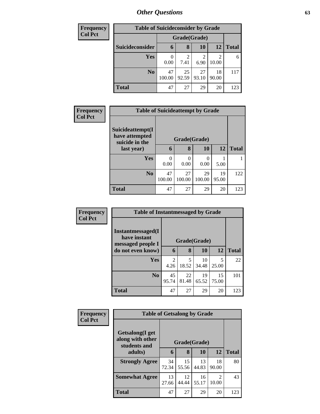| <b>Frequency</b> | <b>Table of Suicideconsider by Grade</b> |              |             |              |                         |              |
|------------------|------------------------------------------|--------------|-------------|--------------|-------------------------|--------------|
| <b>Col Pct</b>   |                                          |              |             | Grade(Grade) |                         |              |
|                  | Suicideconsider                          | 6            | 8           | 10           | 12                      | <b>Total</b> |
|                  | <b>Yes</b>                               | 0<br>0.00    | 2<br>7.41   | 6.90         | $\mathfrak{D}$<br>10.00 | 6            |
|                  | N <sub>0</sub>                           | 47<br>100.00 | 25<br>92.59 | 27<br>93.10  | 18<br>90.00             | 117          |
|                  | <b>Total</b>                             | 47           | 27          | 29           | 20                      | 123          |

| Frequency      | <b>Table of Suicideattempt by Grade</b>              |              |              |              |             |              |
|----------------|------------------------------------------------------|--------------|--------------|--------------|-------------|--------------|
| <b>Col Pct</b> | Suicideattempt(I<br>have attempted<br>suicide in the |              | Grade(Grade) |              |             |              |
|                | last year)                                           | 6            | 8            | 10           | 12          | <b>Total</b> |
|                | Yes                                                  | 0.00         | 0<br>0.00    | 0<br>0.00    | 5.00        |              |
|                | N <sub>0</sub>                                       | 47<br>100.00 | 27<br>100.00 | 29<br>100.00 | 19<br>95.00 | 122          |
|                | <b>Total</b>                                         | 47           | 27           | 29           | 20          | 123          |

| Frequency      | <b>Table of Instantmessaged by Grade</b>               |                        |             |             |             |              |
|----------------|--------------------------------------------------------|------------------------|-------------|-------------|-------------|--------------|
| <b>Col Pct</b> | Instantmessaged(I<br>have instant<br>messaged people I | Grade(Grade)           |             |             |             |              |
|                | do not even know)                                      |                        | 8           | 10          | 12          | <b>Total</b> |
|                | <b>Yes</b>                                             | $\mathfrak{D}$<br>4.26 | 5<br>18.52  | 10<br>34.48 | 5<br>25.00  | 22           |
|                | No.                                                    | 45<br>95.74            | 22<br>81.48 | 19<br>65.52 | 15<br>75.00 | 101          |
|                | <b>Total</b>                                           | 47                     | 27          | 29          | 20          | 123          |

| Frequency      | <b>Table of Getsalong by Grade</b>                          |              |             |             |             |              |  |
|----------------|-------------------------------------------------------------|--------------|-------------|-------------|-------------|--------------|--|
| <b>Col Pct</b> | <b>Getsalong</b> (I get<br>along with other<br>students and | Grade(Grade) |             |             |             |              |  |
|                | adults)                                                     | 6            | 8           | 10          | 12          | <b>Total</b> |  |
|                | <b>Strongly Agree</b>                                       | 34<br>72.34  | 15<br>55.56 | 13<br>44.83 | 18<br>90.00 | 80           |  |
|                | <b>Somewhat Agree</b>                                       | 13<br>27.66  | 12<br>44.44 | 16<br>55.17 | 2<br>10.00  | 43           |  |
|                | <b>Total</b>                                                | 47           | 27          | 29          | 20          | 123          |  |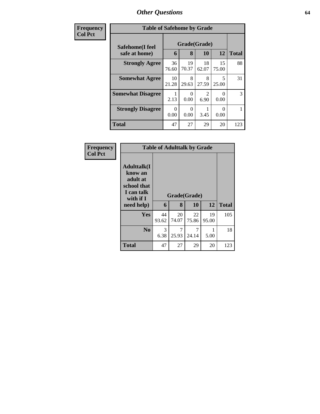| Frequency      | <b>Table of Safehome by Grade</b> |                  |                   |             |                  |     |  |  |  |
|----------------|-----------------------------------|------------------|-------------------|-------------|------------------|-----|--|--|--|
| <b>Col Pct</b> | Safehome(I feel<br>safe at home)  | 6                | Grade(Grade)<br>8 | <b>10</b>   | 12               |     |  |  |  |
|                | <b>Strongly Agree</b>             | 36<br>76.60      | 19<br>70.37       | 18<br>62.07 | 15<br>75.00      | 88  |  |  |  |
|                | <b>Somewhat Agree</b>             | 10<br>21.28      | 8<br>29.63        | 8<br>27.59  | 5<br>25.00       | 31  |  |  |  |
|                | <b>Somewhat Disagree</b>          | 2.13             | $\Omega$<br>0.00  | 6.90        | 0<br>0.00        | 3   |  |  |  |
|                | <b>Strongly Disagree</b>          | $\Omega$<br>0.00 | $\theta$<br>0.00  | 3.45        | $\Omega$<br>0.00 |     |  |  |  |
|                | Total                             | 47               | 27                | 29          | 20               | 123 |  |  |  |

| Frequency<br>Col Pct |
|----------------------|

| <b>Table of Adulttalk by Grade</b>                                                  |       |       |              |       |              |  |  |  |  |  |
|-------------------------------------------------------------------------------------|-------|-------|--------------|-------|--------------|--|--|--|--|--|
| <b>Adulttalk(I</b><br>know an<br>adult at<br>school that<br>I can talk<br>with if I |       |       | Grade(Grade) |       |              |  |  |  |  |  |
| need help)                                                                          | 6     | 8     | 10           | 12    | <b>Total</b> |  |  |  |  |  |
| <b>Yes</b>                                                                          | 44    | 20    | 22           | 19    | 105          |  |  |  |  |  |
|                                                                                     | 93.62 | 74.07 | 75.86        | 95.00 |              |  |  |  |  |  |
|                                                                                     |       |       |              |       |              |  |  |  |  |  |
| N <sub>0</sub>                                                                      | 3     | 7     | 7            |       | 18           |  |  |  |  |  |
|                                                                                     | 6.38  | 25.93 | 24.14        | 5.00  |              |  |  |  |  |  |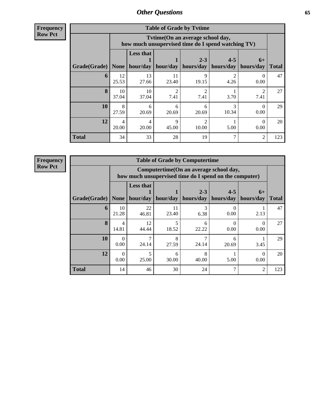**Frequency Row Pct**

| <b>Table of Grade by Tvtime</b> |                         |                                                                                                                               |                        |                        |            |                                  |     |  |  |  |  |
|---------------------------------|-------------------------|-------------------------------------------------------------------------------------------------------------------------------|------------------------|------------------------|------------|----------------------------------|-----|--|--|--|--|
|                                 |                         | Tvtime(On an average school day,<br>how much unsupervised time do I spend watching TV)                                        |                        |                        |            |                                  |     |  |  |  |  |
| Grade(Grade)                    | None                    | <b>Less that</b><br>$2 - 3$<br>$4 - 5$<br>$6+$<br>hour/day<br>hours/day<br>hours/day<br>hour/day<br>hours/day<br><b>Total</b> |                        |                        |            |                                  |     |  |  |  |  |
| 6                               | 12<br>25.53             | 13<br>27.66                                                                                                                   | 11<br>23.40            | 9<br>19.15             | 4.26       | $\mathbf{\Omega}$<br>0.00        | 47  |  |  |  |  |
| 8                               | 10<br>37.04             | 10<br>37.04                                                                                                                   | $\mathfrak{D}$<br>7.41 | $\mathfrak{D}$<br>7.41 | 3.70       | $\overline{\mathcal{L}}$<br>7.41 | 27  |  |  |  |  |
| 10                              | 8<br>27.59              | 6<br>20.69                                                                                                                    | 6<br>20.69             | 6<br>20.69             | 3<br>10.34 | $_{0}$<br>0.00                   | 29  |  |  |  |  |
| 12                              | $\overline{4}$<br>20.00 | $\mathbf Q$<br>っ<br>4<br>$\Omega$<br>20.00<br>10.00<br>0.00<br>45.00<br>5.00                                                  |                        |                        |            |                                  |     |  |  |  |  |
| <b>Total</b>                    | 34                      | 33                                                                                                                            | 28                     | 19                     |            | $\overline{c}$                   | 123 |  |  |  |  |

**Frequency Row Pct**

| <b>Table of Grade by Computertime</b> |                                                                                                                                            |                                                                                                   |                                   |            |                  |      |     |  |  |  |  |
|---------------------------------------|--------------------------------------------------------------------------------------------------------------------------------------------|---------------------------------------------------------------------------------------------------|-----------------------------------|------------|------------------|------|-----|--|--|--|--|
|                                       |                                                                                                                                            | Computertime (On an average school day,<br>how much unsupervised time do I spend on the computer) |                                   |            |                  |      |     |  |  |  |  |
| Grade(Grade)                          | <b>Less that</b><br>$2 - 3$<br>$4 - 5$<br>$6+$<br>hour/day   hour/day<br>hours/day   hours/day<br>hours/day<br><b>None</b><br><b>Total</b> |                                                                                                   |                                   |            |                  |      |     |  |  |  |  |
| 6                                     | 10<br>21.28                                                                                                                                | 22<br>46.81                                                                                       | 11<br>23.40                       | 3<br>6.38  | 0.00             | 2.13 | 47  |  |  |  |  |
| $\mathbf{8}$                          | 4<br>14.81                                                                                                                                 | 12<br>44.44                                                                                       | $\overline{\phantom{0}}$<br>18.52 | 6<br>22.22 | $\Omega$<br>0.00 | 0.00 | 27  |  |  |  |  |
| 10                                    | 0<br>0.00                                                                                                                                  | 7<br>24.14                                                                                        | 8<br>27.59                        | 24.14      | 6<br>20.69       | 3.45 | 29  |  |  |  |  |
| 12                                    | 0.00                                                                                                                                       | 5<br>8<br>6<br>25.00<br>30.00<br>40.00<br>5.00<br>0.00                                            |                                   |            |                  |      |     |  |  |  |  |
| <b>Total</b>                          | 14                                                                                                                                         | 46                                                                                                | 30                                | 24         | 7                | 2    | 123 |  |  |  |  |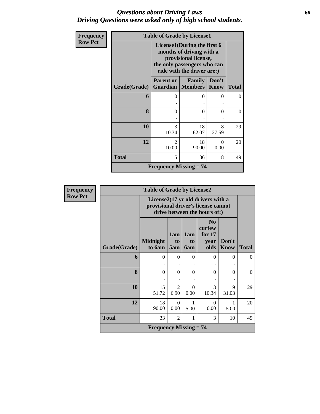## *Questions about Driving Laws* **66** *Driving Questions were asked only of high school students.*

| Frequency      |              | <b>Table of Grade by License1</b>             |                                                                                                                                              |                      |              |
|----------------|--------------|-----------------------------------------------|----------------------------------------------------------------------------------------------------------------------------------------------|----------------------|--------------|
| <b>Row Pct</b> |              |                                               | License1(During the first 6<br>months of driving with a<br>provisional license,<br>the only passengers who can<br>ride with the driver are:) |                      |              |
|                | Grade(Grade) | <b>Parent or</b><br><b>Guardian</b>   Members | Family                                                                                                                                       | Don't<br><b>Know</b> | <b>Total</b> |
|                | 6            | 0                                             | 0                                                                                                                                            | $\theta$             | $\Omega$     |
|                | 8            | $\Omega$                                      | $\theta$                                                                                                                                     | $\Omega$             | $\Omega$     |
|                | 10           | $\mathcal{R}$<br>10.34                        | 18<br>62.07                                                                                                                                  | 8<br>27.59           | 29           |
|                | 12           | $\mathcal{L}$<br>10.00                        | 18<br>90.00                                                                                                                                  | 0<br>0.00            | 20           |
|                | Total        | 5                                             | 36                                                                                                                                           | 8                    | 49           |
|                |              | Frequency Missing $= 74$                      |                                                                                                                                              |                      |              |

| Frequency      |              | <b>Table of Grade by License2</b>          |                  |                                     |                                                                                                          |                      |              |  |  |  |  |  |  |
|----------------|--------------|--------------------------------------------|------------------|-------------------------------------|----------------------------------------------------------------------------------------------------------|----------------------|--------------|--|--|--|--|--|--|
| <b>Row Pct</b> |              |                                            |                  |                                     | License2(17 yr old drivers with a<br>provisional driver's license cannot<br>drive between the hours of:) |                      |              |  |  |  |  |  |  |
|                | Grade(Grade) | <b>Midnight</b><br>to 6am                  | 1am<br>to<br>5am | 1am<br>t <sub>0</sub><br><b>6am</b> | N <sub>0</sub><br>curfew<br>for $17$<br>year<br>olds                                                     | Don't<br><b>Know</b> | <b>Total</b> |  |  |  |  |  |  |
|                | 6            | $\theta$                                   | $\Omega$         | $\Omega$                            | 0                                                                                                        | $\Omega$             | $\Omega$     |  |  |  |  |  |  |
|                | 8            | $\theta$                                   | $\Omega$         | $\Omega$                            | $\Omega$                                                                                                 | $\Omega$             | $\theta$     |  |  |  |  |  |  |
|                | 10           | 15<br>51.72                                | 2<br>6.90        | $\Omega$<br>0.00                    | 3<br>10.34                                                                                               | 9<br>31.03           | 29           |  |  |  |  |  |  |
|                | 12           | 18<br>90.00                                | $\Omega$<br>0.00 | 1<br>5.00                           | $\Omega$<br>0.00                                                                                         | 1<br>5.00            | 20           |  |  |  |  |  |  |
|                | <b>Total</b> | 33                                         | 2                | 1                                   | 3                                                                                                        | 10                   | 49           |  |  |  |  |  |  |
|                |              | <b>Frequency Missing <math>= 74</math></b> |                  |                                     |                                                                                                          |                      |              |  |  |  |  |  |  |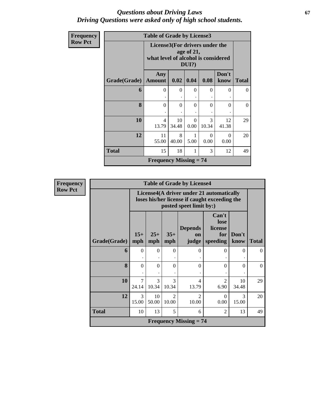## *Questions about Driving Laws* **67** *Driving Questions were asked only of high school students.*

| Frequency      |              | <b>Table of Grade by License3</b>                                     |             |                        |                  |                  |              |  |  |  |  |
|----------------|--------------|-----------------------------------------------------------------------|-------------|------------------------|------------------|------------------|--------------|--|--|--|--|
| <b>Row Pct</b> |              | License3(For drivers under the<br>what level of alcohol is considered |             | age of 21,<br>$DUI$ ?) |                  |                  |              |  |  |  |  |
|                | Grade(Grade) | Any<br><b>Amount</b>                                                  | 0.02        | 0.04                   | 0.08             | Don't<br>know    | <b>Total</b> |  |  |  |  |
|                | 6            | $\overline{0}$                                                        | $\Omega$    | $\Omega$               | $\Omega$         | $\Omega$         | $\theta$     |  |  |  |  |
|                | 8            | $\theta$                                                              | $\Omega$    | $\Omega$               | $\Omega$         | $\Omega$         | $\Omega$     |  |  |  |  |
|                | 10           | 4<br>13.79                                                            | 10<br>34.48 | $\Omega$<br>0.00       | 3<br>10.34       | 12<br>41.38      | 29           |  |  |  |  |
|                | 12           | 11<br>55.00                                                           | 8<br>40.00  | 5.00                   | $\Omega$<br>0.00 | $\Omega$<br>0.00 | 20           |  |  |  |  |
|                | <b>Total</b> | 15                                                                    | 18          |                        | 3                | 12               | 49           |  |  |  |  |
|                |              | <b>Frequency Missing <math>= 74</math></b>                            |             |                        |                  |                  |              |  |  |  |  |

| Frequency      |              | <b>Table of Grade by License4</b> |                        |                         |                               |                                                                                           |               |              |  |  |
|----------------|--------------|-----------------------------------|------------------------|-------------------------|-------------------------------|-------------------------------------------------------------------------------------------|---------------|--------------|--|--|
| <b>Row Pct</b> |              |                                   |                        |                         | posted speet limit by:)       | License4(A driver under 21 automatically<br>loses his/her license if caught exceeding the |               |              |  |  |
|                | Grade(Grade) | $15+$<br>mph                      | $25+$<br>mph           | $35+$<br>mph            | <b>Depends</b><br>on<br>judge | Can't<br>lose<br>license<br>for<br>speeding                                               | Don't<br>know | <b>Total</b> |  |  |
|                | 6            | $\Omega$                          | $\Omega$               | $\theta$                | $\Omega$                      | $\Omega$                                                                                  | $\Omega$      | $\Omega$     |  |  |
|                | 8            | $\theta$                          | $\Omega$               | $\Omega$                | $\Omega$                      | $\Omega$                                                                                  | $\Omega$      | $\Omega$     |  |  |
|                | 10           | $\overline{7}$<br>24.14           | $\mathcal{R}$<br>10.34 | $\mathcal{R}$<br>10.34  | 4<br>13.79                    | 2<br>6.90                                                                                 | 10<br>34.48   | 29           |  |  |
|                | 12           | 3<br>15.00                        | 10<br>50.00            | $\mathfrak{D}$<br>10.00 | $\mathfrak{D}$<br>10.00       | $\Omega$<br>0.00                                                                          | 3<br>15.00    | 20           |  |  |
|                | <b>Total</b> | 10                                | 13                     | 5                       | 6                             | 2                                                                                         | 13            | 49           |  |  |
|                |              |                                   |                        |                         | <b>Frequency Missing = 74</b> |                                                                                           |               |              |  |  |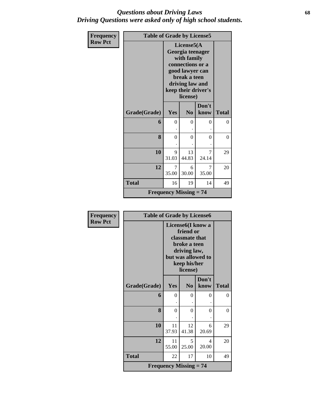## *Questions about Driving Laws* **68** *Driving Questions were asked only of high school students.*

| Frequency      | <b>Table of Grade by License5</b> |                                            |                                                                                                                                                             |               |              |  |
|----------------|-----------------------------------|--------------------------------------------|-------------------------------------------------------------------------------------------------------------------------------------------------------------|---------------|--------------|--|
| <b>Row Pct</b> |                                   |                                            | License5(A)<br>Georgia teenager<br>with family<br>connections or a<br>good lawyer can<br>break a teen<br>driving law and<br>keep their driver's<br>license) |               |              |  |
|                | Grade(Grade)                      | Yes                                        | N <sub>0</sub>                                                                                                                                              | Don't<br>know | <b>Total</b> |  |
|                | 6                                 | $\theta$                                   | $\theta$                                                                                                                                                    | $\theta$      | $\theta$     |  |
|                | 8                                 | $\theta$                                   | $\theta$                                                                                                                                                    | $\theta$      | $\theta$     |  |
|                | 10                                | 9<br>31.03                                 | 13<br>44.83                                                                                                                                                 | 7<br>24.14    | 29           |  |
|                | 12                                | 7<br>35.00                                 | 6<br>30.00                                                                                                                                                  | 7<br>35.00    | 20           |  |
|                | <b>Total</b>                      | 16                                         | 19                                                                                                                                                          | 14            | 49           |  |
|                |                                   | <b>Frequency Missing <math>= 74</math></b> |                                                                                                                                                             |               |              |  |

| <b>Frequency</b> | <b>Table of Grade by License6</b> |                                                                                                                                    |                |               |              |
|------------------|-----------------------------------|------------------------------------------------------------------------------------------------------------------------------------|----------------|---------------|--------------|
| <b>Row Pct</b>   |                                   | License6(I know a<br>friend or<br>classmate that<br>broke a teen<br>driving law,<br>but was allowed to<br>keep his/her<br>license) |                |               |              |
|                  | Grade(Grade)                      | Yes                                                                                                                                | N <sub>0</sub> | Don't<br>know | <b>Total</b> |
|                  | 6                                 | $\theta$                                                                                                                           | 0              | 0             | 0            |
|                  | 8                                 | $\Omega$                                                                                                                           | $\Omega$       | 0             | $\theta$     |
|                  | 10                                | 11<br>37.93                                                                                                                        | 12<br>41.38    | 6<br>20.69    | 29           |
|                  | 12                                | 11<br>55.00                                                                                                                        | 5<br>25.00     | 4<br>20.00    | 20           |
|                  | <b>Total</b>                      | 22                                                                                                                                 | 17             | 10            | 49           |
|                  |                                   | <b>Frequency Missing <math>= 74</math></b>                                                                                         |                |               |              |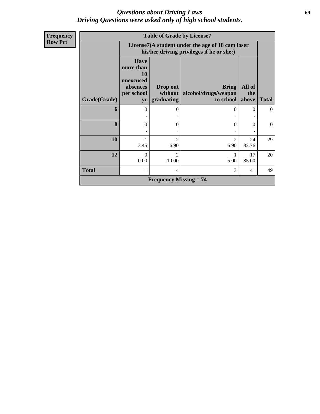## *Questions about Driving Laws* **69** *Driving Questions were asked only of high school students.*

| Frequency      |              | <b>Table of Grade by License7</b>                                            |                                                                                               |                                      |               |              |  |
|----------------|--------------|------------------------------------------------------------------------------|-----------------------------------------------------------------------------------------------|--------------------------------------|---------------|--------------|--|
| <b>Row Pct</b> |              |                                                                              | License7(A student under the age of 18 cam loser<br>his/her driving privileges if he or she:) |                                      |               |              |  |
|                |              | <b>Have</b><br>more than<br><b>10</b><br>unexcused<br>absences<br>per school | Drop out<br>without                                                                           | <b>Bring</b><br>alcohol/drugs/weapon | All of<br>the |              |  |
|                | Grade(Grade) | yr                                                                           | graduating                                                                                    | to school                            | above         | <b>Total</b> |  |
|                | 6            | $\Omega$                                                                     | 0                                                                                             | $\Omega$                             | $\Omega$      | $\Omega$     |  |
|                | 8            | $\Omega$                                                                     | 0                                                                                             | $\Omega$                             | $\Omega$      | $\theta$     |  |
|                | 10           | 3.45                                                                         | $\overline{2}$<br>6.90                                                                        | $\overline{c}$<br>6.90               | 24<br>82.76   | 29           |  |
|                | 12           | $\Omega$<br>0.00                                                             | $\mathfrak{D}$<br>10.00                                                                       | 5.00                                 | 17<br>85.00   | 20           |  |
|                | <b>Total</b> | 1                                                                            | 4                                                                                             | 3                                    | 41            | 49           |  |
|                |              |                                                                              | <b>Frequency Missing = 74</b>                                                                 |                                      |               |              |  |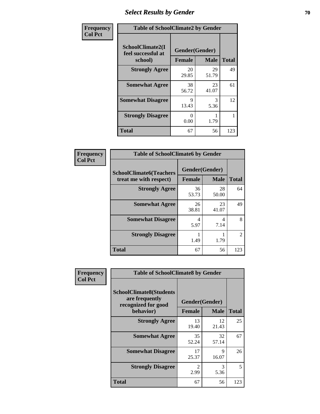# **Select Results by Gender 70**

| Frequency      | <b>Table of SchoolClimate2 by Gender</b>          |                                 |             |              |  |
|----------------|---------------------------------------------------|---------------------------------|-------------|--------------|--|
| <b>Col Pct</b> | SchoolClimate2(I<br>feel successful at<br>school) | Gender(Gender)<br><b>Female</b> | <b>Male</b> | <b>Total</b> |  |
|                | <b>Strongly Agree</b>                             | 20<br>29.85                     | 29<br>51.79 | 49           |  |
|                | <b>Somewhat Agree</b>                             | 38<br>56.72                     | 23<br>41.07 | 61           |  |
|                | <b>Somewhat Disagree</b>                          | 9<br>13.43                      | 3<br>5.36   | 12           |  |
|                | <b>Strongly Disagree</b>                          | $\Omega$<br>0.00                | 1.79        |              |  |
|                | <b>Total</b>                                      | 67                              | 56          | 123          |  |

| Frequency      | <b>Table of SchoolClimate6 by Gender</b>                 |                                 |             |                |  |
|----------------|----------------------------------------------------------|---------------------------------|-------------|----------------|--|
| <b>Col Pct</b> | <b>SchoolClimate6(Teachers</b><br>treat me with respect) | Gender(Gender)<br><b>Female</b> | <b>Male</b> | <b>Total</b>   |  |
|                | <b>Strongly Agree</b>                                    | 36<br>53.73                     | 28<br>50.00 | 64             |  |
|                | <b>Somewhat Agree</b>                                    | 26<br>38.81                     | 23<br>41.07 | 49             |  |
|                | <b>Somewhat Disagree</b>                                 | 4<br>5.97                       | 4<br>7.14   | 8              |  |
|                | <b>Strongly Disagree</b>                                 | 1.49                            | 1.79        | $\mathfrak{D}$ |  |
|                | <b>Total</b>                                             | 67                              | 56          | 123            |  |

| <b>Frequency</b> | <b>Table of SchoolClimate8 by Gender</b>                                             |                        |                               |              |
|------------------|--------------------------------------------------------------------------------------|------------------------|-------------------------------|--------------|
| <b>Col Pct</b>   | <b>SchoolClimate8(Students</b><br>are frequently<br>recognized for good<br>behavior) | <b>Female</b>          | Gender(Gender)<br><b>Male</b> | <b>Total</b> |
|                  | <b>Strongly Agree</b>                                                                | 13<br>19.40            | 12<br>21.43                   | 25           |
|                  | <b>Somewhat Agree</b>                                                                | 35<br>52.24            | 32<br>57.14                   | 67           |
|                  | <b>Somewhat Disagree</b>                                                             | 17<br>25.37            | 9<br>16.07                    | 26           |
|                  | <b>Strongly Disagree</b>                                                             | $\mathfrak{D}$<br>2.99 | 3<br>5.36                     | 5            |
|                  | Total                                                                                | 67                     | 56                            | 123          |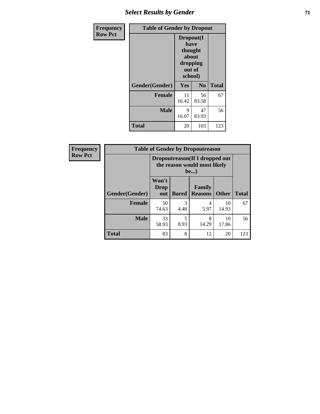## *Select Results by Gender* **71**

| <b>Frequency</b> | <b>Table of Gender by Dropout</b> |                                                   |                   |              |  |
|------------------|-----------------------------------|---------------------------------------------------|-------------------|--------------|--|
| <b>Row Pct</b>   |                                   | Dropout(I<br>have<br>about<br>dropping<br>school) | thought<br>out of |              |  |
|                  | Gender(Gender)                    | Yes                                               | N <sub>0</sub>    | <b>Total</b> |  |
|                  | <b>Female</b>                     | 11<br>16.42                                       | 56<br>83.58       | 67           |  |
|                  | <b>Male</b>                       | 9<br>16.07                                        | 47<br>83.93       | 56           |  |
|                  | <b>Total</b>                      | 20                                                | 103               | 123          |  |

| Frequency      | <b>Table of Gender by Dropoutreason</b> |                                                                 |              |                          |              |              |
|----------------|-----------------------------------------|-----------------------------------------------------------------|--------------|--------------------------|--------------|--------------|
| <b>Row Pct</b> |                                         | Dropoutreason (If I dropped out<br>the reason would most likely |              |                          |              |              |
|                | Gender(Gender)                          | Won't<br>Drop<br>out                                            | <b>Bored</b> | Family<br><b>Reasons</b> | <b>Other</b> | <b>Total</b> |
|                | <b>Female</b>                           | 50<br>74.63                                                     | 3<br>4.48    | 4<br>5.97                | 10<br>14.93  | 67           |
|                | <b>Male</b>                             | 33<br>58.93                                                     | 8.93         | 8<br>14.29               | 10<br>17.86  | 56           |
|                | <b>Total</b>                            | 83                                                              | 8            | 12                       | 20           | 123          |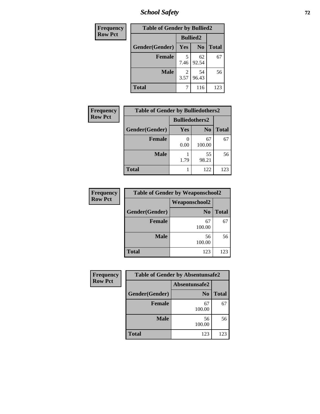*School Safety* **72**

| Frequency      | <b>Table of Gender by Bullied2</b> |                        |                |              |  |
|----------------|------------------------------------|------------------------|----------------|--------------|--|
| <b>Row Pct</b> |                                    | <b>Bullied2</b>        |                |              |  |
|                | Gender(Gender)                     | Yes                    | N <sub>0</sub> | <b>Total</b> |  |
|                | <b>Female</b>                      | 5<br>7.46              | 62<br>92.54    | 67           |  |
|                | <b>Male</b>                        | $\mathfrak{D}$<br>3.57 | 54<br>96.43    | 56           |  |
|                | <b>Total</b>                       |                        | 116            | 123          |  |

| <b>Frequency</b> | <b>Table of Gender by Bulliedothers2</b> |                       |                |              |
|------------------|------------------------------------------|-----------------------|----------------|--------------|
| <b>Row Pct</b>   |                                          | <b>Bulliedothers2</b> |                |              |
|                  | Gender(Gender)                           | Yes                   | N <sub>0</sub> | <b>Total</b> |
|                  | <b>Female</b>                            | 0.00                  | 67<br>100.00   | 67           |
|                  | <b>Male</b>                              | 1.79                  | 55<br>98.21    | 56           |
|                  | Total                                    |                       | 122            | 123          |

| Frequency      | <b>Table of Gender by Weaponschool2</b> |                      |              |  |  |  |
|----------------|-----------------------------------------|----------------------|--------------|--|--|--|
| <b>Row Pct</b> |                                         | <b>Weaponschool2</b> |              |  |  |  |
|                | Gender(Gender)                          | N <sub>0</sub>       | <b>Total</b> |  |  |  |
|                | <b>Female</b>                           | 67<br>100.00         | 67           |  |  |  |
|                | <b>Male</b>                             | 56<br>100.00         | 56           |  |  |  |
|                | <b>Total</b>                            | 123                  | 123          |  |  |  |

| Frequency      | <b>Table of Gender by Absentunsafe2</b> |                |              |  |  |
|----------------|-----------------------------------------|----------------|--------------|--|--|
| <b>Row Pct</b> |                                         | Absentunsafe2  |              |  |  |
|                | Gender(Gender)                          | N <sub>0</sub> | <b>Total</b> |  |  |
|                | <b>Female</b>                           | 67<br>100.00   | 67           |  |  |
|                | <b>Male</b>                             | 56<br>100.00   | 56           |  |  |
|                | <b>Total</b>                            | 123            | 123          |  |  |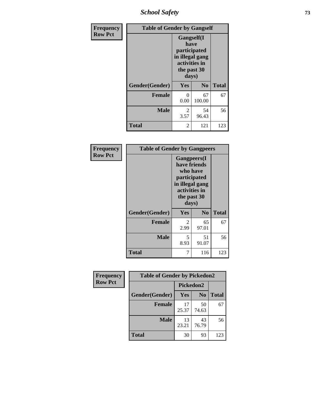*School Safety* **73**

| Frequency      | <b>Table of Gender by Gangself</b> |                                                                                                |                |              |
|----------------|------------------------------------|------------------------------------------------------------------------------------------------|----------------|--------------|
| <b>Row Pct</b> |                                    | Gangself(I<br>have<br>participated<br>in illegal gang<br>activities in<br>the past 30<br>days) |                |              |
|                | Gender(Gender)                     | Yes                                                                                            | N <sub>0</sub> | <b>Total</b> |
|                | <b>Female</b>                      | 0<br>0.00                                                                                      | 67<br>100.00   | 67           |
|                | <b>Male</b>                        | $\overline{2}$<br>3.57                                                                         | 54<br>96.43    | 56           |
|                | <b>Total</b>                       | 2                                                                                              | 121            | 123          |

| Frequency      |                | <b>Table of Gender by Gangpeers</b>                                                                                         |                |              |
|----------------|----------------|-----------------------------------------------------------------------------------------------------------------------------|----------------|--------------|
| <b>Row Pct</b> |                | <b>Gangpeers</b> (I<br>have friends<br>who have<br>participated<br>in illegal gang<br>activities in<br>the past 30<br>days) |                |              |
|                | Gender(Gender) | Yes                                                                                                                         | N <sub>0</sub> | <b>Total</b> |
|                | <b>Female</b>  | 2<br>2.99                                                                                                                   | 65<br>97.01    | 67           |
|                | <b>Male</b>    | 5<br>8.93                                                                                                                   | 51<br>91.07    | 56           |
|                | Total          | 7                                                                                                                           | 116            | 123          |

| Frequency      | <b>Table of Gender by Pickedon2</b> |                  |                |              |
|----------------|-------------------------------------|------------------|----------------|--------------|
| <b>Row Pct</b> |                                     | <b>Pickedon2</b> |                |              |
|                | Gender(Gender)                      | <b>Yes</b>       | N <sub>0</sub> | <b>Total</b> |
|                | <b>Female</b>                       | 17<br>25.37      | 50<br>74.63    | 67           |
|                | <b>Male</b>                         | 13<br>23.21      | 43<br>76.79    | 56           |
|                | <b>Total</b>                        | 30               | 93             | 123          |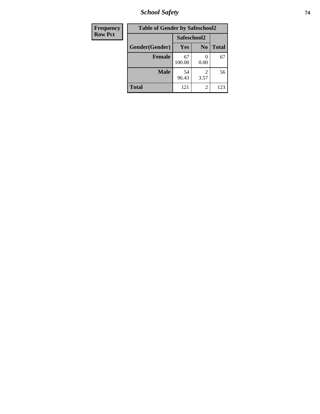*School Safety* **74**

| <b>Frequency</b> | <b>Table of Gender by Safeschool2</b> |              |                |              |
|------------------|---------------------------------------|--------------|----------------|--------------|
| <b>Row Pct</b>   |                                       | Safeschool2  |                |              |
|                  | Gender(Gender)                        | Yes          | N <sub>0</sub> | <b>Total</b> |
|                  | <b>Female</b>                         | 67<br>100.00 | 0.00           | 67           |
|                  | <b>Male</b>                           | 54<br>96.43  | 2<br>3.57      | 56           |
|                  | <b>Total</b>                          | 121          | $\overline{2}$ | 123          |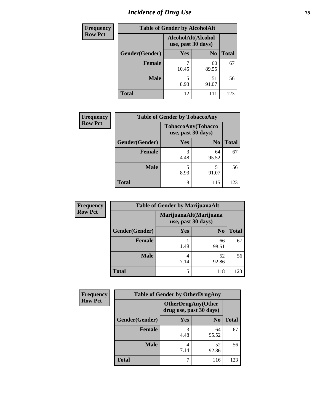# *Incidence of Drug Use* 75

| <b>Frequency</b> | <b>Table of Gender by AlcoholAlt</b> |                                          |                |              |  |
|------------------|--------------------------------------|------------------------------------------|----------------|--------------|--|
| <b>Row Pct</b>   |                                      | AlcoholAlt(Alcohol<br>use, past 30 days) |                |              |  |
|                  | Gender(Gender)                       | Yes                                      | N <sub>0</sub> | <b>Total</b> |  |
|                  | <b>Female</b>                        | 10.45                                    | 60<br>89.55    | 67           |  |
|                  | <b>Male</b>                          | 5<br>8.93                                | 51<br>91.07    | 56           |  |
|                  | <b>Total</b>                         | 12                                       | 111            | 123          |  |

| <b>Frequency</b> | <b>Table of Gender by TobaccoAny</b> |                                          |                |              |  |
|------------------|--------------------------------------|------------------------------------------|----------------|--------------|--|
| <b>Row Pct</b>   |                                      | TobaccoAny(Tobacco<br>use, past 30 days) |                |              |  |
|                  | Gender(Gender)                       | Yes                                      | N <sub>0</sub> | <b>Total</b> |  |
|                  | Female                               | 3<br>4.48                                | 64<br>95.52    | 67           |  |
|                  | <b>Male</b>                          | 5<br>8.93                                | 51<br>91.07    | 56           |  |
|                  | <b>Total</b>                         | 8                                        | 115            | 123          |  |

| <b>Frequency</b> | <b>Table of Gender by MarijuanaAlt</b> |            |                                              |              |
|------------------|----------------------------------------|------------|----------------------------------------------|--------------|
| <b>Row Pct</b>   |                                        |            | MarijuanaAlt(Marijuana<br>use, past 30 days) |              |
|                  | Gender(Gender)                         | <b>Yes</b> | N <sub>0</sub>                               | <b>Total</b> |
|                  | Female                                 | 1.49       | 66<br>98.51                                  | 67           |
|                  | <b>Male</b>                            | 4<br>7.14  | 52<br>92.86                                  | 56           |
|                  | <b>Total</b>                           | 5          | 118                                          | 123          |

| <b>Frequency</b> | <b>Table of Gender by OtherDrugAny</b> |                                                      |                |              |
|------------------|----------------------------------------|------------------------------------------------------|----------------|--------------|
| <b>Row Pct</b>   |                                        | <b>OtherDrugAny(Other</b><br>drug use, past 30 days) |                |              |
|                  | Gender(Gender)                         | <b>Yes</b>                                           | N <sub>0</sub> | <b>Total</b> |
|                  | <b>Female</b>                          | 3<br>4.48                                            | 64<br>95.52    | 67           |
|                  | <b>Male</b>                            | 7.14                                                 | 52<br>92.86    | 56           |
|                  | <b>Total</b>                           | 7                                                    | 116            | 123          |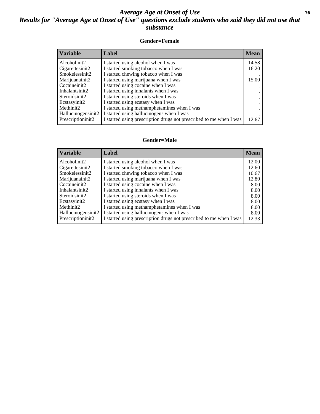### *Average Age at Onset of Use* **76** *Results for "Average Age at Onset of Use" questions exclude students who said they did not use that substance*

### **Gender=Female**

| Variable           | <b>Label</b>                                                       | <b>Mean</b> |
|--------------------|--------------------------------------------------------------------|-------------|
| Alcoholinit2       | I started using alcohol when I was                                 | 14.58       |
| Cigarettesinit2    | I started smoking tobacco when I was                               | 16.20       |
| Smokelessinit2     | I started chewing tobacco when I was                               |             |
| Marijuanainit2     | I started using marijuana when I was                               | 15.00       |
| Cocaineinit2       | I started using cocaine when I was                                 |             |
| Inhalantsinit2     | I started using inhalants when I was                               |             |
| Steroidsinit2      | I started using steroids when I was                                |             |
| Ecstasyinit2       | I started using ecstasy when I was                                 |             |
| Methinit2          | I started using methamphetamines when I was                        |             |
| Hallucinogensinit2 | I started using hallucinogens when I was                           |             |
| Prescription in t2 | I started using prescription drugs not prescribed to me when I was | 12.67       |

#### **Gender=Male**

| <b>Variable</b>                 | Label                                                              | <b>Mean</b> |
|---------------------------------|--------------------------------------------------------------------|-------------|
| Alcoholinit2                    | I started using alcohol when I was                                 | 12.00       |
| Cigarettesinit2                 | I started smoking tobacco when I was                               | 12.60       |
| Smokelessinit2                  | I started chewing tobacco when I was                               | 10.67       |
| Marijuanainit2                  | I started using marijuana when I was                               | 12.80       |
| Cocaineinit2                    | I started using cocaine when I was                                 | 8.00        |
| Inhalantsinit2                  | I started using inhalants when I was                               | 8.00        |
| Steroidsinit2                   | I started using steroids when I was                                | 8.00        |
| Ecstasyinit2                    | I started using ecstasy when I was                                 | 8.00        |
| Methinit2                       | I started using methamphetamines when I was                        | 8.00        |
| Hallucinogensinit2              | I started using hallucinogens when I was                           | 8.00        |
| Prescription in it <sub>2</sub> | I started using prescription drugs not prescribed to me when I was | 12.33       |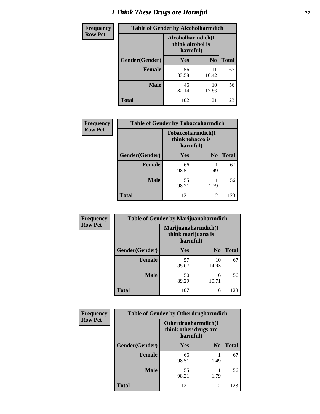# *I Think These Drugs are Harmful* **77**

| <b>Frequency</b> | <b>Table of Gender by Alcoholharmdich</b> |                                                   |                |              |
|------------------|-------------------------------------------|---------------------------------------------------|----------------|--------------|
| <b>Row Pct</b>   |                                           | Alcoholharmdich(I<br>think alcohol is<br>harmful) |                |              |
|                  | Gender(Gender)                            | Yes                                               | N <sub>0</sub> | <b>Total</b> |
|                  | <b>Female</b>                             | 56<br>83.58                                       | 11<br>16.42    | 67           |
|                  | <b>Male</b>                               | 46<br>82.14                                       | 10<br>17.86    | 56           |
|                  | <b>Total</b>                              | 102                                               | 21             | 123          |

| Frequency      | <b>Table of Gender by Tobaccoharmdich</b> |                                                   |                |              |
|----------------|-------------------------------------------|---------------------------------------------------|----------------|--------------|
| <b>Row Pct</b> |                                           | Tobaccoharmdich(I<br>think tobacco is<br>harmful) |                |              |
|                | Gender(Gender)                            | Yes                                               | N <sub>0</sub> | <b>Total</b> |
|                | <b>Female</b>                             | 66<br>98.51                                       | 1.49           | 67           |
|                | <b>Male</b>                               | 55<br>98.21                                       | 1.79           | 56           |
|                | <b>Total</b>                              | 121                                               | 2              | 123          |

| Frequency      | <b>Table of Gender by Marijuanaharmdich</b> |             |                                           |              |  |
|----------------|---------------------------------------------|-------------|-------------------------------------------|--------------|--|
| <b>Row Pct</b> |                                             | harmful)    | Marijuanaharmdich(I<br>think marijuana is |              |  |
|                | Gender(Gender)                              | <b>Yes</b>  | N <sub>0</sub>                            | <b>Total</b> |  |
|                | <b>Female</b>                               | 57<br>85.07 | 10<br>14.93                               | 67           |  |
|                | <b>Male</b>                                 | 50<br>89.29 | 6<br>10.71                                | 56           |  |
|                | <b>Total</b>                                | 107         | 16                                        | 123          |  |

| Frequency      | <b>Table of Gender by Otherdrugharmdich</b> |                                   |                     |              |
|----------------|---------------------------------------------|-----------------------------------|---------------------|--------------|
| <b>Row Pct</b> |                                             | think other drugs are<br>harmful) | Otherdrugharmdich(I |              |
|                | Gender(Gender)                              | <b>Yes</b>                        | N <sub>0</sub>      | <b>Total</b> |
|                | <b>Female</b>                               | 66<br>98.51                       | 1.49                | 67           |
|                | <b>Male</b>                                 | 55<br>98.21                       | 1.79                | 56           |
|                | <b>Total</b>                                | 121                               | $\overline{c}$      | 123          |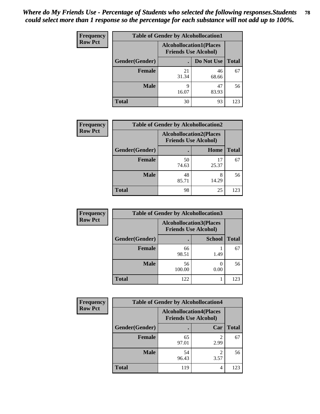| <b>Frequency</b> | <b>Table of Gender by Alcohollocation1</b> |                                                               |             |              |
|------------------|--------------------------------------------|---------------------------------------------------------------|-------------|--------------|
| <b>Row Pct</b>   |                                            | <b>Alcohollocation1(Places</b><br><b>Friends Use Alcohol)</b> |             |              |
|                  | Gender(Gender)                             |                                                               | Do Not Use  | <b>Total</b> |
|                  | <b>Female</b>                              | 21<br>31.34                                                   | 46<br>68.66 | 67           |
|                  | <b>Male</b>                                | Q<br>16.07                                                    | 47<br>83.93 | 56           |
|                  | <b>Total</b>                               | 30                                                            | 93          | 123          |

| <b>Frequency</b> |                | <b>Table of Gender by Alcohollocation2</b> |                             |              |
|------------------|----------------|--------------------------------------------|-----------------------------|--------------|
| <b>Row Pct</b>   |                | <b>Alcohollocation2(Places</b>             | <b>Friends Use Alcohol)</b> |              |
|                  | Gender(Gender) |                                            | Home                        | <b>Total</b> |
|                  | <b>Female</b>  | 50<br>74.63                                | 17<br>25.37                 | 67           |
|                  | <b>Male</b>    | 48<br>85.71                                | 8<br>14.29                  | 56           |
|                  | <b>Total</b>   | 98                                         | 25                          | 123          |

| Frequency      | <b>Table of Gender by Alcohollocation3</b> |                                                               |               |              |
|----------------|--------------------------------------------|---------------------------------------------------------------|---------------|--------------|
| <b>Row Pct</b> |                                            | <b>Alcohollocation3(Places</b><br><b>Friends Use Alcohol)</b> |               |              |
|                | Gender(Gender)                             |                                                               | <b>School</b> | <b>Total</b> |
|                | <b>Female</b>                              | 66<br>98.51                                                   | 1.49          | 67           |
|                | <b>Male</b>                                | 56<br>100.00                                                  | 0.00          | 56           |
|                | <b>Total</b>                               | 122                                                           |               | 123          |

| Frequency      | <b>Table of Gender by Alcohollocation4</b> |                                                               |      |              |
|----------------|--------------------------------------------|---------------------------------------------------------------|------|--------------|
| <b>Row Pct</b> |                                            | <b>Alcohollocation4(Places</b><br><b>Friends Use Alcohol)</b> |      |              |
|                | Gender(Gender)                             |                                                               | Car  | <b>Total</b> |
|                | <b>Female</b>                              | 65<br>97.01                                                   | 2.99 | 67           |
|                | <b>Male</b>                                | 54<br>96.43                                                   | 3.57 | 56           |
|                | <b>Total</b>                               | 119                                                           | 4    | 123          |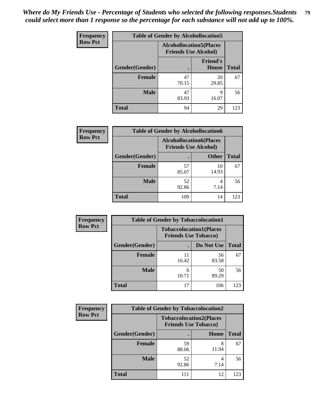| <b>Frequency</b> | <b>Table of Gender by Alcohollocation5</b> |                                                                |                                 |              |
|------------------|--------------------------------------------|----------------------------------------------------------------|---------------------------------|--------------|
| <b>Row Pct</b>   |                                            | <b>Alcohollocation5</b> (Places<br><b>Friends Use Alcohol)</b> |                                 |              |
|                  | Gender(Gender)                             |                                                                | <b>Friend's</b><br><b>House</b> | <b>Total</b> |
|                  | <b>Female</b>                              | 47<br>70.15                                                    | 20<br>29.85                     | 67           |
|                  | <b>Male</b>                                | 47<br>83.93                                                    | q<br>16.07                      | 56           |
|                  | <b>Total</b>                               | 94                                                             | 29                              | 123          |

| Frequency      | <b>Table of Gender by Alcohollocation6</b> |                                                               |              |              |  |
|----------------|--------------------------------------------|---------------------------------------------------------------|--------------|--------------|--|
| <b>Row Pct</b> |                                            | <b>Alcohollocation6(Places</b><br><b>Friends Use Alcohol)</b> |              |              |  |
|                | Gender(Gender)                             |                                                               | <b>Other</b> | <b>Total</b> |  |
|                | Female                                     | 57<br>85.07                                                   | 10<br>14.93  | 67           |  |
|                | <b>Male</b>                                | 52<br>92.86                                                   | 4<br>7.14    | 56           |  |
|                | <b>Total</b>                               | 109                                                           | 14           | 123          |  |

| Frequency      | <b>Table of Gender by Tobaccolocation1</b> |                                                               |             |              |  |
|----------------|--------------------------------------------|---------------------------------------------------------------|-------------|--------------|--|
| <b>Row Pct</b> |                                            | <b>Tobaccolocation1(Places</b><br><b>Friends Use Tobacco)</b> |             |              |  |
|                | Gender(Gender)                             |                                                               | Do Not Use  | <b>Total</b> |  |
|                | Female                                     | 11<br>16.42                                                   | 56<br>83.58 | 67           |  |
|                | <b>Male</b>                                | 10.71                                                         | 50<br>89.29 | 56           |  |
|                | <b>Total</b>                               | 17                                                            | 106         | 123          |  |

| <b>Frequency</b> | <b>Table of Gender by Tobaccolocation2</b> |                             |                                |              |
|------------------|--------------------------------------------|-----------------------------|--------------------------------|--------------|
| <b>Row Pct</b>   |                                            | <b>Friends Use Tobacco)</b> | <b>Tobaccolocation2(Places</b> |              |
|                  | Gender(Gender)                             |                             | Home                           | <b>Total</b> |
|                  | Female                                     | 59<br>88.06                 | 11.94                          | 67           |
|                  | <b>Male</b>                                | 52<br>92.86                 | 7.14                           | 56           |
|                  | <b>Total</b>                               | 111                         | 12                             | 123          |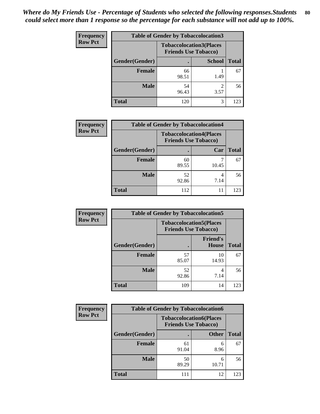| <b>Frequency</b> | <b>Table of Gender by Tobaccolocation3</b> |             |                                                               |              |
|------------------|--------------------------------------------|-------------|---------------------------------------------------------------|--------------|
| <b>Row Pct</b>   |                                            |             | <b>Tobaccolocation3(Places</b><br><b>Friends Use Tobacco)</b> |              |
|                  | Gender(Gender)                             |             | <b>School</b>                                                 | <b>Total</b> |
|                  | Female                                     | 66<br>98.51 | 1.49                                                          | 67           |
|                  | <b>Male</b>                                | 54<br>96.43 | 3.57                                                          | 56           |
|                  | <b>Total</b>                               | 120         | 3                                                             | 123          |

| <b>Frequency</b> |                | <b>Table of Gender by Tobaccolocation4</b> |                                                               |              |
|------------------|----------------|--------------------------------------------|---------------------------------------------------------------|--------------|
| <b>Row Pct</b>   |                |                                            | <b>Tobaccolocation4(Places</b><br><b>Friends Use Tobacco)</b> |              |
|                  | Gender(Gender) |                                            | Car                                                           | <b>Total</b> |
|                  | Female         | 60<br>89.55                                | 10.45                                                         | 67           |
|                  | <b>Male</b>    | 52<br>92.86                                | 4<br>7.14                                                     | 56           |
|                  | <b>Total</b>   | 112                                        | 11                                                            | 123          |

| <b>Frequency</b> | <b>Table of Gender by Tobaccolocation5</b> |                                                               |                                 |              |
|------------------|--------------------------------------------|---------------------------------------------------------------|---------------------------------|--------------|
| <b>Row Pct</b>   |                                            | <b>Tobaccolocation5(Places</b><br><b>Friends Use Tobacco)</b> |                                 |              |
|                  | Gender(Gender)                             |                                                               | <b>Friend's</b><br><b>House</b> | <b>Total</b> |
|                  | Female                                     | 57<br>85.07                                                   | 10<br>14.93                     | 67           |
|                  | <b>Male</b>                                | 52<br>92.86                                                   | 7.14                            | 56           |
|                  | <b>Total</b>                               | 109                                                           | 14                              | 123          |

| <b>Frequency</b> | <b>Table of Gender by Tobaccolocation6</b> |                                                               |              |              |
|------------------|--------------------------------------------|---------------------------------------------------------------|--------------|--------------|
| <b>Row Pct</b>   |                                            | <b>Tobaccolocation6(Places</b><br><b>Friends Use Tobacco)</b> |              |              |
|                  | Gender(Gender)                             |                                                               | <b>Other</b> | <b>Total</b> |
|                  | Female                                     | 61<br>91.04                                                   | 6<br>8.96    | 67           |
|                  | <b>Male</b>                                | 50<br>89.29                                                   | 6<br>10.71   | 56           |
|                  | <b>Total</b>                               | 111                                                           | 12           | 123          |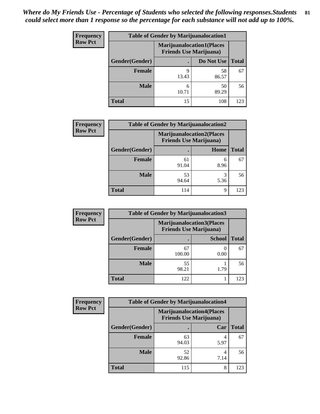| <b>Frequency</b> | <b>Table of Gender by Marijuanalocation1</b> |                                                                    |             |              |
|------------------|----------------------------------------------|--------------------------------------------------------------------|-------------|--------------|
| <b>Row Pct</b>   |                                              | <b>Marijuanalocation1(Places</b><br><b>Friends Use Marijuana</b> ) |             |              |
|                  | <b>Gender</b> (Gender)                       |                                                                    | Do Not Use  | <b>Total</b> |
|                  | <b>Female</b>                                | Q<br>13.43                                                         | 58<br>86.57 | 67           |
|                  | <b>Male</b>                                  | 10.71                                                              | 50<br>89.29 | 56           |
|                  | <b>Total</b>                                 | 15                                                                 | 108         | 123          |

| <b>Frequency</b> |                | <b>Table of Gender by Marijuanalocation2</b>                       |           |              |
|------------------|----------------|--------------------------------------------------------------------|-----------|--------------|
| <b>Row Pct</b>   |                | <b>Marijuanalocation2(Places</b><br><b>Friends Use Marijuana</b> ) |           |              |
|                  | Gender(Gender) |                                                                    | Home      | <b>Total</b> |
|                  | <b>Female</b>  | 61<br>91.04                                                        | 6<br>8.96 | 67           |
|                  | <b>Male</b>    | 53<br>94.64                                                        | 3<br>5.36 | 56           |
|                  | <b>Total</b>   | 114                                                                | 9         | 123          |

| Frequency      |                | <b>Table of Gender by Marijuanalocation3</b> |                                                                    |              |
|----------------|----------------|----------------------------------------------|--------------------------------------------------------------------|--------------|
| <b>Row Pct</b> |                |                                              | <b>Marijuanalocation3(Places</b><br><b>Friends Use Marijuana</b> ) |              |
|                | Gender(Gender) |                                              | <b>School</b>                                                      | <b>Total</b> |
|                | Female         | 67<br>100.00                                 | 0.00                                                               | 67           |
|                | <b>Male</b>    | 55<br>98.21                                  | 1.79                                                               | 56           |
|                | <b>Total</b>   | 122                                          |                                                                    | 123          |

| <b>Frequency</b> | <b>Table of Gender by Marijuanalocation4</b> |                                |                                  |              |
|------------------|----------------------------------------------|--------------------------------|----------------------------------|--------------|
| <b>Row Pct</b>   |                                              | <b>Friends Use Marijuana</b> ) | <b>Marijuanalocation4(Places</b> |              |
|                  | Gender(Gender)                               |                                | Car                              | <b>Total</b> |
|                  | Female                                       | 63<br>94.03                    | 5.97                             | 67           |
|                  | <b>Male</b>                                  | 52<br>92.86                    | 7.14                             | 56           |
|                  | <b>Total</b>                                 | 115                            | 8                                | 123          |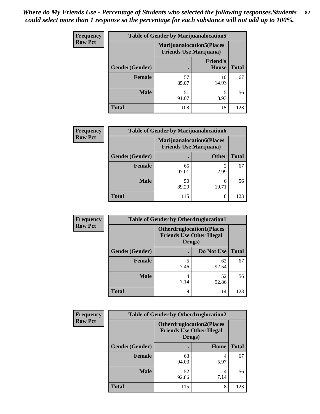| <b>Frequency</b> | <b>Table of Gender by Marijuanalocation5</b> |                                                                     |                                 |              |
|------------------|----------------------------------------------|---------------------------------------------------------------------|---------------------------------|--------------|
| <b>Row Pct</b>   |                                              | <b>Marijuanalocation5</b> (Places<br><b>Friends Use Marijuana</b> ) |                                 |              |
|                  | Gender(Gender)                               |                                                                     | <b>Friend's</b><br><b>House</b> | <b>Total</b> |
|                  | Female                                       | 57<br>85.07                                                         | 10<br>14.93                     | 67           |
|                  | <b>Male</b>                                  | 51<br>91.07                                                         | 5<br>8.93                       | 56           |
|                  | <b>Total</b>                                 | 108                                                                 | 15                              | 123          |

| <b>Frequency</b> | <b>Table of Gender by Marijuanalocation6</b> |                                                                     |              |              |
|------------------|----------------------------------------------|---------------------------------------------------------------------|--------------|--------------|
| <b>Row Pct</b>   |                                              | <b>Marijuanalocation6(Places)</b><br><b>Friends Use Marijuana</b> ) |              |              |
|                  | Gender(Gender)                               |                                                                     | <b>Other</b> | <b>Total</b> |
|                  | <b>Female</b>                                | 65<br>97.01                                                         | 2.99         | 67           |
|                  | <b>Male</b>                                  | 50<br>89.29                                                         | 6<br>10.71   | 56           |
|                  | <b>Total</b>                                 | 115                                                                 | 8            | 123          |

| Frequency      | <b>Table of Gender by Otherdruglocation1</b> |                                                                                |             |              |
|----------------|----------------------------------------------|--------------------------------------------------------------------------------|-------------|--------------|
| <b>Row Pct</b> |                                              | <b>Otherdruglocation1(Places</b><br><b>Friends Use Other Illegal</b><br>Drugs) |             |              |
|                | Gender(Gender)                               |                                                                                | Do Not Use  | <b>Total</b> |
|                | <b>Female</b>                                | 7.46                                                                           | 62<br>92.54 | 67           |
|                | <b>Male</b>                                  | 4<br>7.14                                                                      | 52<br>92.86 | 56           |
|                | <b>Total</b>                                 | Q                                                                              | 114         | 123          |

| <b>Frequency</b> | <b>Table of Gender by Otherdruglocation2</b> |                                            |                                  |              |
|------------------|----------------------------------------------|--------------------------------------------|----------------------------------|--------------|
| <b>Row Pct</b>   |                                              | <b>Friends Use Other Illegal</b><br>Drugs) | <b>Otherdruglocation2(Places</b> |              |
|                  | Gender(Gender)                               |                                            | Home                             | <b>Total</b> |
|                  | Female                                       | 63<br>94.03                                | 4<br>5.97                        | 67           |
|                  | <b>Male</b>                                  | 52<br>92.86                                | 4<br>7.14                        | 56           |
|                  | <b>Total</b>                                 | 115                                        | 8                                | 123          |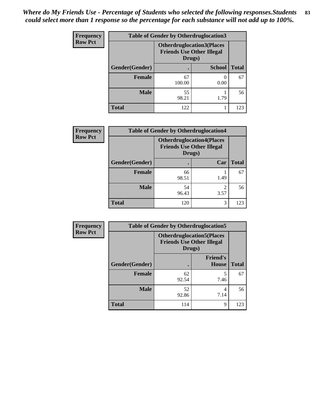| <b>Frequency</b> | <b>Table of Gender by Otherdruglocation3</b>                                   |              |               |              |
|------------------|--------------------------------------------------------------------------------|--------------|---------------|--------------|
| <b>Row Pct</b>   | <b>Otherdruglocation3(Places</b><br><b>Friends Use Other Illegal</b><br>Drugs) |              |               |              |
|                  | Gender(Gender)                                                                 |              | <b>School</b> | <b>Total</b> |
|                  | <b>Female</b>                                                                  | 67<br>100.00 | 0.00          | 67           |
|                  | <b>Male</b>                                                                    | 55<br>98.21  | 1.79          | 56           |
|                  | <b>Total</b>                                                                   | 122          |               | 123          |

| <b>Frequency</b> | <b>Table of Gender by Otherdruglocation4</b> |                                            |                                  |              |
|------------------|----------------------------------------------|--------------------------------------------|----------------------------------|--------------|
| <b>Row Pct</b>   |                                              | <b>Friends Use Other Illegal</b><br>Drugs) | <b>Otherdruglocation4(Places</b> |              |
|                  | Gender(Gender)                               |                                            | Car                              | <b>Total</b> |
|                  | Female                                       | 66<br>98.51                                | 1.49                             | 67           |
|                  | <b>Male</b>                                  | 54<br>96.43                                | 3.57                             | 56           |
|                  | <b>Total</b>                                 | 120                                        | 3                                | 123          |

| Frequency      |                                                                                | <b>Table of Gender by Otherdruglocation5</b> |                                 |              |
|----------------|--------------------------------------------------------------------------------|----------------------------------------------|---------------------------------|--------------|
| <b>Row Pct</b> | <b>Otherdruglocation5(Places</b><br><b>Friends Use Other Illegal</b><br>Drugs) |                                              |                                 |              |
|                | Gender(Gender)                                                                 |                                              | <b>Friend's</b><br><b>House</b> | <b>Total</b> |
|                | <b>Female</b>                                                                  | 62<br>92.54                                  | 7.46                            | 67           |
|                | <b>Male</b>                                                                    | 52<br>92.86                                  | 4<br>7.14                       | 56           |
|                | <b>Total</b>                                                                   | 114                                          | 9                               | 123          |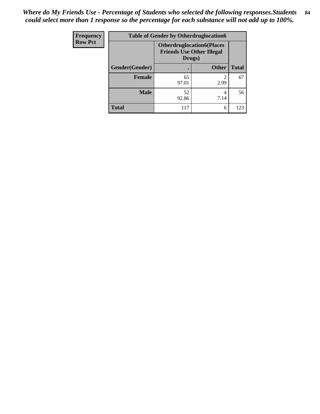| <b>Frequency</b> | <b>Table of Gender by Otherdruglocation6</b>                                   |             |              |              |
|------------------|--------------------------------------------------------------------------------|-------------|--------------|--------------|
| <b>Row Pct</b>   | <b>Otherdruglocation6(Places</b><br><b>Friends Use Other Illegal</b><br>Drugs) |             |              |              |
|                  | Gender(Gender)                                                                 |             | <b>Other</b> | <b>Total</b> |
|                  | <b>Female</b>                                                                  | 65<br>97.01 | 2.99         | 67           |
|                  | <b>Male</b>                                                                    | 52<br>92.86 | 7.14         | 56           |
|                  | <b>Total</b>                                                                   | 117         | 6            | 123          |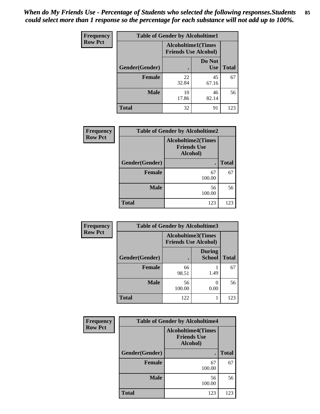| Frequency      | <b>Table of Gender by Alcoholtime1</b>                   |             |                      |              |
|----------------|----------------------------------------------------------|-------------|----------------------|--------------|
| <b>Row Pct</b> | <b>Alcoholtime1(Times</b><br><b>Friends Use Alcohol)</b> |             |                      |              |
|                | Gender(Gender)                                           | $\bullet$   | Do Not<br><b>Use</b> | <b>Total</b> |
|                | <b>Female</b>                                            | 22<br>32.84 | 45<br>67.16          | 67           |
|                | <b>Male</b>                                              | 10<br>17.86 | 46<br>82.14          | 56           |
|                | <b>Total</b>                                             | 32          | 91                   | 123          |

| <b>Frequency</b> | <b>Table of Gender by Alcoholtime2</b> |                                                             |              |  |
|------------------|----------------------------------------|-------------------------------------------------------------|--------------|--|
| <b>Row Pct</b>   |                                        | <b>Alcoholtime2(Times</b><br><b>Friends Use</b><br>Alcohol) |              |  |
|                  | Gender(Gender)                         | $\bullet$                                                   | <b>Total</b> |  |
|                  | <b>Female</b>                          | 67<br>100.00                                                | 67           |  |
|                  | <b>Male</b>                            | 56<br>100.00                                                | 56           |  |
|                  | <b>Total</b>                           | 123                                                         | 123          |  |

| Frequency      | <b>Table of Gender by Alcoholtime3</b> |                                                   |                                |              |  |
|----------------|----------------------------------------|---------------------------------------------------|--------------------------------|--------------|--|
| <b>Row Pct</b> |                                        | Alcoholtime3(Times<br><b>Friends Use Alcohol)</b> |                                |              |  |
|                | Gender(Gender)                         |                                                   | <b>During</b><br><b>School</b> | <b>Total</b> |  |
|                | <b>Female</b>                          | 66<br>98.51                                       | 1.49                           | 67           |  |
|                | <b>Male</b>                            | 56<br>100.00                                      | 0.00                           | 56           |  |
|                | <b>Total</b>                           | 122                                               |                                | 123          |  |

| Frequency      | <b>Table of Gender by Alcoholtime4</b> |                                                             |              |  |  |
|----------------|----------------------------------------|-------------------------------------------------------------|--------------|--|--|
| <b>Row Pct</b> |                                        | <b>Alcoholtime4(Times</b><br><b>Friends Use</b><br>Alcohol) |              |  |  |
|                | Gender(Gender)                         |                                                             | <b>Total</b> |  |  |
|                | <b>Female</b>                          | 67<br>100.00                                                | 67           |  |  |
|                | <b>Male</b>                            | 56<br>100.00                                                | 56           |  |  |
|                | <b>Total</b>                           | 123                                                         | 123          |  |  |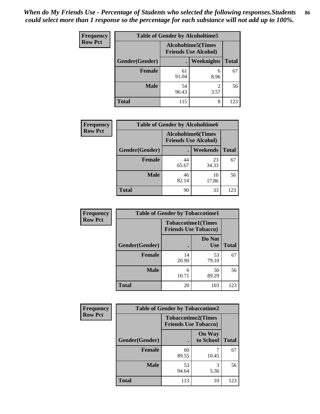| Frequency      | <b>Table of Gender by Alcoholtime5</b> |             |                                                           |              |
|----------------|----------------------------------------|-------------|-----------------------------------------------------------|--------------|
| <b>Row Pct</b> |                                        |             | <b>Alcoholtime5</b> (Times<br><b>Friends Use Alcohol)</b> |              |
|                | Gender(Gender)                         |             | Weeknights                                                | <b>Total</b> |
|                | <b>Female</b>                          | 61<br>91.04 | 6<br>8.96                                                 | 67           |
|                | <b>Male</b>                            | 54<br>96.43 | 2<br>3.57                                                 | 56           |
|                | <b>Total</b>                           | 115         | 8                                                         | 123          |

| <b>Frequency</b> | <b>Table of Gender by Alcoholtime6</b>                   |             |                 |              |
|------------------|----------------------------------------------------------|-------------|-----------------|--------------|
| <b>Row Pct</b>   | <b>Alcoholtime6(Times</b><br><b>Friends Use Alcohol)</b> |             |                 |              |
|                  | Gender(Gender)                                           |             | <b>Weekends</b> | <b>Total</b> |
|                  | <b>Female</b>                                            | 44<br>65.67 | 23<br>34.33     | 67           |
|                  | <b>Male</b>                                              | 46<br>82.14 | 10<br>17.86     | 56           |
|                  | <b>Total</b>                                             | 90          | 33              | 123          |

| <b>Frequency</b> | <b>Table of Gender by Tobaccotime1</b>                   |             |                      |              |
|------------------|----------------------------------------------------------|-------------|----------------------|--------------|
| <b>Row Pct</b>   | <b>Tobaccotime1(Times</b><br><b>Friends Use Tobacco)</b> |             |                      |              |
|                  | Gender(Gender)                                           |             | Do Not<br><b>Use</b> | <b>Total</b> |
|                  | Female                                                   | 14<br>20.90 | 53<br>79.10          | 67           |
|                  | <b>Male</b>                                              | 6<br>10.71  | 50<br>89.29          | 56           |
|                  | <b>Total</b>                                             | 20          | 103                  | 123          |

| <b>Frequency</b> | <b>Table of Gender by Tobaccotime2</b> |                                                          |                            |              |
|------------------|----------------------------------------|----------------------------------------------------------|----------------------------|--------------|
| <b>Row Pct</b>   |                                        | <b>Tobaccotime2(Times</b><br><b>Friends Use Tobacco)</b> |                            |              |
|                  | Gender(Gender)                         | $\bullet$                                                | <b>On Way</b><br>to School | <b>Total</b> |
|                  | Female                                 | 60<br>89.55                                              | 10.45                      | 67           |
|                  | <b>Male</b>                            | 53<br>94.64                                              | 3<br>5.36                  | 56           |
|                  | <b>Total</b>                           | 113                                                      | 10                         | 123          |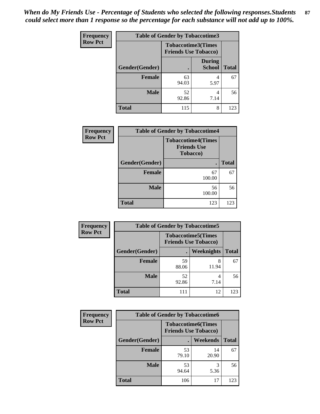*When do My Friends Use - Percentage of Students who selected the following responses.Students could select more than 1 response so the percentage for each substance will not add up to 100%.* **87**

| <b>Frequency</b> | <b>Table of Gender by Tobaccotime3</b> |                                                          |                         |              |
|------------------|----------------------------------------|----------------------------------------------------------|-------------------------|--------------|
| <b>Row Pct</b>   |                                        | <b>Tobaccotime3(Times</b><br><b>Friends Use Tobacco)</b> |                         |              |
|                  | Gender(Gender)                         |                                                          | During<br><b>School</b> | <b>Total</b> |
|                  | <b>Female</b>                          | 63<br>94.03                                              | 4<br>5.97               | 67           |
|                  | <b>Male</b>                            | 52<br>92.86                                              | 4<br>7.14               | 56           |
|                  | <b>Total</b>                           | 115                                                      | 8                       | 123          |

| Frequency      | <b>Table of Gender by Tobaccotime4</b>                      |              |              |  |
|----------------|-------------------------------------------------------------|--------------|--------------|--|
| <b>Row Pct</b> | <b>Tobaccotime4(Times</b><br><b>Friends Use</b><br>Tobacco) |              |              |  |
|                | Gender(Gender)                                              |              | <b>Total</b> |  |
|                | Female                                                      | 67<br>100.00 | 67           |  |
|                | <b>Male</b>                                                 | 56<br>100.00 | 56           |  |
|                | <b>Total</b>                                                | 123          | 123          |  |

| Frequency      | <b>Table of Gender by Tobaccotime5</b>                   |             |                   |              |  |
|----------------|----------------------------------------------------------|-------------|-------------------|--------------|--|
| <b>Row Pct</b> | <b>Tobaccotime5(Times</b><br><b>Friends Use Tobacco)</b> |             |                   |              |  |
|                | Gender(Gender)                                           |             | <b>Weeknights</b> | <b>Total</b> |  |
|                | Female                                                   | 59<br>88.06 | 8<br>11.94        | 67           |  |
|                | <b>Male</b>                                              | 52<br>92.86 | 4<br>7.14         | 56           |  |
|                | <b>Total</b>                                             | 111         | 12                | 123          |  |

| <b>Frequency</b> | <b>Table of Gender by Tobaccotime6</b> |                                                          |                 |              |
|------------------|----------------------------------------|----------------------------------------------------------|-----------------|--------------|
| <b>Row Pct</b>   |                                        | <b>Tobaccotime6(Times</b><br><b>Friends Use Tobacco)</b> |                 |              |
|                  | Gender(Gender)                         |                                                          | <b>Weekends</b> | <b>Total</b> |
|                  | <b>Female</b>                          | 53<br>79.10                                              | 14<br>20.90     | 67           |
|                  | <b>Male</b>                            | 53<br>94.64                                              | 5.36            | 56           |
|                  | <b>Total</b>                           | 106                                                      | 17              | 123          |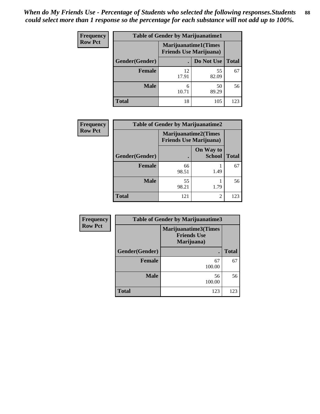*When do My Friends Use - Percentage of Students who selected the following responses.Students could select more than 1 response so the percentage for each substance will not add up to 100%.* **88**

| <b>Frequency</b> | <b>Table of Gender by Marijuanatime1</b> |                                                               |             |              |
|------------------|------------------------------------------|---------------------------------------------------------------|-------------|--------------|
| <b>Row Pct</b>   |                                          | <b>Marijuanatime1(Times</b><br><b>Friends Use Marijuana</b> ) |             |              |
|                  | <b>Gender</b> (Gender)                   |                                                               | Do Not Use  | <b>Total</b> |
|                  | Female                                   | 12<br>17.91                                                   | 55<br>82.09 | 67           |
|                  | <b>Male</b>                              | 6<br>10.71                                                    | 50<br>89.29 | 56           |
|                  | <b>Total</b>                             | 18                                                            | 105         | 123          |

| <b>Frequency</b> | <b>Table of Gender by Marijuanatime2</b> |                                                               |                            |              |
|------------------|------------------------------------------|---------------------------------------------------------------|----------------------------|--------------|
| <b>Row Pct</b>   |                                          | <b>Marijuanatime2(Times</b><br><b>Friends Use Marijuana</b> ) |                            |              |
|                  | Gender(Gender)                           |                                                               | On Way to<br><b>School</b> | <b>Total</b> |
|                  | Female                                   | 66<br>98.51                                                   | 1.49                       | 67           |
|                  | <b>Male</b>                              | 55<br>98.21                                                   | 1.79                       | 56           |
|                  | <b>Total</b>                             | 121                                                           | $\mathfrak{D}$             | 123          |

| <b>Frequency</b> | <b>Table of Gender by Marijuanatime3</b> |                                                          |              |  |
|------------------|------------------------------------------|----------------------------------------------------------|--------------|--|
| <b>Row Pct</b>   |                                          | Marijuanatime3(Times<br><b>Friends Use</b><br>Marijuana) |              |  |
|                  | Gender(Gender)                           |                                                          | <b>Total</b> |  |
|                  | <b>Female</b>                            | 67<br>100.00                                             | 67           |  |
|                  | <b>Male</b>                              | 56<br>100.00                                             | 56           |  |
|                  | <b>Total</b>                             | 123                                                      | 123          |  |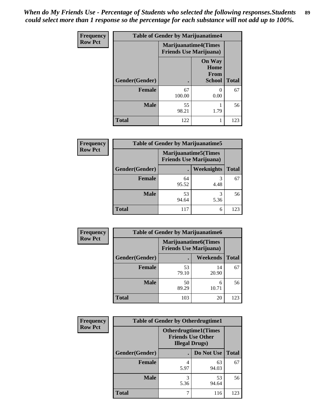*When do My Friends Use - Percentage of Students who selected the following responses.Students could select more than 1 response so the percentage for each substance will not add up to 100%.* **89**

| Frequency      | <b>Table of Gender by Marijuanatime4</b> |                                                               |                                                       |              |
|----------------|------------------------------------------|---------------------------------------------------------------|-------------------------------------------------------|--------------|
| <b>Row Pct</b> |                                          | <b>Marijuanatime4(Times</b><br><b>Friends Use Marijuana</b> ) |                                                       |              |
|                | Gender(Gender)                           |                                                               | <b>On Way</b><br>Home<br><b>From</b><br><b>School</b> | <b>Total</b> |
|                | <b>Female</b>                            | 67<br>100.00                                                  | 0<br>0.00                                             | 67           |
|                | <b>Male</b>                              | 55<br>98.21                                                   | 1.79                                                  | 56           |
|                | <b>Total</b>                             | 122                                                           |                                                       | 123          |

| <b>Frequency</b> | <b>Table of Gender by Marijuanatime5</b> |                                                                |                   |              |
|------------------|------------------------------------------|----------------------------------------------------------------|-------------------|--------------|
| <b>Row Pct</b>   |                                          | <b>Marijuanatime5</b> (Times<br><b>Friends Use Marijuana</b> ) |                   |              |
|                  | Gender(Gender)                           |                                                                | <b>Weeknights</b> | <b>Total</b> |
|                  | Female                                   | 64<br>95.52                                                    | 4.48              | 67           |
|                  | <b>Male</b>                              | 53<br>94.64                                                    | 5.36              | 56           |
|                  | <b>Total</b>                             | 117                                                            | 6                 | 123          |

| Frequency      | <b>Table of Gender by Marijuanatime6</b> |                                                               |                 |              |  |
|----------------|------------------------------------------|---------------------------------------------------------------|-----------------|--------------|--|
| <b>Row Pct</b> |                                          | <b>Marijuanatime6(Times</b><br><b>Friends Use Marijuana</b> ) |                 |              |  |
|                | Gender(Gender)                           |                                                               | <b>Weekends</b> | <b>Total</b> |  |
|                | <b>Female</b>                            | 53<br>79.10                                                   | 14<br>20.90     | 67           |  |
|                | <b>Male</b>                              | 50<br>89.29                                                   | 6<br>10.71      | 56           |  |
|                | <b>Total</b>                             | 103                                                           | 20              | 123          |  |

| <b>Frequency</b> | <b>Table of Gender by Otherdrugtime1</b> |                                                                                   |             |              |
|------------------|------------------------------------------|-----------------------------------------------------------------------------------|-------------|--------------|
| <b>Row Pct</b>   |                                          | <b>Otherdrugtime1(Times</b><br><b>Friends Use Other</b><br><b>Illegal Drugs</b> ) |             |              |
|                  | Gender(Gender)                           |                                                                                   | Do Not Use  | <b>Total</b> |
|                  | <b>Female</b>                            | 5.97                                                                              | 63<br>94.03 | 67           |
|                  | <b>Male</b>                              | 3<br>5.36                                                                         | 53<br>94.64 | 56           |
|                  | <b>Total</b>                             |                                                                                   | 116         | 123          |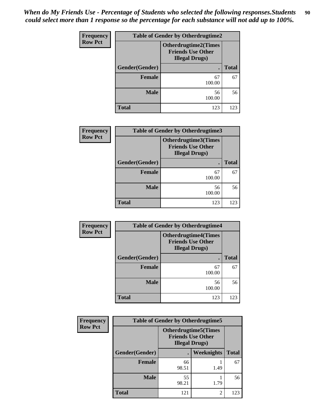| Frequency      | <b>Table of Gender by Otherdrugtime2</b><br><b>Otherdrugtime2(Times</b><br><b>Friends Use Other</b><br><b>Illegal Drugs</b> ) |              |              |  |
|----------------|-------------------------------------------------------------------------------------------------------------------------------|--------------|--------------|--|
| <b>Row Pct</b> |                                                                                                                               |              |              |  |
|                | Gender(Gender)                                                                                                                | $\bullet$    | <b>Total</b> |  |
|                | <b>Female</b>                                                                                                                 | 67<br>100.00 | 67           |  |
|                | <b>Male</b>                                                                                                                   | 56<br>100.00 | 56           |  |
|                | <b>Total</b>                                                                                                                  | 123          | 123          |  |

| <b>Frequency</b> | Table of Gender by Otherdrugtime3 |                                                                            |              |
|------------------|-----------------------------------|----------------------------------------------------------------------------|--------------|
| <b>Row Pct</b>   |                                   | Otherdrugtime3(Times<br><b>Friends Use Other</b><br><b>Illegal Drugs</b> ) |              |
|                  | Gender(Gender)                    |                                                                            | <b>Total</b> |
|                  | <b>Female</b>                     | 67<br>100.00                                                               | 67           |
|                  | <b>Male</b>                       | 56<br>100.00                                                               | 56           |
|                  | <b>Total</b>                      | 123                                                                        | 123          |

| Frequency      | <b>Table of Gender by Otherdrugtime4</b>                                          |                |              |  |  |
|----------------|-----------------------------------------------------------------------------------|----------------|--------------|--|--|
| <b>Row Pct</b> | <b>Otherdrugtime4(Times</b><br><b>Friends Use Other</b><br><b>Illegal Drugs</b> ) |                |              |  |  |
|                | Gender(Gender)                                                                    | $\blacksquare$ | <b>Total</b> |  |  |
|                | <b>Female</b>                                                                     | 67<br>100.00   | 67           |  |  |
|                | <b>Male</b>                                                                       | 56<br>100.00   | 56           |  |  |
|                | <b>Total</b>                                                                      | 123            | 123          |  |  |

| Frequency      | <b>Table of Gender by Otherdrugtime5</b> |                                                                                    |                   |              |  |
|----------------|------------------------------------------|------------------------------------------------------------------------------------|-------------------|--------------|--|
| <b>Row Pct</b> |                                          | <b>Otherdrugtime5</b> (Times<br><b>Friends Use Other</b><br><b>Illegal Drugs</b> ) |                   |              |  |
|                | Gender(Gender)                           |                                                                                    | <b>Weeknights</b> | <b>Total</b> |  |
|                | <b>Female</b>                            | 66<br>98.51                                                                        | 1.49              | 67           |  |
|                | <b>Male</b>                              | 55<br>98.21                                                                        | 1.79              | 56           |  |
|                | <b>Total</b>                             | 121                                                                                | $\mathfrak{D}$    | 123          |  |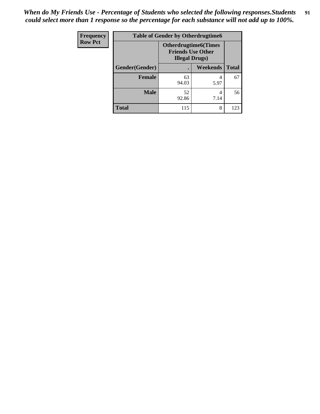*When do My Friends Use - Percentage of Students who selected the following responses.Students could select more than 1 response so the percentage for each substance will not add up to 100%.* **91**

| Frequency      | <b>Table of Gender by Otherdrugtime6</b> |                                                                                   |           |              |  |
|----------------|------------------------------------------|-----------------------------------------------------------------------------------|-----------|--------------|--|
| <b>Row Pct</b> |                                          | <b>Otherdrugtime6(Times</b><br><b>Friends Use Other</b><br><b>Illegal Drugs</b> ) |           |              |  |
|                | Gender(Gender)                           |                                                                                   | Weekends  | <b>Total</b> |  |
|                | <b>Female</b>                            | 63<br>94.03                                                                       | 5.97      | 67           |  |
|                | <b>Male</b>                              | 52<br>92.86                                                                       | 4<br>7.14 | 56           |  |
|                | <b>Total</b>                             | 115                                                                               | 8         | 123          |  |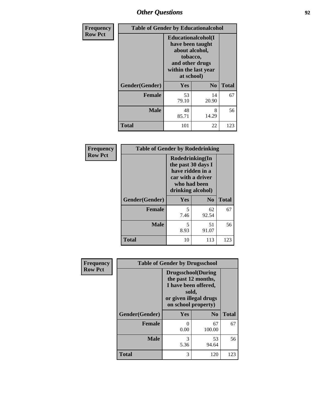### *Other Questions* **92**

| Frequency      | <b>Table of Gender by Educationalcohol</b> |                                                                                                                               |                |              |
|----------------|--------------------------------------------|-------------------------------------------------------------------------------------------------------------------------------|----------------|--------------|
| <b>Row Pct</b> |                                            | Educationalcohol(I<br>have been taught<br>about alcohol,<br>tobacco,<br>and other drugs<br>within the last year<br>at school) |                |              |
|                | Gender(Gender)                             | <b>Yes</b>                                                                                                                    | N <sub>0</sub> | <b>Total</b> |
|                | <b>Female</b>                              | 53<br>79.10                                                                                                                   | 14<br>20.90    | 67           |
|                | <b>Male</b>                                | 48<br>85.71                                                                                                                   | 8<br>14.29     | 56           |
|                | <b>Total</b>                               | 101                                                                                                                           | 22             | 123          |

| Frequency      | <b>Table of Gender by Rodedrinking</b> |                                                                                                                     |             |              |  |
|----------------|----------------------------------------|---------------------------------------------------------------------------------------------------------------------|-------------|--------------|--|
| <b>Row Pct</b> |                                        | Rodedrinking(In<br>the past 30 days I<br>have ridden in a<br>car with a driver<br>who had been<br>drinking alcohol) |             |              |  |
|                | Gender(Gender)                         | Yes                                                                                                                 | $\bf N_0$   | <b>Total</b> |  |
|                | <b>Female</b>                          | 5<br>7.46                                                                                                           | 62<br>92.54 | 67           |  |
|                | <b>Male</b>                            | 5<br>8.93                                                                                                           | 51<br>91.07 | 56           |  |
|                | <b>Total</b>                           | 10                                                                                                                  | 113         | 123          |  |

| Frequency      | <b>Table of Gender by Drugsschool</b> |                                                                                                                                     |                |              |
|----------------|---------------------------------------|-------------------------------------------------------------------------------------------------------------------------------------|----------------|--------------|
| <b>Row Pct</b> |                                       | <b>Drugsschool</b> (During<br>the past 12 months,<br>I have been offered,<br>sold,<br>or given illegal drugs<br>on school property) |                |              |
|                | Gender(Gender)                        | <b>Yes</b>                                                                                                                          | N <sub>0</sub> | <b>Total</b> |
|                | <b>Female</b>                         | 0<br>0.00                                                                                                                           | 67<br>100.00   | 67           |
|                | <b>Male</b>                           | 3<br>5.36                                                                                                                           | 53<br>94.64    | 56           |
|                | <b>Total</b>                          | 3                                                                                                                                   | 120            | 123          |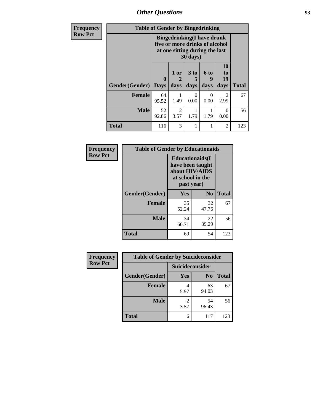*Other Questions* **93**

| <b>Frequency</b> | <b>Table of Gender by Bingedrinking</b> |                                                                                                                   |                                     |              |                   |                               |              |
|------------------|-----------------------------------------|-------------------------------------------------------------------------------------------------------------------|-------------------------------------|--------------|-------------------|-------------------------------|--------------|
| <b>Row Pct</b>   |                                         | <b>Bingedrinking(I have drunk</b><br>five or more drinks of alcohol<br>at one sitting during the last<br>30 days) |                                     |              |                   |                               |              |
|                  | Gender(Gender)                          | $\mathbf{0}$<br><b>Days</b>                                                                                       | $1$ or<br>days                      | 3 to<br>days | 6 to<br>9<br>days | <b>10</b><br>to<br>19<br>days | <b>Total</b> |
|                  | <b>Female</b>                           | 64<br>95.52                                                                                                       | 1.49                                | 0<br>0.00    | $\Omega$<br>0.00  | $\mathfrak{D}$<br>2.99        | 67           |
|                  | <b>Male</b>                             | 52<br>92.86                                                                                                       | $\mathcal{D}_{\mathcal{L}}$<br>3.57 | 1.79         | 1.79              | 0<br>0.00                     | 56           |
|                  | <b>Total</b>                            | 116                                                                                                               | 3                                   |              |                   | $\overline{c}$                | 123          |

| Frequency      | <b>Table of Gender by Educationaids</b> |                                                                                                 |                |              |
|----------------|-----------------------------------------|-------------------------------------------------------------------------------------------------|----------------|--------------|
| <b>Row Pct</b> |                                         | <b>Educationaids</b> (I<br>have been taught<br>about HIV/AIDS<br>at school in the<br>past year) |                |              |
|                | Gender(Gender)                          | Yes                                                                                             | N <sub>0</sub> | <b>Total</b> |
|                | <b>Female</b>                           | 35<br>52.24                                                                                     | 32<br>47.76    | 67           |
|                | <b>Male</b>                             | 34<br>60.71                                                                                     | 22<br>39.29    | 56           |
|                | <b>Total</b>                            | 69                                                                                              | 54             | 123          |

| Frequency      | <b>Table of Gender by Suicideconsider</b> |                 |                |              |  |
|----------------|-------------------------------------------|-----------------|----------------|--------------|--|
| <b>Row Pct</b> |                                           | Suicideconsider |                |              |  |
|                | Gender(Gender)                            | Yes             | N <sub>0</sub> | <b>Total</b> |  |
|                | <b>Female</b>                             | 5.97            | 63<br>94.03    | 67           |  |
|                | <b>Male</b>                               | 3.57            | 54<br>96.43    | 56           |  |
|                | <b>Total</b>                              | 6               | 117            | 123          |  |